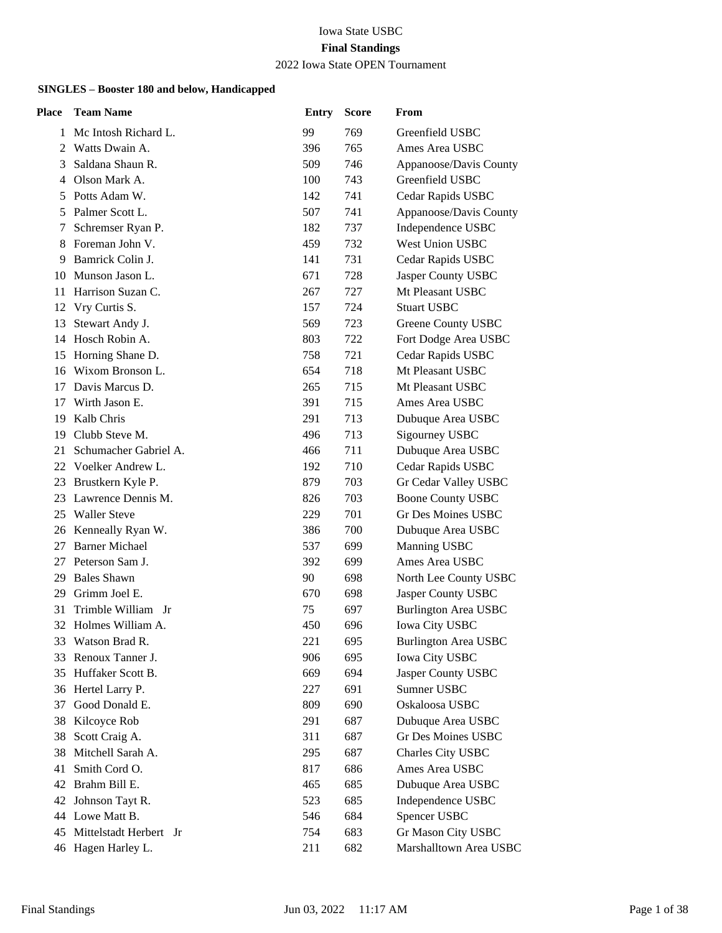#### Iowa State USBC **Final Standings** 2022 Iowa State OPEN Tournament

| <b>Place</b> | <b>Team Name</b>       | <b>Entry</b> | <b>Score</b> | From                        |
|--------------|------------------------|--------------|--------------|-----------------------------|
| 1            | Mc Intosh Richard L.   | 99           | 769          | Greenfield USBC             |
| 2            | Watts Dwain A.         | 396          | 765          | Ames Area USBC              |
| 3            | Saldana Shaun R.       | 509          | 746          | Appanoose/Davis County      |
| 4            | Olson Mark A.          | 100          | 743          | Greenfield USBC             |
| 5            | Potts Adam W.          | 142          | 741          | Cedar Rapids USBC           |
| 5            | Palmer Scott L.        | 507          | 741          | Appanoose/Davis County      |
| 7            | Schremser Ryan P.      | 182          | 737          | Independence USBC           |
| 8            | Foreman John V.        | 459          | 732          | West Union USBC             |
| 9            | Bamrick Colin J.       | 141          | 731          | Cedar Rapids USBC           |
| 10           | Munson Jason L.        | 671          | 728          | Jasper County USBC          |
| 11           | Harrison Suzan C.      | 267          | 727          | Mt Pleasant USBC            |
| 12           | Vry Curtis S.          | 157          | 724          | <b>Stuart USBC</b>          |
| 13           | Stewart Andy J.        | 569          | 723          | Greene County USBC          |
| 14           | Hosch Robin A.         | 803          | 722          | Fort Dodge Area USBC        |
| 15           | Horning Shane D.       | 758          | 721          | Cedar Rapids USBC           |
| 16           | Wixom Bronson L.       | 654          | 718          | Mt Pleasant USBC            |
| 17           | Davis Marcus D.        | 265          | 715          | Mt Pleasant USBC            |
| 17           | Wirth Jason E.         | 391          | 715          | Ames Area USBC              |
| 19           | Kalb Chris             | 291          | 713          | Dubuque Area USBC           |
| 19           | Clubb Steve M.         | 496          | 713          | Sigourney USBC              |
| 21           | Schumacher Gabriel A.  | 466          | 711          | Dubuque Area USBC           |
| 22           | Voelker Andrew L.      | 192          | 710          | Cedar Rapids USBC           |
| 23           | Brustkern Kyle P.      | 879          | 703          | Gr Cedar Valley USBC        |
| 23           | Lawrence Dennis M.     | 826          | 703          | <b>Boone County USBC</b>    |
| 25           | <b>Waller Steve</b>    | 229          | 701          | <b>Gr Des Moines USBC</b>   |
|              | 26 Kenneally Ryan W.   | 386          | 700          | Dubuque Area USBC           |
| 27           | <b>Barner Michael</b>  | 537          | 699          | Manning USBC                |
| 27           | Peterson Sam J.        | 392          | 699          | Ames Area USBC              |
| 29           | <b>Bales Shawn</b>     | 90           | 698          | North Lee County USBC       |
| 29           | Grimm Joel E.          | 670          | 698          | Jasper County USBC          |
| 31           | Trimble William Jr     | 75           | 697          | <b>Burlington Area USBC</b> |
| 32           | Holmes William A.      | 450          | 696          | <b>Iowa City USBC</b>       |
| 33           | Watson Brad R.         | 221          | 695          | <b>Burlington Area USBC</b> |
| 33           | Renoux Tanner J.       | 906          | 695          | Iowa City USBC              |
| 35           | Huffaker Scott B.      | 669          | 694          | Jasper County USBC          |
| 36           | Hertel Larry P.        | 227          | 691          | Sumner USBC                 |
| 37           | Good Donald E.         | 809          | 690          | Oskaloosa USBC              |
| 38           | Kilcoyce Rob           | 291          | 687          | Dubuque Area USBC           |
| 38           | Scott Craig A.         | 311          | 687          | <b>Gr Des Moines USBC</b>   |
| 38           | Mitchell Sarah A.      | 295          | 687          | Charles City USBC           |
| 41           | Smith Cord O.          | 817          | 686          | Ames Area USBC              |
| 42           | Brahm Bill E.          | 465          | 685          | Dubuque Area USBC           |
| 42           | Johnson Tayt R.        | 523          | 685          | Independence USBC           |
| 44           | Lowe Matt B.           | 546          | 684          | Spencer USBC                |
| 45           | Mittelstadt Herbert Jr | 754          | 683          | Gr Mason City USBC          |
|              | 46 Hagen Harley L.     | 211          | 682          | Marshalltown Area USBC      |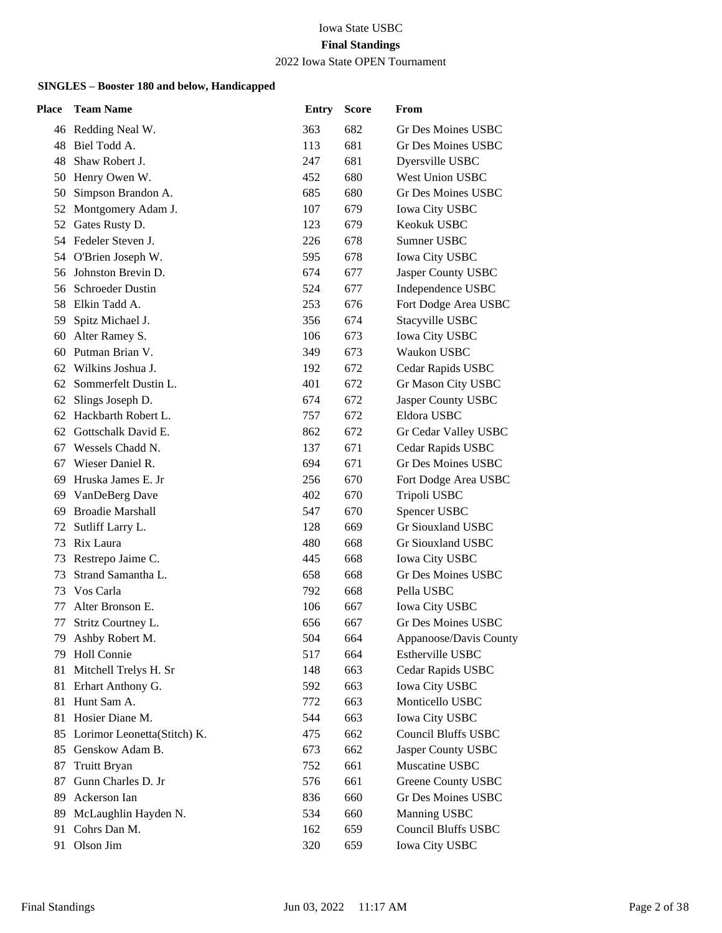### 2022 Iowa State OPEN Tournament

| Place | <b>Team Name</b>            | <b>Entry</b> | <b>Score</b> | From                       |
|-------|-----------------------------|--------------|--------------|----------------------------|
|       | 46 Redding Neal W.          | 363          | 682          | Gr Des Moines USBC         |
| 48    | Biel Todd A.                | 113          | 681          | Gr Des Moines USBC         |
| 48    | Shaw Robert J.              | 247          | 681          | Dyersville USBC            |
|       | 50 Henry Owen W.            | 452          | 680          | <b>West Union USBC</b>     |
| 50    | Simpson Brandon A.          | 685          | 680          | <b>Gr Des Moines USBC</b>  |
| 52    | Montgomery Adam J.          | 107          | 679          | <b>Iowa City USBC</b>      |
| 52    | Gates Rusty D.              | 123          | 679          | Keokuk USBC                |
|       | 54 Fedeler Steven J.        | 226          | 678          | Sumner USBC                |
|       | 54 O'Brien Joseph W.        | 595          | 678          | Iowa City USBC             |
| 56    | Johnston Brevin D.          | 674          | 677          | Jasper County USBC         |
| 56    | <b>Schroeder Dustin</b>     | 524          | 677          | Independence USBC          |
|       | 58 Elkin Tadd A.            | 253          | 676          | Fort Dodge Area USBC       |
| 59    | Spitz Michael J.            | 356          | 674          | Stacyville USBC            |
| 60    | Alter Ramey S.              | 106          | 673          | <b>Iowa City USBC</b>      |
| 60    | Putman Brian V.             | 349          | 673          | Waukon USBC                |
| 62    | Wilkins Joshua J.           | 192          | 672          | Cedar Rapids USBC          |
| 62    | Sommerfelt Dustin L.        | 401          | 672          | Gr Mason City USBC         |
| 62    | Slings Joseph D.            | 674          | 672          | Jasper County USBC         |
| 62    | Hackbarth Robert L.         | 757          | 672          | Eldora USBC                |
| 62    | Gottschalk David E.         | 862          | 672          | Gr Cedar Valley USBC       |
| 67    | Wessels Chadd N.            | 137          | 671          | Cedar Rapids USBC          |
| 67    | Wieser Daniel R.            | 694          | 671          | <b>Gr Des Moines USBC</b>  |
| 69    | Hruska James E. Jr          | 256          | 670          | Fort Dodge Area USBC       |
|       | 69 VanDeBerg Dave           | 402          | 670          | Tripoli USBC               |
| 69    | <b>Broadie Marshall</b>     | 547          | 670          | Spencer USBC               |
| 72    | Sutliff Larry L.            | 128          | 669          | <b>Gr Siouxland USBC</b>   |
| 73    | Rix Laura                   | 480          | 668          | Gr Siouxland USBC          |
| 73    | Restrepo Jaime C.           | 445          | 668          | <b>Iowa City USBC</b>      |
| 73    | Strand Samantha L.          | 658          | 668          | <b>Gr Des Moines USBC</b>  |
| 73    | Vos Carla                   | 792          | 668          | Pella USBC                 |
| 77    | Alter Bronson E.            | 106          | 667          | <b>Iowa City USBC</b>      |
| 77    | Stritz Courtney L.          | 656          | 667          | Gr Des Moines USBC         |
| 79.   | Ashby Robert M.             | 504          | 664          | Appanoose/Davis County     |
| 79    | Holl Connie                 | 517          | 664          | Estherville USBC           |
| 81    | Mitchell Trelys H. Sr       | 148          | 663          | Cedar Rapids USBC          |
|       | 81 Erhart Anthony G.        | 592          | 663          | <b>Iowa City USBC</b>      |
|       | 81 Hunt Sam A.              | 772          | 663          | Monticello USBC            |
| 81    | Hosier Diane M.             | 544          | 663          | <b>Iowa City USBC</b>      |
| 85    | Lorimor Leonetta(Stitch) K. | 475          | 662          | <b>Council Bluffs USBC</b> |
|       | 85 Genskow Adam B.          | 673          | 662          | Jasper County USBC         |
| 87    | <b>Truitt Bryan</b>         | 752          | 661          | Muscatine USBC             |
| 87    | Gunn Charles D. Jr          | 576          | 661          | Greene County USBC         |
| 89    | Ackerson Ian                | 836          | 660          | <b>Gr Des Moines USBC</b>  |
| 89    | McLaughlin Hayden N.        | 534          | 660          | Manning USBC               |
| 91    | Cohrs Dan M.                | 162          | 659          | <b>Council Bluffs USBC</b> |
| 91    | Olson Jim                   | 320          | 659          | Iowa City USBC             |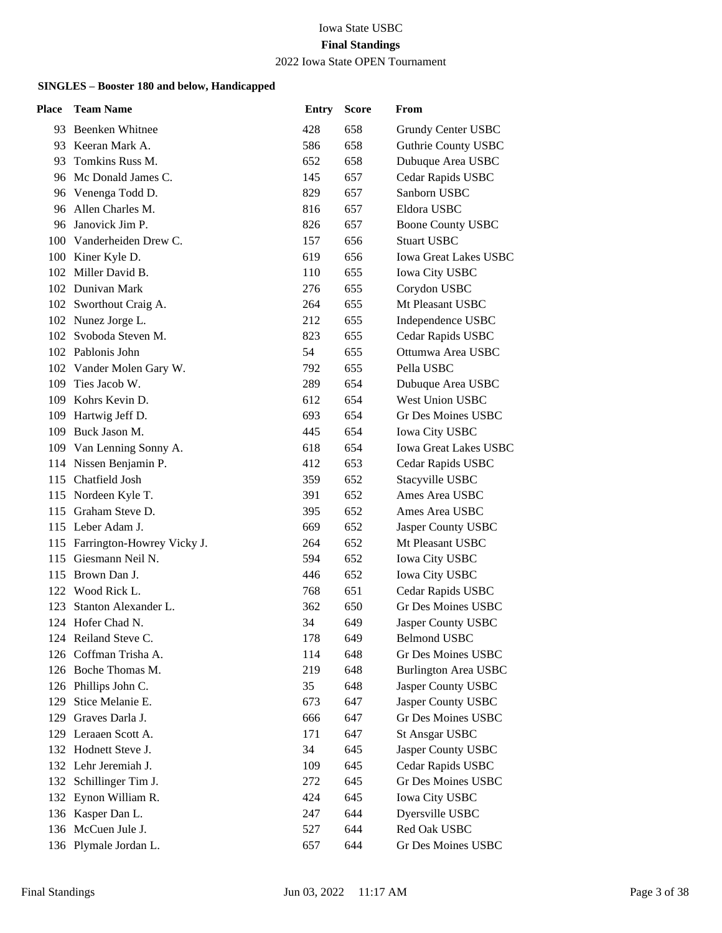#### 2022 Iowa State OPEN Tournament

| Place | <b>Team Name</b>               | <b>Entry</b> | <b>Score</b> | From                         |
|-------|--------------------------------|--------------|--------------|------------------------------|
|       | 93 Beenken Whitnee             | 428          | 658          | Grundy Center USBC           |
|       | 93 Keeran Mark A.              | 586          | 658          | <b>Guthrie County USBC</b>   |
| 93    | Tomkins Russ M.                | 652          | 658          | Dubuque Area USBC            |
|       | 96 Mc Donald James C.          | 145          | 657          | Cedar Rapids USBC            |
|       | 96 Venenga Todd D.             | 829          | 657          | Sanborn USBC                 |
| 96    | Allen Charles M.               | 816          | 657          | Eldora USBC                  |
| 96    | Janovick Jim P.                | 826          | 657          | <b>Boone County USBC</b>     |
|       | 100 Vanderheiden Drew C.       | 157          | 656          | <b>Stuart USBC</b>           |
|       | 100 Kiner Kyle D.              | 619          | 656          | <b>Iowa Great Lakes USBC</b> |
|       | 102 Miller David B.            | 110          | 655          | <b>Iowa City USBC</b>        |
|       | 102 Dunivan Mark               | 276          | 655          | Corydon USBC                 |
|       | 102 Sworthout Craig A.         | 264          | 655          | Mt Pleasant USBC             |
|       | 102 Nunez Jorge L.             | 212          | 655          | Independence USBC            |
|       | 102 Svoboda Steven M.          | 823          | 655          | Cedar Rapids USBC            |
|       | 102 Pablonis John              | 54           | 655          | Ottumwa Area USBC            |
|       | 102 Vander Molen Gary W.       | 792          | 655          | Pella USBC                   |
|       | 109 Ties Jacob W.              | 289          | 654          | Dubuque Area USBC            |
|       | 109 Kohrs Kevin D.             | 612          | 654          | <b>West Union USBC</b>       |
|       | 109 Hartwig Jeff D.            | 693          | 654          | <b>Gr Des Moines USBC</b>    |
|       | 109 Buck Jason M.              | 445          | 654          | <b>Iowa City USBC</b>        |
|       | 109 Van Lenning Sonny A.       | 618          | 654          | <b>Iowa Great Lakes USBC</b> |
|       | 114 Nissen Benjamin P.         | 412          | 653          | Cedar Rapids USBC            |
|       | 115 Chatfield Josh             | 359          | 652          | Stacyville USBC              |
|       | 115 Nordeen Kyle T.            | 391          | 652          | Ames Area USBC               |
|       | 115 Graham Steve D.            | 395          | 652          | Ames Area USBC               |
|       | 115 Leber Adam J.              | 669          | 652          | Jasper County USBC           |
|       | 115 Farrington-Howrey Vicky J. | 264          | 652          | Mt Pleasant USBC             |
|       | 115 Giesmann Neil N.           | 594          | 652          | <b>Iowa City USBC</b>        |
|       | 115 Brown Dan J.               | 446          | 652          | <b>Iowa City USBC</b>        |
|       | 122 Wood Rick L.               | 768          | 651          | Cedar Rapids USBC            |
| 123   | Stanton Alexander L.           | 362          | 650          | Gr Des Moines USBC           |
|       | 124 Hofer Chad N.              | 34           | 649          | Jasper County USBC           |
|       | 124 Reiland Steve C.           | 178          | 649          | <b>Belmond USBC</b>          |
|       | 126 Coffman Trisha A.          | 114          | 648          | <b>Gr Des Moines USBC</b>    |
|       | 126 Boche Thomas M.            | 219          | 648          | <b>Burlington Area USBC</b>  |
|       | 126 Phillips John C.           | 35           | 648          | Jasper County USBC           |
| 129   | Stice Melanie E.               | 673          | 647          | Jasper County USBC           |
|       | 129 Graves Darla J.            | 666          | 647          | <b>Gr Des Moines USBC</b>    |
| 129   | Leraaen Scott A.               | 171          | 647          | <b>St Ansgar USBC</b>        |
|       | 132 Hodnett Steve J.           | 34           | 645          | Jasper County USBC           |
|       | 132 Lehr Jeremiah J.           | 109          | 645          | Cedar Rapids USBC            |
|       | 132 Schillinger Tim J.         | 272          | 645          | <b>Gr Des Moines USBC</b>    |
| 132   | Eynon William R.               | 424          | 645          | <b>Iowa City USBC</b>        |
|       | 136 Kasper Dan L.              | 247          | 644          | Dyersville USBC              |
|       | 136 McCuen Jule J.             | 527          | 644          | Red Oak USBC                 |
|       | 136 Plymale Jordan L.          | 657          | 644          | Gr Des Moines USBC           |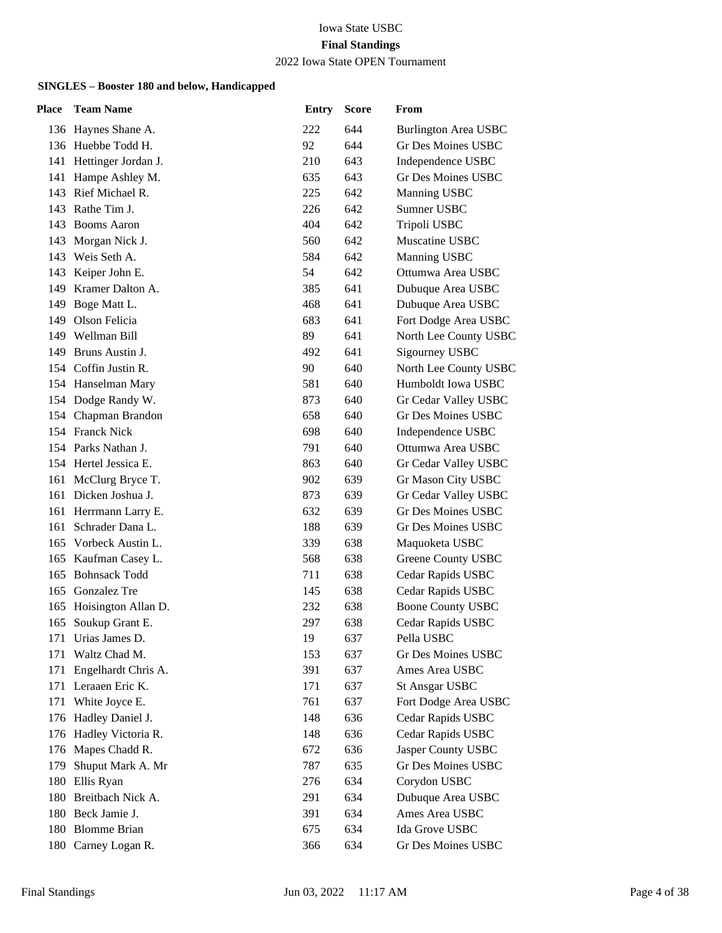#### 2022 Iowa State OPEN Tournament

| Place | <b>Team Name</b>        | <b>Entry</b> | <b>Score</b> | From                      |
|-------|-------------------------|--------------|--------------|---------------------------|
|       | 136 Haynes Shane A.     | 222          | 644          | Burlington Area USBC      |
|       | 136 Huebbe Todd H.      | 92           | 644          | Gr Des Moines USBC        |
|       | 141 Hettinger Jordan J. | 210          | 643          | Independence USBC         |
|       | 141 Hampe Ashley M.     | 635          | 643          | <b>Gr Des Moines USBC</b> |
|       | 143 Rief Michael R.     | 225          | 642          | Manning USBC              |
|       | 143 Rathe Tim J.        | 226          | 642          | Sumner USBC               |
| 143   | <b>Booms Aaron</b>      | 404          | 642          | Tripoli USBC              |
|       | 143 Morgan Nick J.      | 560          | 642          | Muscatine USBC            |
|       | 143 Weis Seth A.        | 584          | 642          | Manning USBC              |
| 143   | Keiper John E.          | 54           | 642          | Ottumwa Area USBC         |
| 149   | Kramer Dalton A.        | 385          | 641          | Dubuque Area USBC         |
|       | 149 Boge Matt L.        | 468          | 641          | Dubuque Area USBC         |
|       | 149 Olson Felicia       | 683          | 641          | Fort Dodge Area USBC      |
|       | 149 Wellman Bill        | 89           | 641          | North Lee County USBC     |
|       | 149 Bruns Austin J.     | 492          | 641          | Sigourney USBC            |
|       | 154 Coffin Justin R.    | 90           | 640          | North Lee County USBC     |
|       | 154 Hanselman Mary      | 581          | 640          | Humboldt Iowa USBC        |
|       | 154 Dodge Randy W.      | 873          | 640          | Gr Cedar Valley USBC      |
|       | 154 Chapman Brandon     | 658          | 640          | <b>Gr Des Moines USBC</b> |
|       | 154 Franck Nick         | 698          | 640          | Independence USBC         |
|       | 154 Parks Nathan J.     | 791          | 640          | Ottumwa Area USBC         |
|       | 154 Hertel Jessica E.   | 863          | 640          | Gr Cedar Valley USBC      |
|       | 161 McClurg Bryce T.    | 902          | 639          | Gr Mason City USBC        |
|       | 161 Dicken Joshua J.    | 873          | 639          | Gr Cedar Valley USBC      |
|       | 161 Herrmann Larry E.   | 632          | 639          | <b>Gr Des Moines USBC</b> |
| 161   | Schrader Dana L.        | 188          | 639          | Gr Des Moines USBC        |
|       | 165 Vorbeck Austin L.   | 339          | 638          | Maquoketa USBC            |
|       | 165 Kaufman Casey L.    | 568          | 638          | Greene County USBC        |
| 165   | <b>Bohnsack Todd</b>    | 711          | 638          | Cedar Rapids USBC         |
|       | 165 Gonzalez Tre        | 145          | 638          | Cedar Rapids USBC         |
| 165   | Hoisington Allan D.     | 232          | 638          | <b>Boone County USBC</b>  |
| 165   | Soukup Grant E.         | 297          | 638          | Cedar Rapids USBC         |
|       | 171 Urias James D.      | 19           | 637          | Pella USBC                |
| 171   | Waltz Chad M.           | 153          | 637          | Gr Des Moines USBC        |
| 171   | Engelhardt Chris A.     | 391          | 637          | Ames Area USBC            |
|       | 171 Leraaen Eric K.     | 171          | 637          | <b>St Ansgar USBC</b>     |
|       | 171 White Joyce E.      | 761          | 637          | Fort Dodge Area USBC      |
|       | 176 Hadley Daniel J.    | 148          | 636          | Cedar Rapids USBC         |
| 176   | Hadley Victoria R.      | 148          | 636          | Cedar Rapids USBC         |
|       | 176 Mapes Chadd R.      | 672          | 636          | Jasper County USBC        |
| 179   | Shuput Mark A. Mr       | 787          | 635          | Gr Des Moines USBC        |
|       | 180 Ellis Ryan          | 276          | 634          | Corydon USBC              |
|       | 180 Breitbach Nick A.   | 291          | 634          | Dubuque Area USBC         |
|       | 180 Beck Jamie J.       | 391          | 634          | Ames Area USBC            |
|       | 180 Blomme Brian        | 675          | 634          | Ida Grove USBC            |
|       | 180 Carney Logan R.     | 366          | 634          | Gr Des Moines USBC        |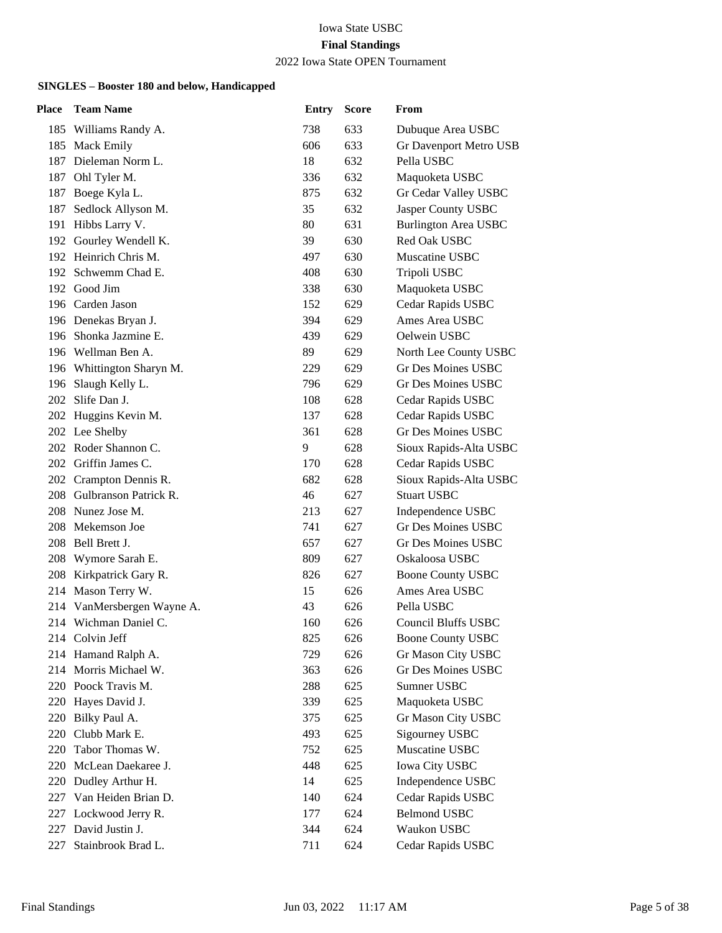## 2022 Iowa State OPEN Tournament

| Place | <b>Team Name</b>           | <b>Entry</b> | <b>Score</b> | From                        |
|-------|----------------------------|--------------|--------------|-----------------------------|
|       | 185 Williams Randy A.      | 738          | 633          | Dubuque Area USBC           |
|       | 185 Mack Emily             | 606          | 633          | Gr Davenport Metro USB      |
| 187   | Dieleman Norm L.           | 18           | 632          | Pella USBC                  |
|       | 187 Ohl Tyler M.           | 336          | 632          | Maquoketa USBC              |
|       | 187 Boege Kyla L.          | 875          | 632          | Gr Cedar Valley USBC        |
| 187   | Sedlock Allyson M.         | 35           | 632          | Jasper County USBC          |
|       | 191 Hibbs Larry V.         | 80           | 631          | <b>Burlington Area USBC</b> |
|       | 192 Gourley Wendell K.     | 39           | 630          | Red Oak USBC                |
|       | 192 Heinrich Chris M.      | 497          | 630          | Muscatine USBC              |
|       | 192 Schwemm Chad E.        | 408          | 630          | Tripoli USBC                |
|       | 192 Good Jim               | 338          | 630          | Maquoketa USBC              |
|       | 196 Carden Jason           | 152          | 629          | Cedar Rapids USBC           |
|       | 196 Denekas Bryan J.       | 394          | 629          | Ames Area USBC              |
|       | 196 Shonka Jazmine E.      | 439          | 629          | Oelwein USBC                |
|       | 196 Wellman Ben A.         | 89           | 629          | North Lee County USBC       |
|       | 196 Whittington Sharyn M.  | 229          | 629          | <b>Gr Des Moines USBC</b>   |
|       | 196 Slaugh Kelly L.        | 796          | 629          | Gr Des Moines USBC          |
|       | 202 Slife Dan J.           | 108          | 628          | Cedar Rapids USBC           |
|       | 202 Huggins Kevin M.       | 137          | 628          | Cedar Rapids USBC           |
|       | 202 Lee Shelby             | 361          | 628          | <b>Gr Des Moines USBC</b>   |
|       | 202 Roder Shannon C.       | 9            | 628          | Sioux Rapids-Alta USBC      |
|       | 202 Griffin James C.       | 170          | 628          | Cedar Rapids USBC           |
|       | 202 Crampton Dennis R.     | 682          | 628          | Sioux Rapids-Alta USBC      |
|       | 208 Gulbranson Patrick R.  | 46           | 627          | <b>Stuart USBC</b>          |
|       | 208 Nunez Jose M.          | 213          | 627          | Independence USBC           |
| 208   | Mekemson Joe               | 741          | 627          | <b>Gr Des Moines USBC</b>   |
|       | 208 Bell Brett J.          | 657          | 627          | Gr Des Moines USBC          |
|       | 208 Wymore Sarah E.        | 809          | 627          | Oskaloosa USBC              |
|       | 208 Kirkpatrick Gary R.    | 826          | 627          | <b>Boone County USBC</b>    |
| 214   | Mason Terry W.             | 15           | 626          | Ames Area USBC              |
|       | 214 VanMersbergen Wayne A. | 43           | 626          | Pella USBC                  |
|       | 214 Wichman Daniel C.      | 160          | 626          | Council Bluffs USBC         |
|       | 214 Colvin Jeff            | 825          | 626          | <b>Boone County USBC</b>    |
| 214   | Hamand Ralph A.            | 729          | 626          | Gr Mason City USBC          |
| 214   | Morris Michael W.          | 363          | 626          | <b>Gr Des Moines USBC</b>   |
|       | 220 Poock Travis M.        | 288          | 625          | Sumner USBC                 |
|       | 220 Hayes David J.         | 339          | 625          | Maquoketa USBC              |
| 220   | Bilky Paul A.              | 375          | 625          | Gr Mason City USBC          |
| 220   | Clubb Mark E.              | 493          | 625          | Sigourney USBC              |
| 220   | Tabor Thomas W.            | 752          | 625          | Muscatine USBC              |
| 220   | McLean Daekaree J.         | 448          | 625          | <b>Iowa City USBC</b>       |
| 220   | Dudley Arthur H.           | 14           | 625          | Independence USBC           |
| 227   | Van Heiden Brian D.        | 140          | 624          | Cedar Rapids USBC           |
| 227   | Lockwood Jerry R.          | 177          | 624          | <b>Belmond USBC</b>         |
| 227   | David Justin J.            | 344          | 624          | Waukon USBC                 |
| 227   | Stainbrook Brad L.         | 711          | 624          | Cedar Rapids USBC           |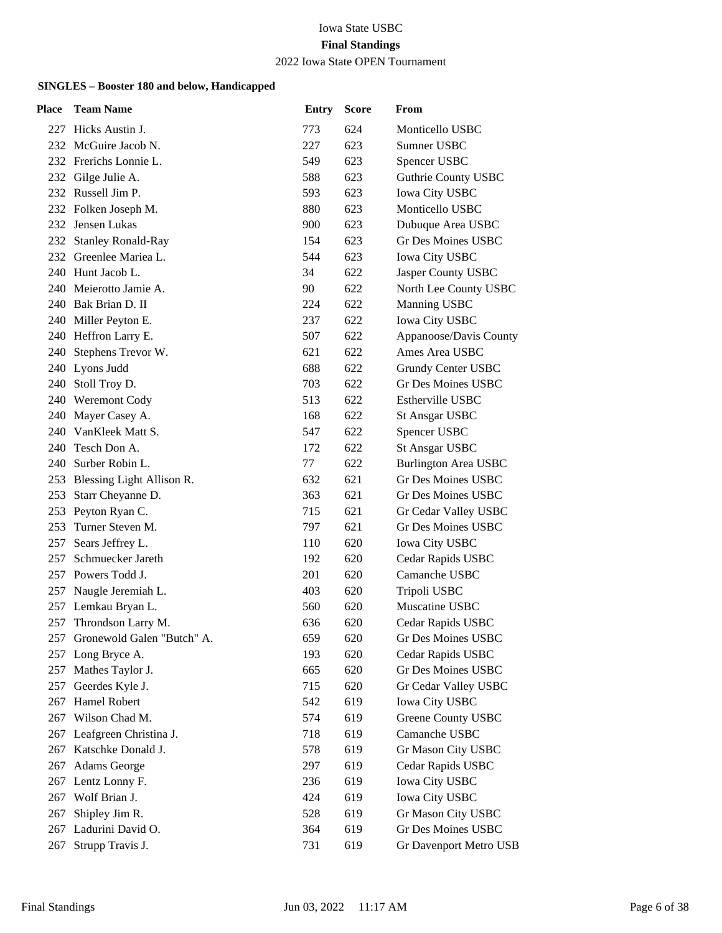## 2022 Iowa State OPEN Tournament

| Place | <b>Team Name</b>               | <b>Entry</b> | <b>Score</b> | From                        |
|-------|--------------------------------|--------------|--------------|-----------------------------|
|       | 227 Hicks Austin J.            | 773          | 624          | Monticello USBC             |
|       | 232 McGuire Jacob N.           | 227          | 623          | Sumner USBC                 |
|       | 232 Frerichs Lonnie L.         | 549          | 623          | Spencer USBC                |
|       | 232 Gilge Julie A.             | 588          | 623          | <b>Guthrie County USBC</b>  |
|       | 232 Russell Jim P.             | 593          | 623          | <b>Iowa City USBC</b>       |
|       | 232 Folken Joseph M.           | 880          | 623          | Monticello USBC             |
| 232   | Jensen Lukas                   | 900          | 623          | Dubuque Area USBC           |
|       | 232 Stanley Ronald-Ray         | 154          | 623          | Gr Des Moines USBC          |
|       | 232 Greenlee Mariea L.         | 544          | 623          | Iowa City USBC              |
|       | 240 Hunt Jacob L.              | 34           | 622          | Jasper County USBC          |
| 240   | Meierotto Jamie A.             | 90           | 622          | North Lee County USBC       |
|       | 240 Bak Brian D. II            | 224          | 622          | Manning USBC                |
|       | 240 Miller Peyton E.           | 237          | 622          | <b>Iowa City USBC</b>       |
|       | 240 Heffron Larry E.           | 507          | 622          | Appanoose/Davis County      |
|       | 240 Stephens Trevor W.         | 621          | 622          | Ames Area USBC              |
|       | 240 Lyons Judd                 | 688          | 622          | Grundy Center USBC          |
|       | 240 Stoll Troy D.              | 703          | 622          | <b>Gr Des Moines USBC</b>   |
|       | 240 Weremont Cody              | 513          | 622          | <b>Estherville USBC</b>     |
|       | 240 Mayer Casey A.             | 168          | 622          | <b>St Ansgar USBC</b>       |
|       | 240 VanKleek Matt S.           | 547          | 622          | Spencer USBC                |
|       | 240 Tesch Don A.               | 172          | 622          | <b>St Ansgar USBC</b>       |
|       | 240 Surber Robin L.            | 77           | 622          | <b>Burlington Area USBC</b> |
|       | 253 Blessing Light Allison R.  | 632          | 621          | Gr Des Moines USBC          |
|       | 253 Starr Cheyanne D.          | 363          | 621          | Gr Des Moines USBC          |
|       | 253 Peyton Ryan C.             | 715          | 621          | Gr Cedar Valley USBC        |
| 253   | Turner Steven M.               | 797          | 621          | <b>Gr Des Moines USBC</b>   |
| 257   | Sears Jeffrey L.               | 110          | 620          | <b>Iowa City USBC</b>       |
| 257   | Schmuecker Jareth              | 192          | 620          | Cedar Rapids USBC           |
|       | 257 Powers Todd J.             | 201          | 620          | Camanche USBC               |
| 257   | Naugle Jeremiah L.             | 403          | 620          | Tripoli USBC                |
| 257   | Lemkau Bryan L.                | 560          | 620          | Muscatine USBC              |
| 257   | Throndson Larry M.             | 636          | 620          | Cedar Rapids USBC           |
|       | 257 Gronewold Galen "Butch" A. | 659          | 620          | Gr Des Moines USBC          |
| 257   | Long Bryce A.                  | 193          | 620          | Cedar Rapids USBC           |
| 257   | Mathes Taylor J.               | 665          | 620          | <b>Gr Des Moines USBC</b>   |
| 257   | Geerdes Kyle J.                | 715          | 620          | Gr Cedar Valley USBC        |
| 267   | Hamel Robert                   | 542          | 619          | <b>Iowa City USBC</b>       |
| 267   | Wilson Chad M.                 | 574          | 619          | <b>Greene County USBC</b>   |
| 267   | Leafgreen Christina J.         | 718          | 619          | Camanche USBC               |
| 267   | Katschke Donald J.             | 578          | 619          | Gr Mason City USBC          |
| 267   | Adams George                   | 297          | 619          | Cedar Rapids USBC           |
| 267   | Lentz Lonny F.                 | 236          | 619          | Iowa City USBC              |
| 267   | Wolf Brian J.                  | 424          | 619          | <b>Iowa City USBC</b>       |
| 267   | Shipley Jim R.                 | 528          | 619          | Gr Mason City USBC          |
| 267   | Ladurini David O.              | 364          | 619          | <b>Gr Des Moines USBC</b>   |
| 267   | Strupp Travis J.               | 731          | 619          | Gr Davenport Metro USB      |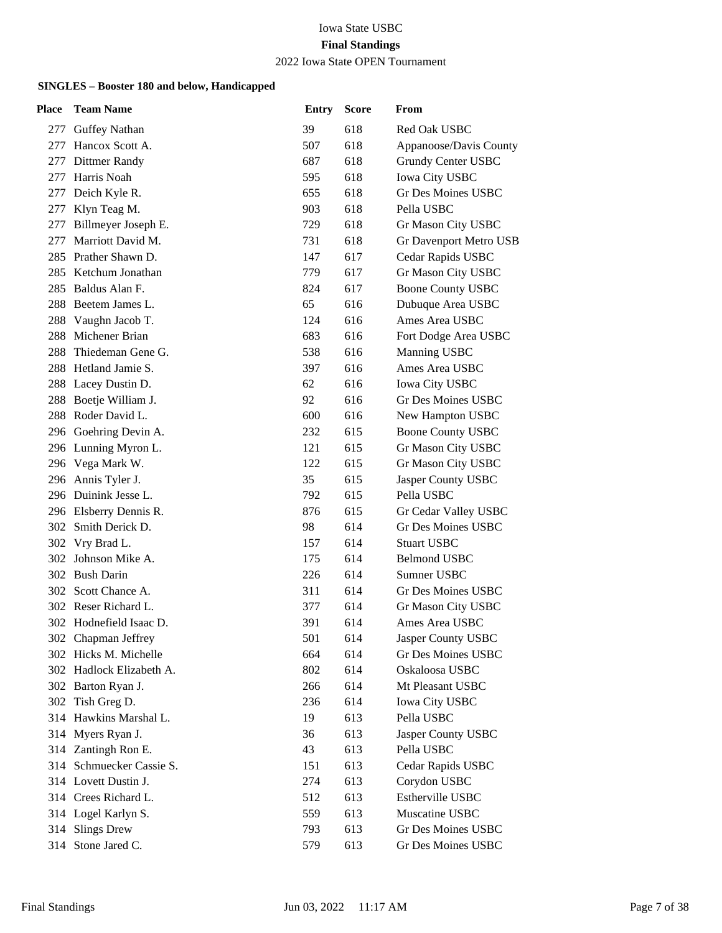## 2022 Iowa State OPEN Tournament

| Place | <b>Team Name</b>         | <b>Entry</b> | <b>Score</b> | From                      |
|-------|--------------------------|--------------|--------------|---------------------------|
|       | 277 Guffey Nathan        | 39           | 618          | Red Oak USBC              |
| 277   | Hancox Scott A.          | 507          | 618          | Appanoose/Davis County    |
| 277   | Dittmer Randy            | 687          | 618          | <b>Grundy Center USBC</b> |
| 277   | Harris Noah              | 595          | 618          | <b>Iowa City USBC</b>     |
|       | 277 Deich Kyle R.        | 655          | 618          | Gr Des Moines USBC        |
| 277   | Klyn Teag M.             | 903          | 618          | Pella USBC                |
| 277   | Billmeyer Joseph E.      | 729          | 618          | Gr Mason City USBC        |
| 277   | Marriott David M.        | 731          | 618          | Gr Davenport Metro USB    |
| 285   | Prather Shawn D.         | 147          | 617          | Cedar Rapids USBC         |
|       | 285 Ketchum Jonathan     | 779          | 617          | Gr Mason City USBC        |
| 285   | Baldus Alan F.           | 824          | 617          | <b>Boone County USBC</b>  |
|       | 288 Beetem James L.      | 65           | 616          | Dubuque Area USBC         |
|       | 288 Vaughn Jacob T.      | 124          | 616          | Ames Area USBC            |
| 288   | Michener Brian           | 683          | 616          | Fort Dodge Area USBC      |
| 288   | Thiedeman Gene G.        | 538          | 616          | <b>Manning USBC</b>       |
|       | 288 Hetland Jamie S.     | 397          | 616          | Ames Area USBC            |
|       | 288 Lacey Dustin D.      | 62           | 616          | <b>Iowa City USBC</b>     |
|       | 288 Boetje William J.    | 92           | 616          | <b>Gr Des Moines USBC</b> |
|       | 288 Roder David L.       | 600          | 616          | New Hampton USBC          |
|       | 296 Goehring Devin A.    | 232          | 615          | <b>Boone County USBC</b>  |
|       | 296 Lunning Myron L.     | 121          | 615          | Gr Mason City USBC        |
|       | 296 Vega Mark W.         | 122          | 615          | Gr Mason City USBC        |
|       | 296 Annis Tyler J.       | 35           | 615          | Jasper County USBC        |
|       | 296 Duinink Jesse L.     | 792          | 615          | Pella USBC                |
|       | 296 Elsberry Dennis R.   | 876          | 615          | Gr Cedar Valley USBC      |
| 302   | Smith Derick D.          | 98           | 614          | <b>Gr Des Moines USBC</b> |
|       | 302 Vry Brad L.          | 157          | 614          | <b>Stuart USBC</b>        |
| 302   | Johnson Mike A.          | 175          | 614          | <b>Belmond USBC</b>       |
|       | 302 Bush Darin           | 226          | 614          | Sumner USBC               |
| 302   | Scott Chance A.          | 311          | 614          | <b>Gr Des Moines USBC</b> |
|       | 302 Reser Richard L.     | 377          | 614          | Gr Mason City USBC        |
|       | 302 Hodnefield Isaac D.  | 391          | 614          | Ames Area USBC            |
|       | 302 Chapman Jeffrey      | 501          | 614          | Jasper County USBC        |
|       | 302 Hicks M. Michelle    | 664          | 614          | <b>Gr Des Moines USBC</b> |
|       | 302 Hadlock Elizabeth A. | 802          | 614          | Oskaloosa USBC            |
|       | 302 Barton Ryan J.       | 266          | 614          | Mt Pleasant USBC          |
|       | 302 Tish Greg D.         | 236          | 614          | <b>Iowa City USBC</b>     |
|       | 314 Hawkins Marshal L.   | 19           | 613          | Pella USBC                |
| 314   | Myers Ryan J.            | 36           | 613          | Jasper County USBC        |
|       | 314 Zantingh Ron E.      | 43           | 613          | Pella USBC                |
|       | 314 Schmuecker Cassie S. | 151          | 613          | Cedar Rapids USBC         |
|       | 314 Lovett Dustin J.     | 274          | 613          | Corydon USBC              |
|       | 314 Crees Richard L.     | 512          | 613          | Estherville USBC          |
|       | 314 Logel Karlyn S.      | 559          | 613          | Muscatine USBC            |
|       | 314 Slings Drew          | 793          | 613          | Gr Des Moines USBC        |
|       | 314 Stone Jared C.       | 579          | 613          | Gr Des Moines USBC        |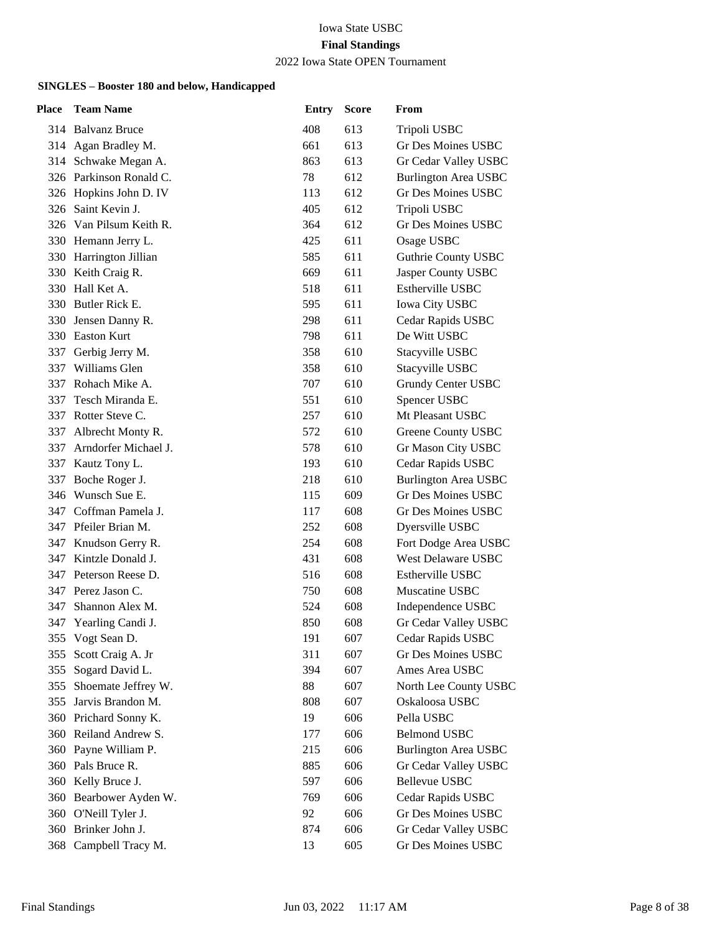## 2022 Iowa State OPEN Tournament

| Place | <b>Team Name</b>        | <b>Entry</b> | <b>Score</b> | From                        |
|-------|-------------------------|--------------|--------------|-----------------------------|
|       | 314 Balvanz Bruce       | 408          | 613          | Tripoli USBC                |
|       | 314 Agan Bradley M.     | 661          | 613          | Gr Des Moines USBC          |
|       | 314 Schwake Megan A.    | 863          | 613          | Gr Cedar Valley USBC        |
|       | 326 Parkinson Ronald C. | 78           | 612          | <b>Burlington Area USBC</b> |
|       | 326 Hopkins John D. IV  | 113          | 612          | Gr Des Moines USBC          |
|       | 326 Saint Kevin J.      | 405          | 612          | Tripoli USBC                |
|       | 326 Van Pilsum Keith R. | 364          | 612          | Gr Des Moines USBC          |
|       | 330 Hemann Jerry L.     | 425          | 611          | Osage USBC                  |
|       | 330 Harrington Jillian  | 585          | 611          | Guthrie County USBC         |
|       | 330 Keith Craig R.      | 669          | 611          | Jasper County USBC          |
| 330   | Hall Ket A.             | 518          | 611          | Estherville USBC            |
|       | 330 Butler Rick E.      | 595          | 611          | <b>Iowa City USBC</b>       |
| 330   | Jensen Danny R.         | 298          | 611          | Cedar Rapids USBC           |
|       | 330 Easton Kurt         | 798          | 611          | De Witt USBC                |
| 337   | Gerbig Jerry M.         | 358          | 610          | Stacyville USBC             |
| 337   | Williams Glen           | 358          | 610          | Stacyville USBC             |
| 337   | Rohach Mike A.          | 707          | 610          | Grundy Center USBC          |
| 337   | Tesch Miranda E.        | 551          | 610          | Spencer USBC                |
| 337   | Rotter Steve C.         | 257          | 610          | Mt Pleasant USBC            |
| 337   | Albrecht Monty R.       | 572          | 610          | Greene County USBC          |
| 337   | Arndorfer Michael J.    | 578          | 610          | Gr Mason City USBC          |
| 337   | Kautz Tony L.           | 193          | 610          | Cedar Rapids USBC           |
| 337   | Boche Roger J.          | 218          | 610          | <b>Burlington Area USBC</b> |
|       | 346 Wunsch Sue E.       | 115          | 609          | <b>Gr Des Moines USBC</b>   |
|       | 347 Coffman Pamela J.   | 117          | 608          | Gr Des Moines USBC          |
| 347   | Pfeiler Brian M.        | 252          | 608          | Dyersville USBC             |
| 347   | Knudson Gerry R.        | 254          | 608          | Fort Dodge Area USBC        |
| 347   | Kintzle Donald J.       | 431          | 608          | <b>West Delaware USBC</b>   |
|       | 347 Peterson Reese D.   | 516          | 608          | <b>Estherville USBC</b>     |
| 347   | Perez Jason C.          | 750          | 608          | Muscatine USBC              |
| 347   | Shannon Alex M.         | 524          | 608          | Independence USBC           |
|       | 347 Yearling Candi J.   | 850          | 608          | Gr Cedar Valley USBC        |
|       | 355 Vogt Sean D.        | 191          | 607          | Cedar Rapids USBC           |
| 355   | Scott Craig A. Jr       | 311          | 607          | <b>Gr Des Moines USBC</b>   |
| 355   | Sogard David L.         | 394          | 607          | Ames Area USBC              |
| 355   | Shoemate Jeffrey W.     | 88           | 607          | North Lee County USBC       |
| 355   | Jarvis Brandon M.       | 808          | 607          | Oskaloosa USBC              |
| 360   | Prichard Sonny K.       | 19           | 606          | Pella USBC                  |
| 360   | Reiland Andrew S.       | 177          | 606          | <b>Belmond USBC</b>         |
| 360   | Payne William P.        | 215          | 606          | <b>Burlington Area USBC</b> |
| 360   | Pals Bruce R.           | 885          | 606          | Gr Cedar Valley USBC        |
| 360   | Kelly Bruce J.          | 597          | 606          | Bellevue USBC               |
| 360   | Bearbower Ayden W.      | 769          | 606          | Cedar Rapids USBC           |
|       | 360 O'Neill Tyler J.    | 92           | 606          | Gr Des Moines USBC          |
| 360   | Brinker John J.         | 874          | 606          | Gr Cedar Valley USBC        |
|       | 368 Campbell Tracy M.   | 13           | 605          | Gr Des Moines USBC          |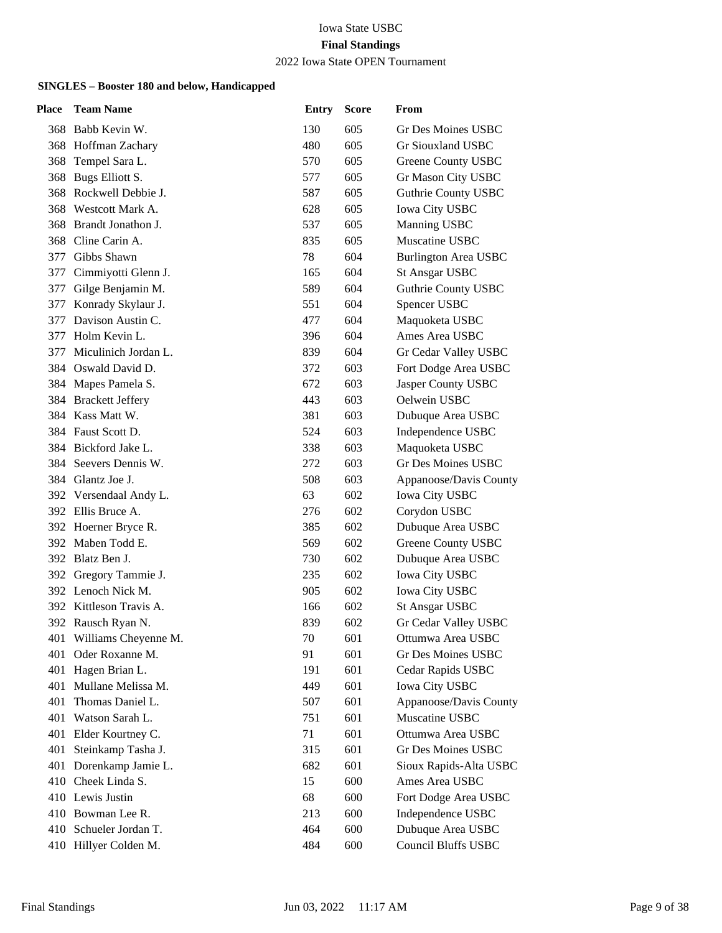## 2022 Iowa State OPEN Tournament

| Place | <b>Team Name</b>         | <b>Entry</b> | <b>Score</b> | From                        |
|-------|--------------------------|--------------|--------------|-----------------------------|
|       | 368 Babb Kevin W.        | 130          | 605          | Gr Des Moines USBC          |
|       | 368 Hoffman Zachary      | 480          | 605          | Gr Siouxland USBC           |
| 368   | Tempel Sara L.           | 570          | 605          | Greene County USBC          |
| 368   | Bugs Elliott S.          | 577          | 605          | Gr Mason City USBC          |
| 368   | Rockwell Debbie J.       | 587          | 605          | <b>Guthrie County USBC</b>  |
| 368   | Westcott Mark A.         | 628          | 605          | <b>Iowa City USBC</b>       |
| 368   | Brandt Jonathon J.       | 537          | 605          | Manning USBC                |
| 368   | Cline Carin A.           | 835          | 605          | Muscatine USBC              |
| 377   | Gibbs Shawn              | 78           | 604          | <b>Burlington Area USBC</b> |
| 377   | Cimmiyotti Glenn J.      | 165          | 604          | <b>St Ansgar USBC</b>       |
| 377   | Gilge Benjamin M.        | 589          | 604          | Guthrie County USBC         |
| 377   | Konrady Skylaur J.       | 551          | 604          | Spencer USBC                |
| 377   | Davison Austin C.        | 477          | 604          | Maquoketa USBC              |
| 377   | Holm Kevin L.            | 396          | 604          | Ames Area USBC              |
| 377   | Miculinich Jordan L.     | 839          | 604          | Gr Cedar Valley USBC        |
|       | 384 Oswald David D.      | 372          | 603          | Fort Dodge Area USBC        |
|       | 384 Mapes Pamela S.      | 672          | 603          | Jasper County USBC          |
|       | 384 Brackett Jeffery     | 443          | 603          | Oelwein USBC                |
|       | 384 Kass Matt W.         | 381          | 603          | Dubuque Area USBC           |
|       | 384 Faust Scott D.       | 524          | 603          | Independence USBC           |
|       | 384 Bickford Jake L.     | 338          | 603          | Maquoketa USBC              |
| 384   | Seevers Dennis W.        | 272          | 603          | <b>Gr Des Moines USBC</b>   |
|       | 384 Glantz Joe J.        | 508          | 603          | Appanoose/Davis County      |
|       | 392 Versendaal Andy L.   | 63           | 602          | <b>Iowa City USBC</b>       |
|       | 392 Ellis Bruce A.       | 276          | 602          | Corydon USBC                |
|       | 392 Hoerner Bryce R.     | 385          | 602          | Dubuque Area USBC           |
| 392   | Maben Todd E.            | 569          | 602          | <b>Greene County USBC</b>   |
|       | 392 Blatz Ben J.         | 730          | 602          | Dubuque Area USBC           |
|       | 392 Gregory Tammie J.    | 235          | 602          | <b>Iowa City USBC</b>       |
|       | 392 Lenoch Nick M.       | 905          | 602          | <b>Iowa City USBC</b>       |
|       | 392 Kittleson Travis A.  | 166          | 602          | <b>St Ansgar USBC</b>       |
|       | 392 Rausch Ryan N.       | 839          | 602          | Gr Cedar Valley USBC        |
|       | 401 Williams Cheyenne M. | 70           | 601          | Ottumwa Area USBC           |
| 401   | Oder Roxanne M.          | 91           | 601          | <b>Gr Des Moines USBC</b>   |
| 401   | Hagen Brian L.           | 191          | 601          | Cedar Rapids USBC           |
| 401   | Mullane Melissa M.       | 449          | 601          | <b>Iowa City USBC</b>       |
| 401   | Thomas Daniel L.         | 507          | 601          | Appanoose/Davis County      |
| 401   | Watson Sarah L.          | 751          | 601          | Muscatine USBC              |
| 401   | Elder Kourtney C.        | 71           | 601          | Ottumwa Area USBC           |
| 401   | Steinkamp Tasha J.       | 315          | 601          | <b>Gr Des Moines USBC</b>   |
|       | 401 Dorenkamp Jamie L.   | 682          | 601          | Sioux Rapids-Alta USBC      |
|       | 410 Cheek Linda S.       | 15           | 600          | Ames Area USBC              |
|       | 410 Lewis Justin         | 68           | 600          | Fort Dodge Area USBC        |
|       | 410 Bowman Lee R.        | 213          | 600          | Independence USBC           |
|       | 410 Schueler Jordan T.   | 464          | 600          | Dubuque Area USBC           |
|       | 410 Hillyer Colden M.    | 484          | 600          | Council Bluffs USBC         |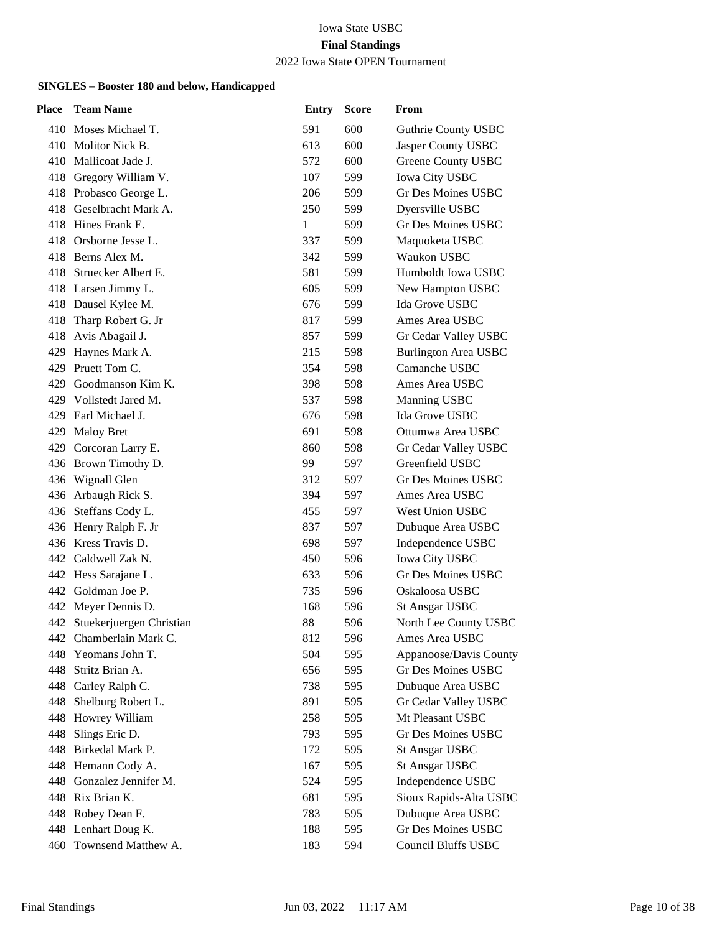## 2022 Iowa State OPEN Tournament

| Place | <b>Team Name</b>             | <b>Entry</b> | <b>Score</b> | From                        |
|-------|------------------------------|--------------|--------------|-----------------------------|
|       | 410 Moses Michael T.         | 591          | 600          | Guthrie County USBC         |
|       | 410 Molitor Nick B.          | 613          | 600          | Jasper County USBC          |
|       | 410 Mallicoat Jade J.        | 572          | 600          | <b>Greene County USBC</b>   |
|       | 418 Gregory William V.       | 107          | 599          | <b>Iowa City USBC</b>       |
|       | 418 Probasco George L.       | 206          | 599          | <b>Gr Des Moines USBC</b>   |
|       | 418 Geselbracht Mark A.      | 250          | 599          | Dyersville USBC             |
|       | 418 Hines Frank E.           | $\mathbf{1}$ | 599          | Gr Des Moines USBC          |
|       | 418 Orsborne Jesse L.        | 337          | 599          | Maquoketa USBC              |
|       | 418 Berns Alex M.            | 342          | 599          | Waukon USBC                 |
|       | 418 Struecker Albert E.      | 581          | 599          | Humboldt Iowa USBC          |
|       | 418 Larsen Jimmy L.          | 605          | 599          | New Hampton USBC            |
|       | 418 Dausel Kylee M.          | 676          | 599          | Ida Grove USBC              |
|       | 418 Tharp Robert G. Jr       | 817          | 599          | Ames Area USBC              |
| 418   | Avis Abagail J.              | 857          | 599          | Gr Cedar Valley USBC        |
| 429   | Haynes Mark A.               | 215          | 598          | <b>Burlington Area USBC</b> |
|       | 429 Pruett Tom C.            | 354          | 598          | Camanche USBC               |
|       | 429 Goodmanson Kim K.        | 398          | 598          | Ames Area USBC              |
|       | 429 Vollstedt Jared M.       | 537          | 598          | Manning USBC                |
| 429.  | Earl Michael J.              | 676          | 598          | Ida Grove USBC              |
|       | 429 Maloy Bret               | 691          | 598          | Ottumwa Area USBC           |
|       | 429 Corcoran Larry E.        | 860          | 598          | Gr Cedar Valley USBC        |
|       | 436 Brown Timothy D.         | 99           | 597          | Greenfield USBC             |
|       | 436 Wignall Glen             | 312          | 597          | <b>Gr Des Moines USBC</b>   |
|       | 436 Arbaugh Rick S.          | 394          | 597          | Ames Area USBC              |
|       | 436 Steffans Cody L.         | 455          | 597          | <b>West Union USBC</b>      |
|       | 436 Henry Ralph F. Jr        | 837          | 597          | Dubuque Area USBC           |
|       | 436 Kress Travis D.          | 698          | 597          | Independence USBC           |
|       | 442 Caldwell Zak N.          | 450          | 596          | <b>Iowa City USBC</b>       |
|       | 442 Hess Sarajane L.         | 633          | 596          | <b>Gr Des Moines USBC</b>   |
|       | 442 Goldman Joe P.           | 735          | 596          | Oskaloosa USBC              |
|       | 442 Meyer Dennis D.          | 168          | 596          | <b>St Ansgar USBC</b>       |
|       | 442 Stuekerjuergen Christian | 88           | 596          | North Lee County USBC       |
|       | 442 Chamberlain Mark C.      | 812          | 596          | Ames Area USBC              |
| 448   | Yeomans John T.              | 504          | 595          | Appanoose/Davis County      |
| 448   | Stritz Brian A.              | 656          | 595          | Gr Des Moines USBC          |
|       | 448 Carley Ralph C.          | 738          | 595          | Dubuque Area USBC           |
| 448   | Shelburg Robert L.           | 891          | 595          | Gr Cedar Valley USBC        |
| 448   | Howrey William               | 258          | 595          | Mt Pleasant USBC            |
| 448   | Slings Eric D.               | 793          | 595          | <b>Gr Des Moines USBC</b>   |
| 448   | Birkedal Mark P.             | 172          | 595          | <b>St Ansgar USBC</b>       |
|       | 448 Hemann Cody A.           | 167          | 595          | <b>St Ansgar USBC</b>       |
| 448   | Gonzalez Jennifer M.         | 524          | 595          | Independence USBC           |
|       | 448 Rix Brian K.             | 681          | 595          | Sioux Rapids-Alta USBC      |
|       | 448 Robey Dean F.            | 783          | 595          | Dubuque Area USBC           |
|       | 448 Lenhart Doug K.          | 188          | 595          | Gr Des Moines USBC          |
|       | 460 Townsend Matthew A.      | 183          | 594          | Council Bluffs USBC         |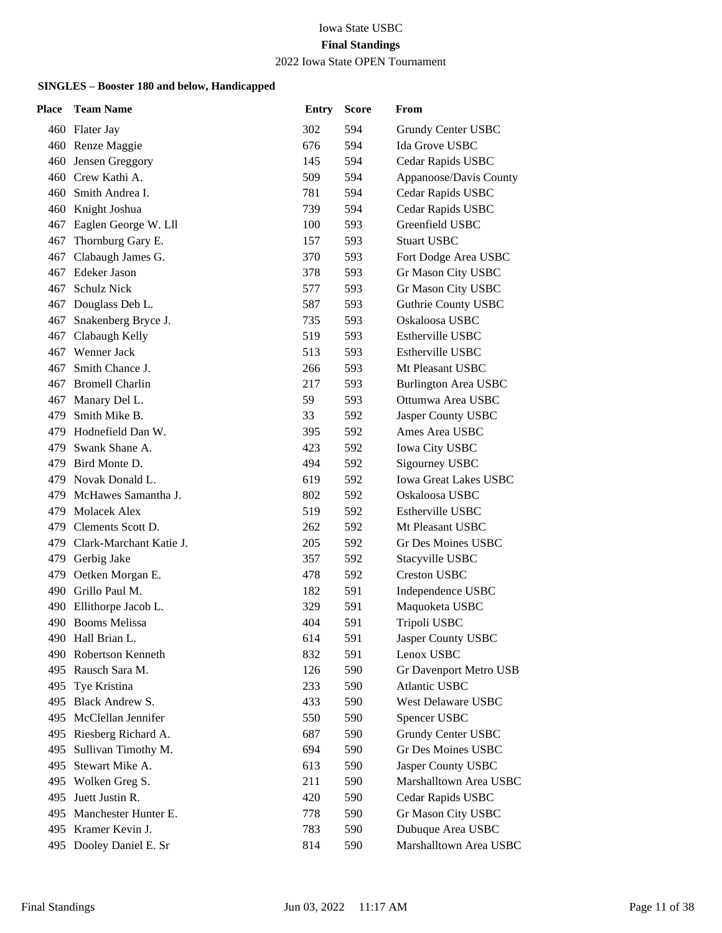## 2022 Iowa State OPEN Tournament

| Place | <b>Team Name</b>            | <b>Entry</b> | <b>Score</b> | From                         |
|-------|-----------------------------|--------------|--------------|------------------------------|
|       | 460 Flater Jay              | 302          | 594          | Grundy Center USBC           |
|       | 460 Renze Maggie            | 676          | 594          | Ida Grove USBC               |
| 460   | Jensen Greggory             | 145          | 594          | Cedar Rapids USBC            |
|       | 460 Crew Kathi A.           | 509          | 594          | Appanoose/Davis County       |
|       | 460 Smith Andrea I.         | 781          | 594          | Cedar Rapids USBC            |
|       | 460 Knight Joshua           | 739          | 594          | Cedar Rapids USBC            |
| 467   | Eaglen George W. Lll        | 100          | 593          | Greenfield USBC              |
|       | 467 Thornburg Gary E.       | 157          | 593          | <b>Stuart USBC</b>           |
|       | 467 Clabaugh James G.       | 370          | 593          | Fort Dodge Area USBC         |
| 467   | Edeker Jason                | 378          | 593          | Gr Mason City USBC           |
| 467   | Schulz Nick                 | 577          | 593          | Gr Mason City USBC           |
|       | 467 Douglass Deb L.         | 587          | 593          | <b>Guthrie County USBC</b>   |
| 467   | Snakenberg Bryce J.         | 735          | 593          | Oskaloosa USBC               |
| 467   | Clabaugh Kelly              | 519          | 593          | Estherville USBC             |
|       | 467 Wenner Jack             | 513          | 593          | Estherville USBC             |
| 467   | Smith Chance J.             | 266          | 593          | Mt Pleasant USBC             |
|       | 467 Bromell Charlin         | 217          | 593          | <b>Burlington Area USBC</b>  |
| 467   | Manary Del L.               | 59           | 593          | Ottumwa Area USBC            |
| 479   | Smith Mike B.               | 33           | 592          | Jasper County USBC           |
|       | 479 Hodnefield Dan W.       | 395          | 592          | Ames Area USBC               |
|       | 479 Swank Shane A.          | 423          | 592          | <b>Iowa City USBC</b>        |
|       | 479 Bird Monte D.           | 494          | 592          | Sigourney USBC               |
|       | 479 Novak Donald L.         | 619          | 592          | <b>Iowa Great Lakes USBC</b> |
|       | 479 McHawes Samantha J.     | 802          | 592          | Oskaloosa USBC               |
|       | 479 Molacek Alex            | 519          | 592          | <b>Estherville USBC</b>      |
|       | 479 Clements Scott D.       | 262          | 592          | Mt Pleasant USBC             |
|       | 479 Clark-Marchant Katie J. | 205          | 592          | Gr Des Moines USBC           |
|       | 479 Gerbig Jake             | 357          | 592          | Stacyville USBC              |
|       | 479 Oetken Morgan E.        | 478          | 592          | <b>Creston USBC</b>          |
|       | 490 Grillo Paul M.          | 182          | 591          | Independence USBC            |
| 490   | Ellithorpe Jacob L.         | 329          | 591          | Maquoketa USBC               |
|       | 490 Booms Melissa           | 404          | 591          | Tripoli USBC                 |
|       | 490 Hall Brian L.           | 614          | 591          | Jasper County USBC           |
| 490   | Robertson Kenneth           | 832          | 591          | Lenox USBC                   |
| 495   | Rausch Sara M.              | 126          | 590          | Gr Davenport Metro USB       |
| 495   | Tye Kristina                | 233          | 590          | Atlantic USBC                |
|       | 495 Black Andrew S.         | 433          | 590          | West Delaware USBC           |
|       | 495 McClellan Jennifer      | 550          | 590          | Spencer USBC                 |
| 495   | Riesberg Richard A.         | 687          | 590          | <b>Grundy Center USBC</b>    |
| 495   | Sullivan Timothy M.         | 694          | 590          | Gr Des Moines USBC           |
| 495   | Stewart Mike A.             | 613          | 590          | Jasper County USBC           |
|       | 495 Wolken Greg S.          | 211          | 590          | Marshalltown Area USBC       |
| 495   | Juett Justin R.             | 420          | 590          | Cedar Rapids USBC            |
|       | 495 Manchester Hunter E.    | 778          | 590          | Gr Mason City USBC           |
|       | 495 Kramer Kevin J.         | 783          | 590          | Dubuque Area USBC            |
|       | 495 Dooley Daniel E. Sr     | 814          | 590          | Marshalltown Area USBC       |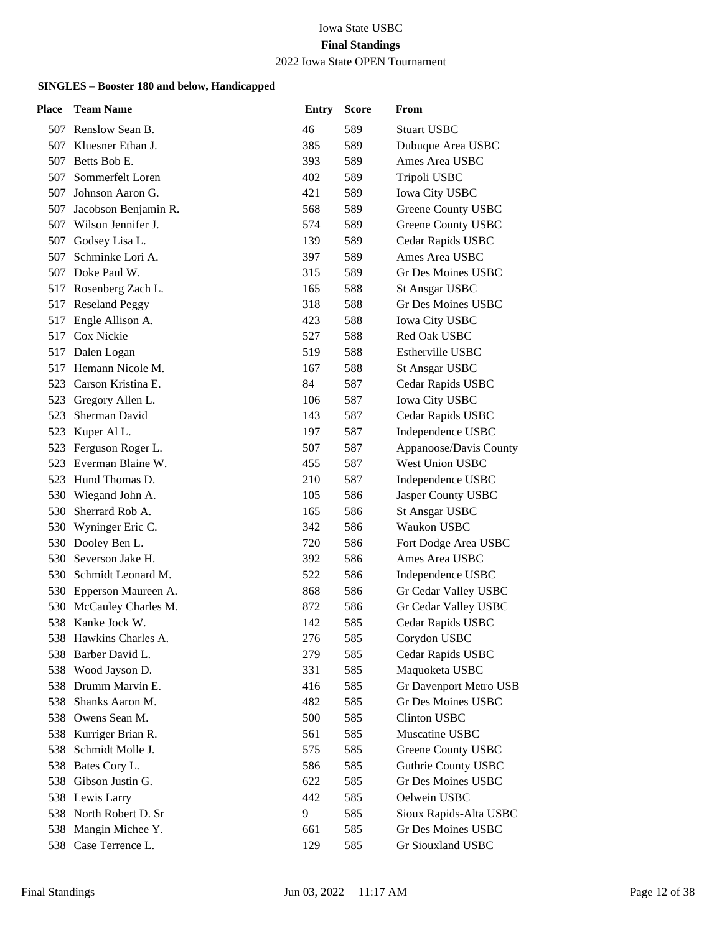#### 2022 Iowa State OPEN Tournament

| Place | <b>Team Name</b>       | <b>Entry</b> | <b>Score</b> | From                       |
|-------|------------------------|--------------|--------------|----------------------------|
|       | 507 Renslow Sean B.    | 46           | 589          | <b>Stuart USBC</b>         |
| 507   | Kluesner Ethan J.      | 385          | 589          | Dubuque Area USBC          |
| 507   | Betts Bob E.           | 393          | 589          | Ames Area USBC             |
| 507   | Sommerfelt Loren       | 402          | 589          | Tripoli USBC               |
| 507   | Johnson Aaron G.       | 421          | 589          | <b>Iowa City USBC</b>      |
| 507   | Jacobson Benjamin R.   | 568          | 589          | Greene County USBC         |
| 507   | Wilson Jennifer J.     | 574          | 589          | <b>Greene County USBC</b>  |
| 507   | Godsey Lisa L.         | 139          | 589          | Cedar Rapids USBC          |
| 507   | Schminke Lori A.       | 397          | 589          | Ames Area USBC             |
| 507   | Doke Paul W.           | 315          | 589          | Gr Des Moines USBC         |
| 517   | Rosenberg Zach L.      | 165          | 588          | <b>St Ansgar USBC</b>      |
|       | 517 Reseland Peggy     | 318          | 588          | <b>Gr Des Moines USBC</b>  |
| 517   | Engle Allison A.       | 423          | 588          | <b>Iowa City USBC</b>      |
| 517   | <b>Cox Nickie</b>      | 527          | 588          | Red Oak USBC               |
| 517   | Dalen Logan            | 519          | 588          | Estherville USBC           |
|       | 517 Hemann Nicole M.   | 167          | 588          | <b>St Ansgar USBC</b>      |
|       | 523 Carson Kristina E. | 84           | 587          | Cedar Rapids USBC          |
| 523   | Gregory Allen L.       | 106          | 587          | <b>Iowa City USBC</b>      |
| 523   | Sherman David          | 143          | 587          | Cedar Rapids USBC          |
|       | 523 Kuper Al L.        | 197          | 587          | Independence USBC          |
| 523   | Ferguson Roger L.      | 507          | 587          | Appanoose/Davis County     |
| 523   | Everman Blaine W.      | 455          | 587          | West Union USBC            |
|       | 523 Hund Thomas D.     | 210          | 587          | Independence USBC          |
|       | 530 Wiegand John A.    | 105          | 586          | Jasper County USBC         |
| 530   | Sherrard Rob A.        | 165          | 586          | <b>St Ansgar USBC</b>      |
| 530   | Wyninger Eric C.       | 342          | 586          | Waukon USBC                |
| 530   | Dooley Ben L.          | 720          | 586          | Fort Dodge Area USBC       |
|       | 530 Severson Jake H.   | 392          | 586          | Ames Area USBC             |
|       | 530 Schmidt Leonard M. | 522          | 586          | Independence USBC          |
| 530   | Epperson Maureen A.    | 868          | 586          | Gr Cedar Valley USBC       |
| 530   | McCauley Charles M.    | 872          | 586          | Gr Cedar Valley USBC       |
| 538   | Kanke Jock W.          | 142          | 585          | Cedar Rapids USBC          |
|       | 538 Hawkins Charles A. | 276          | 585          | Corydon USBC               |
| 538   | Barber David L.        | 279          | 585          | Cedar Rapids USBC          |
| 538   | Wood Jayson D.         | 331          | 585          | Maquoketa USBC             |
|       | 538 Drumm Marvin E.    | 416          | 585          | Gr Davenport Metro USB     |
| 538   | Shanks Aaron M.        | 482          | 585          | Gr Des Moines USBC         |
| 538   | Owens Sean M.          | 500          | 585          | <b>Clinton USBC</b>        |
| 538   | Kurriger Brian R.      | 561          | 585          | Muscatine USBC             |
| 538   | Schmidt Molle J.       | 575          | 585          | Greene County USBC         |
| 538   | Bates Cory L.          | 586          | 585          | <b>Guthrie County USBC</b> |
| 538   | Gibson Justin G.       | 622          | 585          | <b>Gr Des Moines USBC</b>  |
|       | 538 Lewis Larry        | 442          | 585          | Oelwein USBC               |
|       | 538 North Robert D. Sr | 9            | 585          | Sioux Rapids-Alta USBC     |
| 538   | Mangin Michee Y.       | 661          | 585          | <b>Gr Des Moines USBC</b>  |
| 538   | Case Terrence L.       | 129          | 585          | Gr Siouxland USBC          |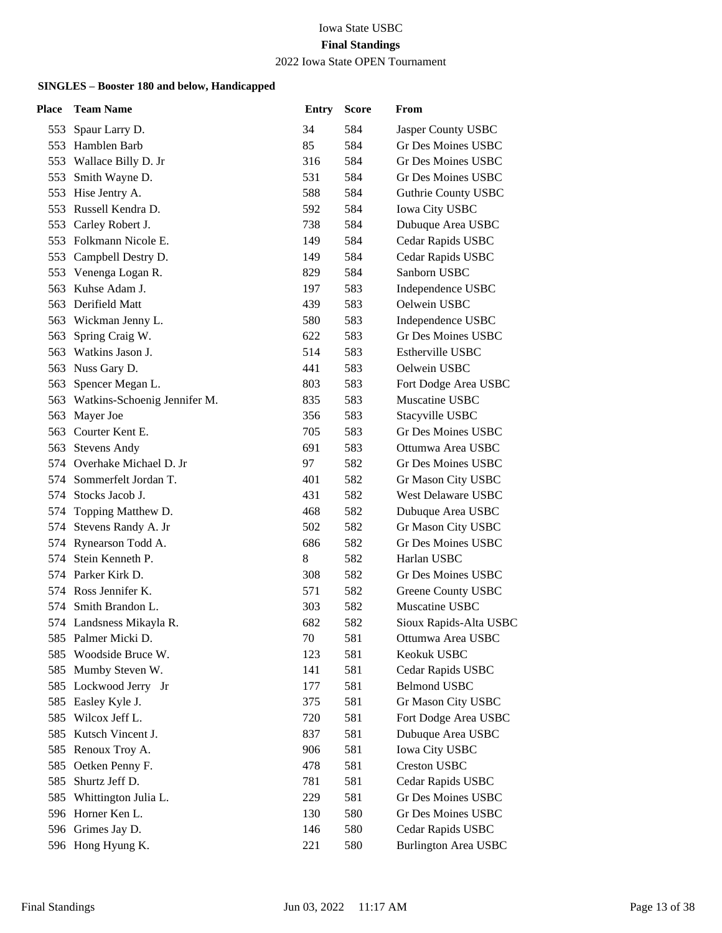## 2022 Iowa State OPEN Tournament

| Place | <b>Team Name</b>                 | <b>Entry</b> | <b>Score</b> | From                        |
|-------|----------------------------------|--------------|--------------|-----------------------------|
|       | 553 Spaur Larry D.               | 34           | 584          | Jasper County USBC          |
|       | 553 Hamblen Barb                 | 85           | 584          | Gr Des Moines USBC          |
|       | 553 Wallace Billy D. Jr          | 316          | 584          | <b>Gr Des Moines USBC</b>   |
|       | 553 Smith Wayne D.               | 531          | 584          | <b>Gr Des Moines USBC</b>   |
|       | 553 Hise Jentry A.               | 588          | 584          | <b>Guthrie County USBC</b>  |
| 553   | Russell Kendra D.                | 592          | 584          | Iowa City USBC              |
| 553   | Carley Robert J.                 | 738          | 584          | Dubuque Area USBC           |
|       | 553 Folkmann Nicole E.           | 149          | 584          | Cedar Rapids USBC           |
|       | 553 Campbell Destry D.           | 149          | 584          | Cedar Rapids USBC           |
|       | 553 Venenga Logan R.             | 829          | 584          | Sanborn USBC                |
| 563   | Kuhse Adam J.                    | 197          | 583          | Independence USBC           |
|       | 563 Derifield Matt               | 439          | 583          | Oelwein USBC                |
|       | 563 Wickman Jenny L.             | 580          | 583          | Independence USBC           |
| 563   | Spring Craig W.                  | 622          | 583          | <b>Gr Des Moines USBC</b>   |
| 563   | Watkins Jason J.                 | 514          | 583          | Estherville USBC            |
|       | 563 Nuss Gary D.                 | 441          | 583          | Oelwein USBC                |
|       | 563 Spencer Megan L.             | 803          | 583          | Fort Dodge Area USBC        |
|       | 563 Watkins-Schoenig Jennifer M. | 835          | 583          | Muscatine USBC              |
| 563   | Mayer Joe                        | 356          | 583          | Stacyville USBC             |
|       | 563 Courter Kent E.              | 705          | 583          | <b>Gr Des Moines USBC</b>   |
|       | 563 Stevens Andy                 | 691          | 583          | Ottumwa Area USBC           |
|       | 574 Overhake Michael D. Jr       | 97           | 582          | <b>Gr Des Moines USBC</b>   |
| 574   | Sommerfelt Jordan T.             | 401          | 582          | Gr Mason City USBC          |
|       | 574 Stocks Jacob J.              | 431          | 582          | West Delaware USBC          |
|       | 574 Topping Matthew D.           | 468          | 582          | Dubuque Area USBC           |
|       | 574 Stevens Randy A. Jr          | 502          | 582          | Gr Mason City USBC          |
|       | 574 Rynearson Todd A.            | 686          | 582          | <b>Gr Des Moines USBC</b>   |
|       | 574 Stein Kenneth P.             | 8            | 582          | Harlan USBC                 |
|       | 574 Parker Kirk D.               | 308          | 582          | Gr Des Moines USBC          |
|       | 574 Ross Jennifer K.             | 571          | 582          | <b>Greene County USBC</b>   |
|       | 574 Smith Brandon L.             | 303          | 582          | Muscatine USBC              |
|       | 574 Landsness Mikayla R.         | 682          | 582          | Sioux Rapids-Alta USBC      |
|       | 585 Palmer Micki D.              | 70           | 581          | Ottumwa Area USBC           |
| 585   | Woodside Bruce W.                | 123          | 581          | Keokuk USBC                 |
| 585   | Mumby Steven W.                  | 141          | 581          | Cedar Rapids USBC           |
| 585   | Lockwood Jerry Jr                | 177          | 581          | <b>Belmond USBC</b>         |
| 585   | Easley Kyle J.                   | 375          | 581          | Gr Mason City USBC          |
| 585   | Wilcox Jeff L.                   | 720          | 581          | Fort Dodge Area USBC        |
| 585   | Kutsch Vincent J.                | 837          | 581          | Dubuque Area USBC           |
| 585   | Renoux Troy A.                   | 906          | 581          | Iowa City USBC              |
| 585   | Oetken Penny F.                  | 478          | 581          | <b>Creston USBC</b>         |
| 585   | Shurtz Jeff D.                   | 781          | 581          | Cedar Rapids USBC           |
| 585   | Whittington Julia L.             | 229          | 581          | <b>Gr Des Moines USBC</b>   |
|       | 596 Horner Ken L.                | 130          | 580          | <b>Gr Des Moines USBC</b>   |
|       | 596 Grimes Jay D.                | 146          | 580          | Cedar Rapids USBC           |
|       | 596 Hong Hyung K.                | 221          | 580          | <b>Burlington Area USBC</b> |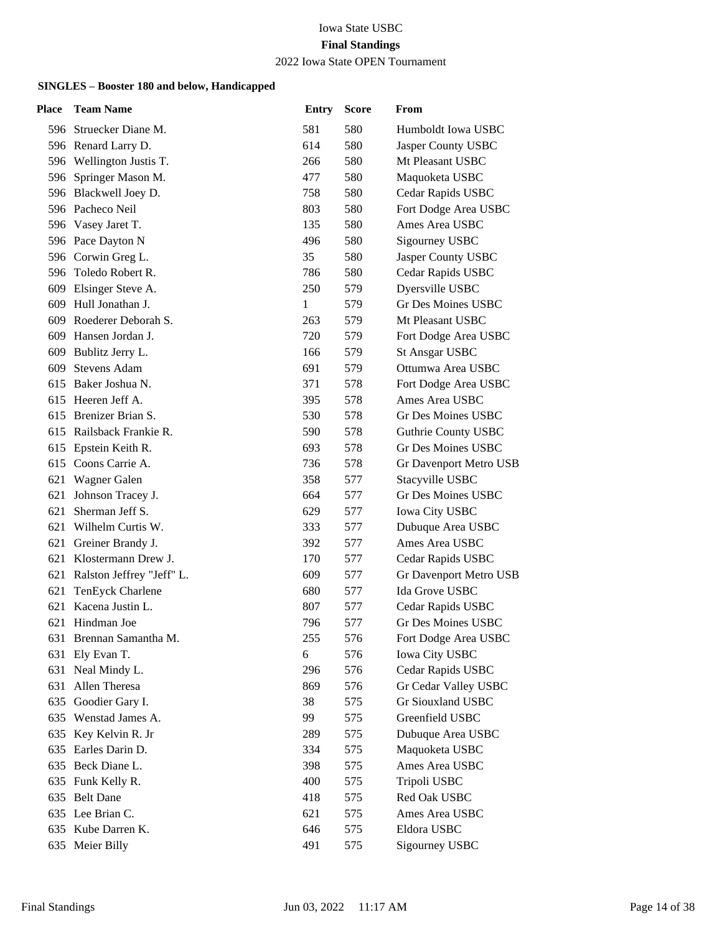### 2022 Iowa State OPEN Tournament

| <b>Team Name</b>              | <b>Entry</b>     | <b>Score</b> | From                       |
|-------------------------------|------------------|--------------|----------------------------|
| 596 Struecker Diane M.        | 581              | 580          | Humboldt Iowa USBC         |
| 596 Renard Larry D.           | 614              | 580          | Jasper County USBC         |
| 596 Wellington Justis T.      | 266              | 580          | Mt Pleasant USBC           |
| 596 Springer Mason M.         | 477              | 580          | Maquoketa USBC             |
| 596 Blackwell Joey D.         | 758              | 580          | Cedar Rapids USBC          |
| 596 Pacheco Neil              | 803              | 580          | Fort Dodge Area USBC       |
| 596 Vasey Jaret T.            | 135              | 580          | Ames Area USBC             |
| 596 Pace Dayton N             | 496              | 580          | Sigourney USBC             |
| 596 Corwin Greg L.            | 35               | 580          | Jasper County USBC         |
| 596 Toledo Robert R.          | 786              | 580          | Cedar Rapids USBC          |
| Elsinger Steve A.             | 250              | 579          | Dyersville USBC            |
| 609 Hull Jonathan J.          | 1                | 579          | Gr Des Moines USBC         |
| 609 Roederer Deborah S.       | 263              | 579          | Mt Pleasant USBC           |
| 609 Hansen Jordan J.          | 720              | 579          | Fort Dodge Area USBC       |
| Bublitz Jerry L.<br>609       | 166              | 579          | <b>St Ansgar USBC</b>      |
| <b>Stevens Adam</b>           | 691              | 579          | Ottumwa Area USBC          |
| 615 Baker Joshua N.           | 371              | 578          | Fort Dodge Area USBC       |
| Heeren Jeff A.                | 395              | 578          | Ames Area USBC             |
| Brenizer Brian S.             | 530              | 578          | Gr Des Moines USBC         |
| 615 Railsback Frankie R.      | 590              | 578          | <b>Guthrie County USBC</b> |
| 615 Epstein Keith R.          | 693              | 578          | <b>Gr Des Moines USBC</b>  |
| 615 Coons Carrie A.           | 736              | 578          | Gr Davenport Metro USB     |
|                               | 358              | 577          | Stacyville USBC            |
| Johnson Tracey J.<br>621      | 664              | 577          | Gr Des Moines USBC         |
| 621 Sherman Jeff S.           | 629              | 577          | Iowa City USBC             |
| 621 Wilhelm Curtis W.         | 333              | 577          | Dubuque Area USBC          |
| Greiner Brandy J.<br>621      | 392              | 577          | Ames Area USBC             |
| 621 Klostermann Drew J.       | 170              | 577          | Cedar Rapids USBC          |
| 621 Ralston Jeffrey "Jeff" L. | 609              | 577          | Gr Davenport Metro USB     |
| TenEyck Charlene              | 680              | 577          | Ida Grove USBC             |
| Kacena Justin L.              | 807              | 577          | Cedar Rapids USBC          |
| Hindman Joe                   | 796              | 577          | Gr Des Moines USBC         |
| 631 Brennan Samantha M.       | 255              | 576          | Fort Dodge Area USBC       |
| Ely Evan T.                   | 6                | 576          | <b>Iowa City USBC</b>      |
| Neal Mindy L.                 | 296              | 576          | Cedar Rapids USBC          |
| Allen Theresa                 | 869              | 576          | Gr Cedar Valley USBC       |
| 635 Goodier Gary I.           | 38               | 575          | Gr Siouxland USBC          |
| 635 Wenstad James A.          | 99               | 575          | Greenfield USBC            |
| Key Kelvin R. Jr              | 289              | 575          | Dubuque Area USBC          |
| Earles Darin D.               | 334              | 575          | Maquoketa USBC             |
| Beck Diane L.                 | 398              | 575          | Ames Area USBC             |
| 635 Funk Kelly R.             | 400              | 575          | Tripoli USBC               |
| <b>Belt Dane</b>              | 418              | 575          | Red Oak USBC               |
| 635 Lee Brian C.              | 621              | 575          | Ames Area USBC             |
| 635 Kube Darren K.            | 646              | 575          | Eldora USBC                |
| 635 Meier Billy               | 491              | 575          | Sigourney USBC             |
|                               | 621 Wagner Galen |              |                            |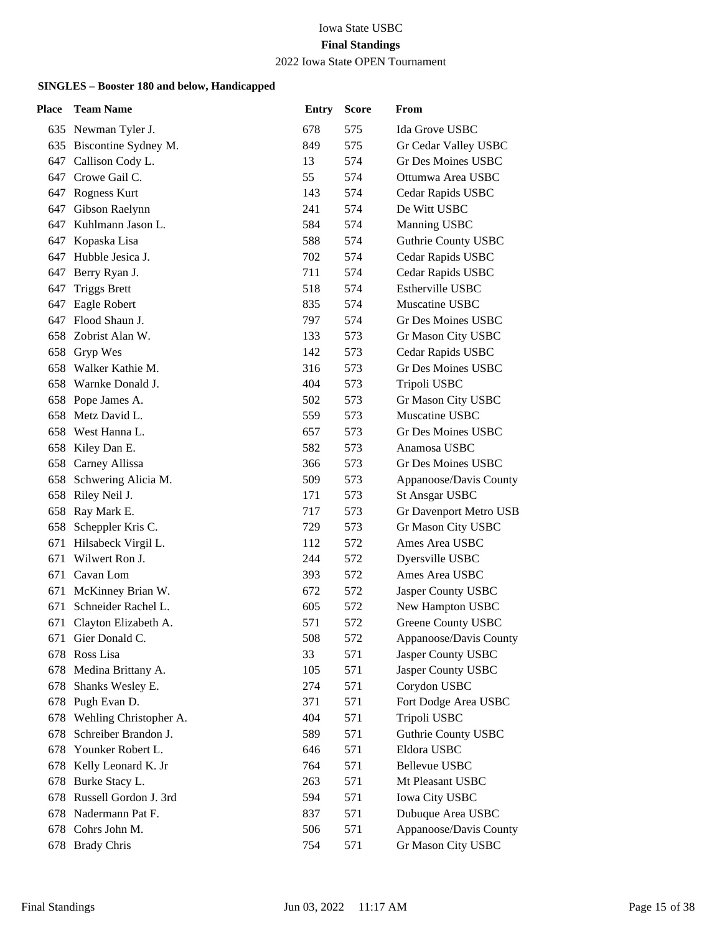### 2022 Iowa State OPEN Tournament

| Place | <b>Team Name</b>         | <b>Entry</b> | <b>Score</b> | From                       |
|-------|--------------------------|--------------|--------------|----------------------------|
|       | 635 Newman Tyler J.      | 678          | 575          | Ida Grove USBC             |
|       | 635 Biscontine Sydney M. | 849          | 575          | Gr Cedar Valley USBC       |
| 647   | Callison Cody L.         | 13           | 574          | Gr Des Moines USBC         |
| 647   | Crowe Gail C.            | 55           | 574          | Ottumwa Area USBC          |
|       | 647 Rogness Kurt         | 143          | 574          | Cedar Rapids USBC          |
| 647   | Gibson Raelynn           | 241          | 574          | De Witt USBC               |
| 647   | Kuhlmann Jason L.        | 584          | 574          | Manning USBC               |
| 647   | Kopaska Lisa             | 588          | 574          | Guthrie County USBC        |
|       | 647 Hubble Jesica J.     | 702          | 574          | Cedar Rapids USBC          |
| 647   | Berry Ryan J.            | 711          | 574          | Cedar Rapids USBC          |
| 647   | <b>Triggs Brett</b>      | 518          | 574          | Estherville USBC           |
| 647   | Eagle Robert             | 835          | 574          | Muscatine USBC             |
|       | 647 Flood Shaun J.       | 797          | 574          | Gr Des Moines USBC         |
| 658   | Zobrist Alan W.          | 133          | 573          | Gr Mason City USBC         |
| 658   | Gryp Wes                 | 142          | 573          | Cedar Rapids USBC          |
| 658   | Walker Kathie M.         | 316          | 573          | <b>Gr Des Moines USBC</b>  |
|       | 658 Warnke Donald J.     | 404          | 573          | Tripoli USBC               |
|       | 658 Pope James A.        | 502          | 573          | Gr Mason City USBC         |
| 658   | Metz David L.            | 559          | 573          | Muscatine USBC             |
| 658   | West Hanna L.            | 657          | 573          | Gr Des Moines USBC         |
| 658   | Kiley Dan E.             | 582          | 573          | Anamosa USBC               |
| 658   | Carney Allissa           | 366          | 573          | <b>Gr Des Moines USBC</b>  |
| 658   | Schwering Alicia M.      | 509          | 573          | Appanoose/Davis County     |
| 658   | Riley Neil J.            | 171          | 573          | <b>St Ansgar USBC</b>      |
|       | 658 Ray Mark E.          | 717          | 573          | Gr Davenport Metro USB     |
| 658   | Scheppler Kris C.        | 729          | 573          | Gr Mason City USBC         |
| 671   | Hilsabeck Virgil L.      | 112          | 572          | Ames Area USBC             |
| 671   | Wilwert Ron J.           | 244          | 572          | Dyersville USBC            |
|       | 671 Cavan Lom            | 393          | 572          | Ames Area USBC             |
| 671   | McKinney Brian W.        | 672          | 572          | Jasper County USBC         |
| 671   | Schneider Rachel L.      | 605          | 572          | New Hampton USBC           |
| 671   | Clayton Elizabeth A.     | 571          | 572          | <b>Greene County USBC</b>  |
|       | 671 Gier Donald C.       | 508          | 572          | Appanoose/Davis County     |
| 678   | Ross Lisa                | 33           | 571          | Jasper County USBC         |
| 678   | Medina Brittany A.       | 105          | 571          | Jasper County USBC         |
| 678   | Shanks Wesley E.         | 274          | 571          | Corydon USBC               |
|       | 678 Pugh Evan D.         | 371          | 571          | Fort Dodge Area USBC       |
| 678   | Wehling Christopher A.   | 404          | 571          | Tripoli USBC               |
| 678   | Schreiber Brandon J.     | 589          | 571          | <b>Guthrie County USBC</b> |
| 678   | Younker Robert L.        | 646          | 571          | Eldora USBC                |
| 678   | Kelly Leonard K. Jr      | 764          | 571          | <b>Bellevue USBC</b>       |
| 678   | Burke Stacy L.           | 263          | 571          | Mt Pleasant USBC           |
| 678   | Russell Gordon J. 3rd    | 594          | 571          | <b>Iowa City USBC</b>      |
| 678   | Nadermann Pat F.         | 837          | 571          | Dubuque Area USBC          |
|       | 678 Cohrs John M.        | 506          | 571          | Appanoose/Davis County     |
|       | 678 Brady Chris          | 754          | 571          | Gr Mason City USBC         |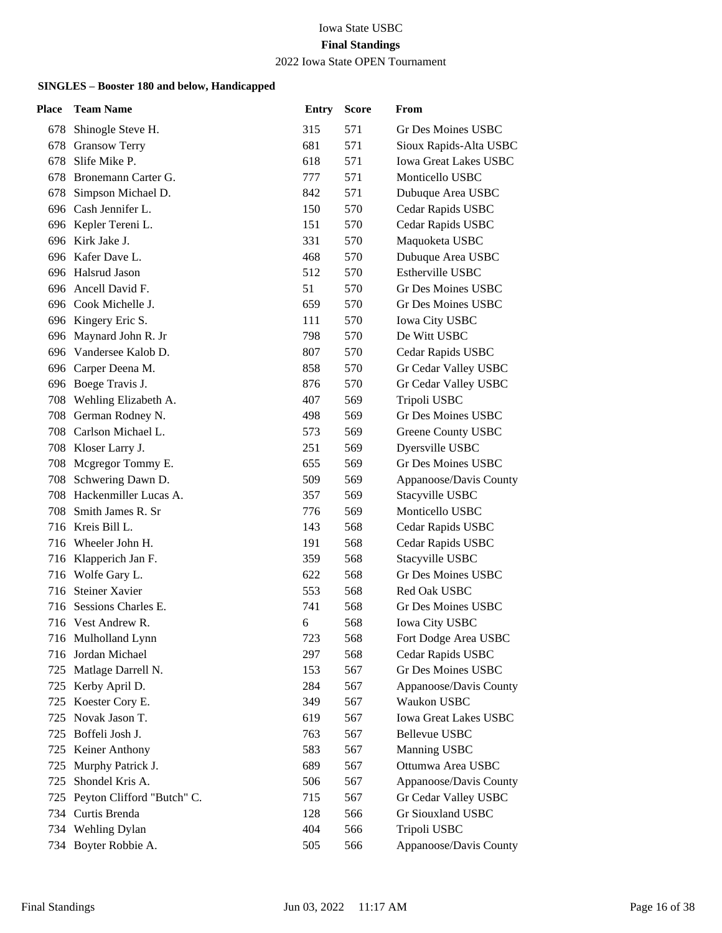## 2022 Iowa State OPEN Tournament

| Place | <b>Team Name</b>           | <b>Entry</b> | <b>Score</b> | From                         |
|-------|----------------------------|--------------|--------------|------------------------------|
|       | 678 Shinogle Steve H.      | 315          | 571          | Gr Des Moines USBC           |
| 678   | <b>Gransow Terry</b>       | 681          | 571          | Sioux Rapids-Alta USBC       |
| 678   | Slife Mike P.              | 618          | 571          | <b>Iowa Great Lakes USBC</b> |
| 678   | Bronemann Carter G.        | 777          | 571          | Monticello USBC              |
|       | 678 Simpson Michael D.     | 842          | 571          | Dubuque Area USBC            |
| 696   | Cash Jennifer L.           | 150          | 570          | Cedar Rapids USBC            |
|       | 696 Kepler Tereni L.       | 151          | 570          | Cedar Rapids USBC            |
|       | 696 Kirk Jake J.           | 331          | 570          | Maquoketa USBC               |
|       | 696 Kafer Dave L.          | 468          | 570          | Dubuque Area USBC            |
|       | 696 Halsrud Jason          | 512          | 570          | Estherville USBC             |
|       | 696 Ancell David F.        | 51           | 570          | <b>Gr Des Moines USBC</b>    |
|       | 696 Cook Michelle J.       | 659          | 570          | Gr Des Moines USBC           |
|       | 696 Kingery Eric S.        | 111          | 570          | <b>Iowa City USBC</b>        |
|       | 696 Maynard John R. Jr     | 798          | 570          | De Witt USBC                 |
|       | 696 Vandersee Kalob D.     | 807          | 570          | Cedar Rapids USBC            |
|       | 696 Carper Deena M.        | 858          | 570          | Gr Cedar Valley USBC         |
|       | 696 Boege Travis J.        | 876          | 570          | Gr Cedar Valley USBC         |
|       | 708 Wehling Elizabeth A.   | 407          | 569          | Tripoli USBC                 |
|       | 708 German Rodney N.       | 498          | 569          | <b>Gr Des Moines USBC</b>    |
|       | 708 Carlson Michael L.     | 573          | 569          | Greene County USBC           |
|       | 708 Kloser Larry J.        | 251          | 569          | Dyersville USBC              |
| 708   | Mcgregor Tommy E.          | 655          | 569          | <b>Gr Des Moines USBC</b>    |
| 708   | Schwering Dawn D.          | 509          | 569          | Appanoose/Davis County       |
|       | 708 Hackenmiller Lucas A.  | 357          | 569          | Stacyville USBC              |
| 708.  | Smith James R. Sr          | 776          | 569          | Monticello USBC              |
|       | 716 Kreis Bill L.          | 143          | 568          | Cedar Rapids USBC            |
| 716   | Wheeler John H.            | 191          | 568          | Cedar Rapids USBC            |
|       | 716 Klapperich Jan F.      | 359          | 568          | Stacyville USBC              |
|       | 716 Wolfe Gary L.          | 622          | 568          | Gr Des Moines USBC           |
| 716   | <b>Steiner Xavier</b>      | 553          | 568          | Red Oak USBC                 |
| 716   | Sessions Charles E.        | 741          | 568          | Gr Des Moines USBC           |
|       | 716 Vest Andrew R.         | 6            | 568          | <b>Iowa City USBC</b>        |
|       | 716 Mulholland Lynn        | 723          | 568          | Fort Dodge Area USBC         |
| 716   | Jordan Michael             | 297          | 568          | Cedar Rapids USBC            |
| 725   | Matlage Darrell N.         | 153          | 567          | Gr Des Moines USBC           |
|       | 725 Kerby April D.         | 284          | 567          | Appanoose/Davis County       |
| 725   | Koester Cory E.            | 349          | 567          | Waukon USBC                  |
| 725   | Novak Jason T.             | 619          | 567          | <b>Iowa Great Lakes USBC</b> |
| 725   | Boffeli Josh J.            | 763          | 567          | Bellevue USBC                |
|       | 725 Keiner Anthony         | 583          | 567          | Manning USBC                 |
| 725   | Murphy Patrick J.          | 689          | 567          | Ottumwa Area USBC            |
| 725   | Shondel Kris A.            | 506          | 567          | Appanoose/Davis County       |
| 725   | Peyton Clifford "Butch" C. | 715          | 567          | Gr Cedar Valley USBC         |
|       | 734 Curtis Brenda          | 128          | 566          | Gr Siouxland USBC            |
|       | 734 Wehling Dylan          | 404          | 566          | Tripoli USBC                 |
|       | 734 Boyter Robbie A.       | 505          | 566          | Appanoose/Davis County       |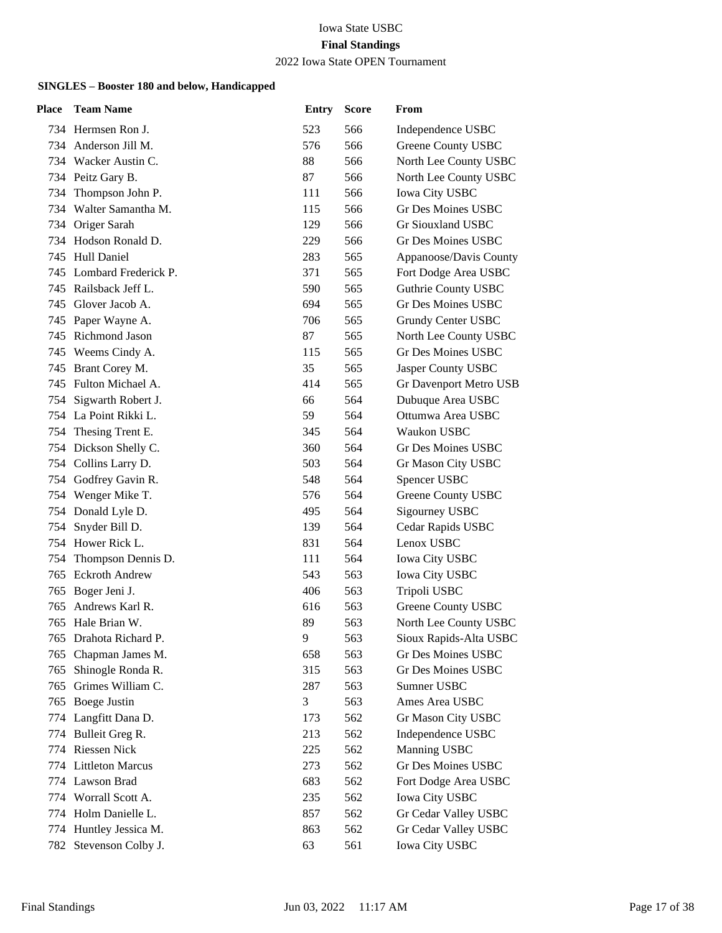### 2022 Iowa State OPEN Tournament

| Place | <b>Team Name</b>         | <b>Entry</b> | <b>Score</b> | From                       |
|-------|--------------------------|--------------|--------------|----------------------------|
|       | 734 Hermsen Ron J.       | 523          | 566          | Independence USBC          |
|       | 734 Anderson Jill M.     | 576          | 566          | Greene County USBC         |
|       | 734 Wacker Austin C.     | 88           | 566          | North Lee County USBC      |
|       | 734 Peitz Gary B.        | 87           | 566          | North Lee County USBC      |
|       | 734 Thompson John P.     | 111          | 566          | <b>Iowa City USBC</b>      |
|       | 734 Walter Samantha M.   | 115          | 566          | <b>Gr Des Moines USBC</b>  |
|       | 734 Origer Sarah         | 129          | 566          | Gr Siouxland USBC          |
|       | 734 Hodson Ronald D.     | 229          | 566          | <b>Gr Des Moines USBC</b>  |
|       | 745 Hull Daniel          | 283          | 565          | Appanoose/Davis County     |
|       | 745 Lombard Frederick P. | 371          | 565          | Fort Dodge Area USBC       |
| 745.  | Railsback Jeff L.        | 590          | 565          | <b>Guthrie County USBC</b> |
|       | 745 Glover Jacob A.      | 694          | 565          | <b>Gr Des Moines USBC</b>  |
|       | 745 Paper Wayne A.       | 706          | 565          | Grundy Center USBC         |
|       | 745 Richmond Jason       | 87           | 565          | North Lee County USBC      |
|       | 745 Weems Cindy A.       | 115          | 565          | <b>Gr Des Moines USBC</b>  |
|       | 745 Brant Corey M.       | 35           | 565          | Jasper County USBC         |
|       | 745 Fulton Michael A.    | 414          | 565          | Gr Davenport Metro USB     |
| 754   | Sigwarth Robert J.       | 66           | 564          | Dubuque Area USBC          |
|       | 754 La Point Rikki L.    | 59           | 564          | Ottumwa Area USBC          |
|       | 754 Thesing Trent E.     | 345          | 564          | Waukon USBC                |
|       | 754 Dickson Shelly C.    | 360          | 564          | Gr Des Moines USBC         |
|       | 754 Collins Larry D.     | 503          | 564          | Gr Mason City USBC         |
|       | 754 Godfrey Gavin R.     | 548          | 564          | Spencer USBC               |
|       | 754 Wenger Mike T.       | 576          | 564          | Greene County USBC         |
|       | 754 Donald Lyle D.       | 495          | 564          | Sigourney USBC             |
| 754   | Snyder Bill D.           | 139          | 564          | Cedar Rapids USBC          |
|       | 754 Hower Rick L.        | 831          | 564          | Lenox USBC                 |
|       | 754 Thompson Dennis D.   | 111          | 564          | <b>Iowa City USBC</b>      |
|       | 765 Eckroth Andrew       | 543          | 563          | Iowa City USBC             |
| 765   | Boger Jeni J.            | 406          | 563          | Tripoli USBC               |
| 765   | Andrews Karl R.          | 616          | 563          | Greene County USBC         |
| 765   | Hale Brian W.            | 89           | 563          | North Lee County USBC      |
| 765   | Drahota Richard P.       | 9            | 563          | Sioux Rapids-Alta USBC     |
| 765   | Chapman James M.         | 658          | 563          | <b>Gr Des Moines USBC</b>  |
| 765   | Shinogle Ronda R.        | 315          | 563          | Gr Des Moines USBC         |
| 765   | Grimes William C.        | 287          | 563          | Sumner USBC                |
| 765   | Boege Justin             | 3            | 563          | Ames Area USBC             |
| 774   | Langfitt Dana D.         | 173          | 562          | Gr Mason City USBC         |
| 774   | Bulleit Greg R.          | 213          | 562          | Independence USBC          |
| 774   | <b>Riessen Nick</b>      | 225          | 562          | Manning USBC               |
|       | 774 Littleton Marcus     | 273          | 562          | Gr Des Moines USBC         |
| 774   | Lawson Brad              | 683          | 562          | Fort Dodge Area USBC       |
| 774   | Worrall Scott A.         | 235          | 562          | <b>Iowa City USBC</b>      |
|       | 774 Holm Danielle L.     | 857          | 562          | Gr Cedar Valley USBC       |
|       | 774 Huntley Jessica M.   | 863          | 562          | Gr Cedar Valley USBC       |
|       | 782 Stevenson Colby J.   | 63           | 561          | <b>Iowa City USBC</b>      |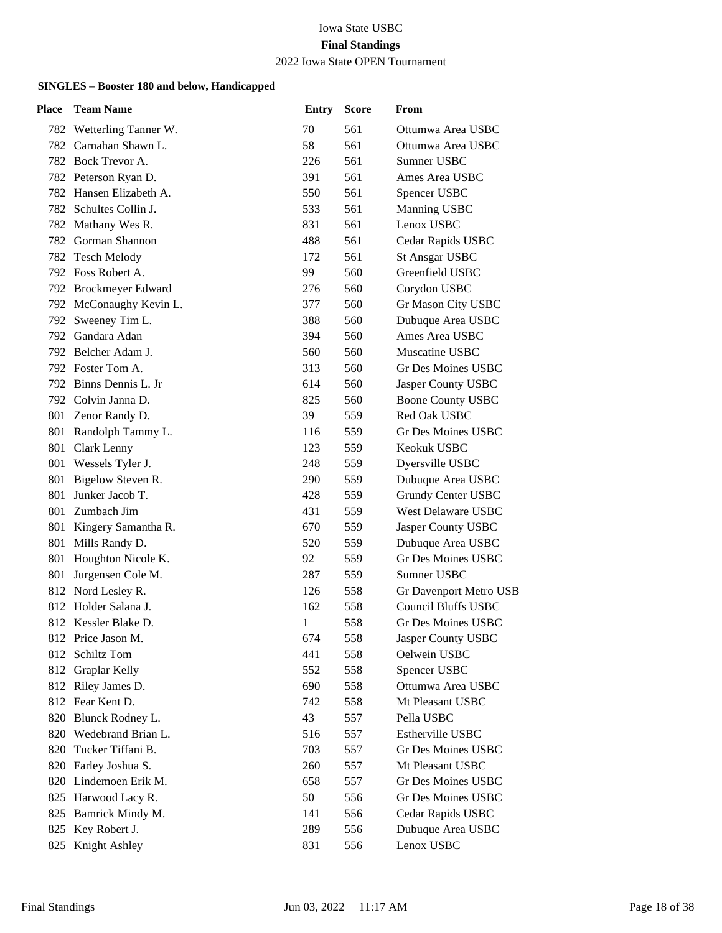## 2022 Iowa State OPEN Tournament

| Place | <b>Team Name</b>         | <b>Entry</b> | <b>Score</b> | From                       |
|-------|--------------------------|--------------|--------------|----------------------------|
|       | 782 Wetterling Tanner W. | 70           | 561          | Ottumwa Area USBC          |
|       | 782 Carnahan Shawn L.    | 58           | 561          | Ottumwa Area USBC          |
|       | 782 Bock Trevor A.       | 226          | 561          | Sumner USBC                |
|       | 782 Peterson Ryan D.     | 391          | 561          | Ames Area USBC             |
|       | 782 Hansen Elizabeth A.  | 550          | 561          | Spencer USBC               |
|       | 782 Schultes Collin J.   | 533          | 561          | Manning USBC               |
| 782   | Mathany Wes R.           | 831          | 561          | Lenox USBC                 |
|       | 782 Gorman Shannon       | 488          | 561          | Cedar Rapids USBC          |
| 782   | <b>Tesch Melody</b>      | 172          | 561          | <b>St Ansgar USBC</b>      |
|       | 792 Foss Robert A.       | 99           | 560          | Greenfield USBC            |
|       | 792 Brockmeyer Edward    | 276          | 560          | Corydon USBC               |
|       | 792 McConaughy Kevin L.  | 377          | 560          | Gr Mason City USBC         |
|       | 792 Sweeney Tim L.       | 388          | 560          | Dubuque Area USBC          |
|       | 792 Gandara Adan         | 394          | 560          | Ames Area USBC             |
|       | 792 Belcher Adam J.      | 560          | 560          | Muscatine USBC             |
|       | 792 Foster Tom A.        | 313          | 560          | Gr Des Moines USBC         |
|       | 792 Binns Dennis L. Jr   | 614          | 560          | Jasper County USBC         |
|       | 792 Colvin Janna D.      | 825          | 560          | <b>Boone County USBC</b>   |
|       | 801 Zenor Randy D.       | 39           | 559          | Red Oak USBC               |
|       | 801 Randolph Tammy L.    | 116          | 559          | Gr Des Moines USBC         |
|       | 801 Clark Lenny          | 123          | 559          | Keokuk USBC                |
|       | 801 Wessels Tyler J.     | 248          | 559          | Dyersville USBC            |
| 801   | Bigelow Steven R.        | 290          | 559          | Dubuque Area USBC          |
| 801   | Junker Jacob T.          | 428          | 559          | Grundy Center USBC         |
|       | 801 Zumbach Jim          | 431          | 559          | <b>West Delaware USBC</b>  |
|       | 801 Kingery Samantha R.  | 670          | 559          | Jasper County USBC         |
| 801   | Mills Randy D.           | 520          | 559          | Dubuque Area USBC          |
|       | 801 Houghton Nicole K.   | 92           | 559          | <b>Gr Des Moines USBC</b>  |
| 801   | Jurgensen Cole M.        | 287          | 559          | Sumner USBC                |
|       | 812 Nord Lesley R.       | 126          | 558          | Gr Davenport Metro USB     |
| 812   | Holder Salana J.         | 162          | 558          | <b>Council Bluffs USBC</b> |
|       | 812 Kessler Blake D.     | 1            | 558          | <b>Gr Des Moines USBC</b>  |
|       | 812 Price Jason M.       | 674          | 558          | Jasper County USBC         |
|       | 812 Schiltz Tom          | 441          | 558          | Oelwein USBC               |
| 812   | Graplar Kelly            | 552          | 558          | Spencer USBC               |
|       | 812 Riley James D.       | 690          | 558          | Ottumwa Area USBC          |
|       | 812 Fear Kent D.         | 742          | 558          | Mt Pleasant USBC           |
|       | 820 Blunck Rodney L.     | 43           | 557          | Pella USBC                 |
|       | 820 Wedebrand Brian L.   | 516          | 557          | <b>Estherville USBC</b>    |
| 820   | Tucker Tiffani B.        | 703          | 557          | Gr Des Moines USBC         |
|       | 820 Farley Joshua S.     | 260          | 557          | Mt Pleasant USBC           |
|       | 820 Lindemoen Erik M.    | 658          | 557          | <b>Gr Des Moines USBC</b>  |
| 825   | Harwood Lacy R.          | 50           | 556          | Gr Des Moines USBC         |
| 825   | Bamrick Mindy M.         | 141          | 556          | Cedar Rapids USBC          |
| 825   | Key Robert J.            | 289          | 556          | Dubuque Area USBC          |
|       | 825 Knight Ashley        | 831          | 556          | Lenox USBC                 |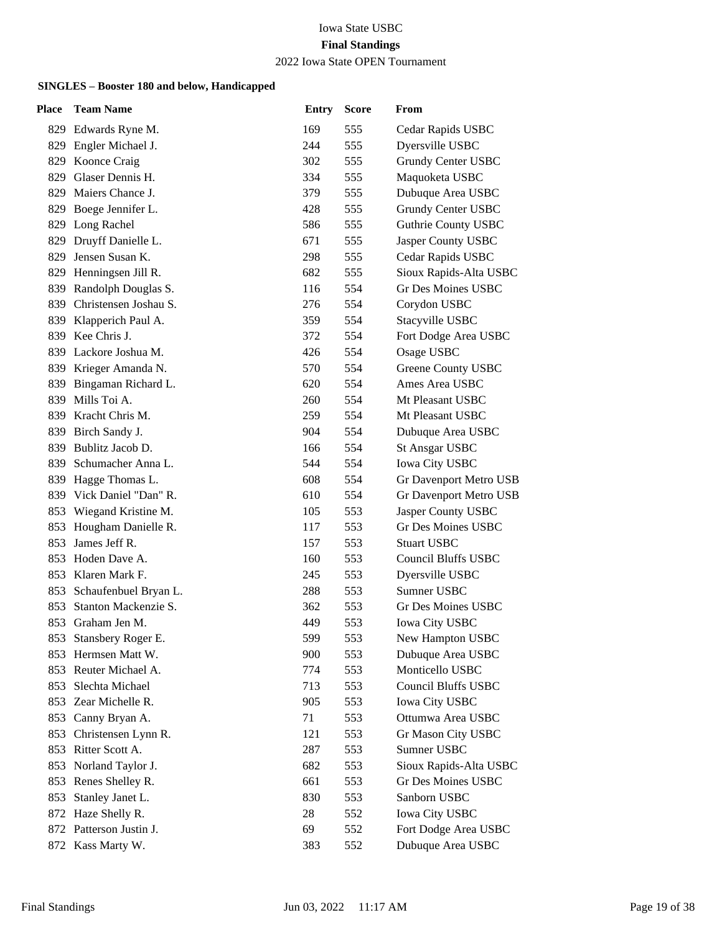### 2022 Iowa State OPEN Tournament

| Place | <b>Team Name</b>          | <b>Entry</b> | <b>Score</b> | From                       |
|-------|---------------------------|--------------|--------------|----------------------------|
|       | 829 Edwards Ryne M.       | 169          | 555          | Cedar Rapids USBC          |
|       | 829 Engler Michael J.     | 244          | 555          | Dyersville USBC            |
| 829   | Koonce Craig              | 302          | 555          | Grundy Center USBC         |
| 829   | Glaser Dennis H.          | 334          | 555          | Maquoketa USBC             |
|       | 829 Maiers Chance J.      | 379          | 555          | Dubuque Area USBC          |
| 829   | Boege Jennifer L.         | 428          | 555          | Grundy Center USBC         |
| 829   | Long Rachel               | 586          | 555          | <b>Guthrie County USBC</b> |
|       | 829 Druyff Danielle L.    | 671          | 555          | Jasper County USBC         |
| 829   | Jensen Susan K.           | 298          | 555          | Cedar Rapids USBC          |
|       | 829 Henningsen Jill R.    | 682          | 555          | Sioux Rapids-Alta USBC     |
| 839   | Randolph Douglas S.       | 116          | 554          | <b>Gr Des Moines USBC</b>  |
|       | 839 Christensen Joshau S. | 276          | 554          | Corydon USBC               |
|       | 839 Klapperich Paul A.    | 359          | 554          | Stacyville USBC            |
| 839   | Kee Chris J.              | 372          | 554          | Fort Dodge Area USBC       |
| 839   | Lackore Joshua M.         | 426          | 554          | Osage USBC                 |
|       | 839 Krieger Amanda N.     | 570          | 554          | Greene County USBC         |
|       | 839 Bingaman Richard L.   | 620          | 554          | Ames Area USBC             |
| 839   | Mills Toi A.              | 260          | 554          | Mt Pleasant USBC           |
| 839   | Kracht Chris M.           | 259          | 554          | Mt Pleasant USBC           |
|       | 839 Birch Sandy J.        | 904          | 554          | Dubuque Area USBC          |
|       | 839 Bublitz Jacob D.      | 166          | 554          | <b>St Ansgar USBC</b>      |
| 839   | Schumacher Anna L.        | 544          | 554          | <b>Iowa City USBC</b>      |
| 839   | Hagge Thomas L.           | 608          | 554          | Gr Davenport Metro USB     |
|       | 839 Vick Daniel "Dan" R.  | 610          | 554          | Gr Davenport Metro USB     |
|       | 853 Wiegand Kristine M.   | 105          | 553          | Jasper County USBC         |
| 853   | Hougham Danielle R.       | 117          | 553          | <b>Gr Des Moines USBC</b>  |
| 853   | James Jeff R.             | 157          | 553          | <b>Stuart USBC</b>         |
|       | 853 Hoden Dave A.         | 160          | 553          | <b>Council Bluffs USBC</b> |
|       | 853 Klaren Mark F.        | 245          | 553          | Dyersville USBC            |
| 853   | Schaufenbuel Bryan L.     | 288          | 553          | Sumner USBC                |
| 853   | Stanton Mackenzie S.      | 362          | 553          | Gr Des Moines USBC         |
|       | 853 Graham Jen M.         | 449          | 553          | <b>Iowa City USBC</b>      |
|       | 853 Stansbery Roger E.    | 599          | 553          | New Hampton USBC           |
| 853   | Hermsen Matt W.           | 900          | 553          | Dubuque Area USBC          |
| 853   | Reuter Michael A.         | 774          | 553          | Monticello USBC            |
| 853   | Slechta Michael           | 713          | 553          | Council Bluffs USBC        |
| 853   | Zear Michelle R.          | 905          | 553          | Iowa City USBC             |
| 853   | Canny Bryan A.            | 71           | 553          | Ottumwa Area USBC          |
| 853   | Christensen Lynn R.       | 121          | 553          | Gr Mason City USBC         |
| 853   | Ritter Scott A.           | 287          | 553          | Sumner USBC                |
| 853   | Norland Taylor J.         | 682          | 553          | Sioux Rapids-Alta USBC     |
| 853   | Renes Shelley R.          | 661          | 553          | <b>Gr Des Moines USBC</b>  |
| 853   | Stanley Janet L.          | 830          | 553          | Sanborn USBC               |
| 872   | Haze Shelly R.            | 28           | 552          | Iowa City USBC             |
|       | 872 Patterson Justin J.   | 69           | 552          | Fort Dodge Area USBC       |
|       | 872 Kass Marty W.         | 383          | 552          | Dubuque Area USBC          |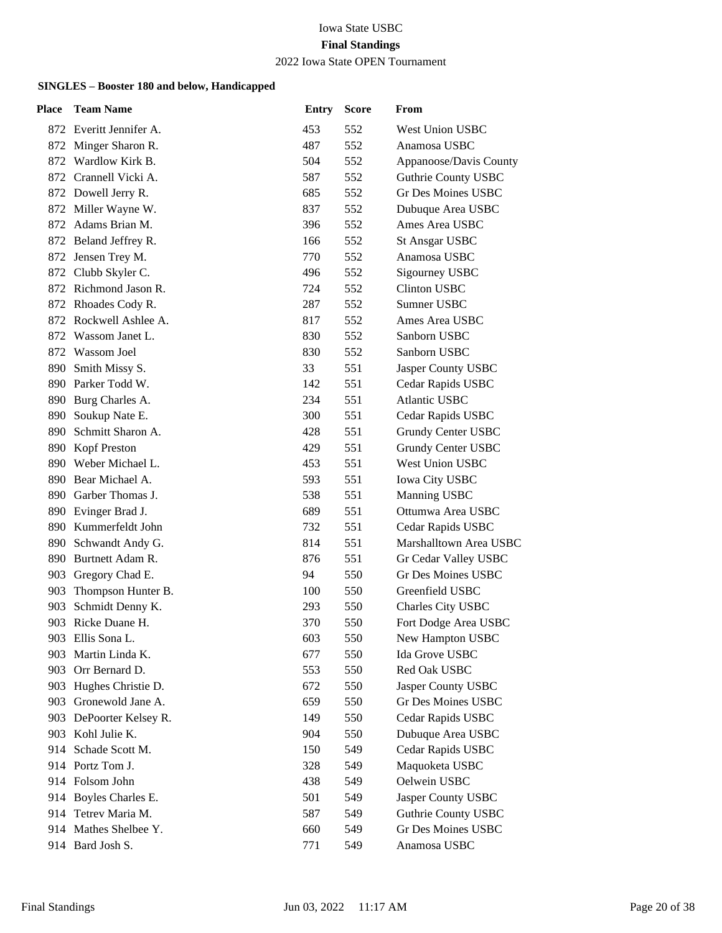#### 2022 Iowa State OPEN Tournament

| Place | <b>Team Name</b>        | <b>Entry</b> | <b>Score</b> | From                       |
|-------|-------------------------|--------------|--------------|----------------------------|
|       | 872 Everitt Jennifer A. | 453          | 552          | <b>West Union USBC</b>     |
|       | 872 Minger Sharon R.    | 487          | 552          | Anamosa USBC               |
| 872   | Wardlow Kirk B.         | 504          | 552          | Appanoose/Davis County     |
|       | 872 Crannell Vicki A.   | 587          | 552          | <b>Guthrie County USBC</b> |
|       | 872 Dowell Jerry R.     | 685          | 552          | Gr Des Moines USBC         |
|       | 872 Miller Wayne W.     | 837          | 552          | Dubuque Area USBC          |
| 872   | Adams Brian M.          | 396          | 552          | Ames Area USBC             |
|       | 872 Beland Jeffrey R.   | 166          | 552          | <b>St Ansgar USBC</b>      |
|       | 872 Jensen Trey M.      | 770          | 552          | Anamosa USBC               |
|       | 872 Clubb Skyler C.     | 496          | 552          | Sigourney USBC             |
|       | 872 Richmond Jason R.   | 724          | 552          | <b>Clinton USBC</b>        |
|       | 872 Rhoades Cody R.     | 287          | 552          | Sumner USBC                |
|       | 872 Rockwell Ashlee A.  | 817          | 552          | Ames Area USBC             |
| 872   | Wassom Janet L.         | 830          | 552          | Sanborn USBC               |
| 872   | Wassom Joel             | 830          | 552          | Sanborn USBC               |
| 890   | Smith Missy S.          | 33           | 551          | Jasper County USBC         |
|       | 890 Parker Todd W.      | 142          | 551          | Cedar Rapids USBC          |
|       | 890 Burg Charles A.     | 234          | 551          | <b>Atlantic USBC</b>       |
| 890   | Soukup Nate E.          | 300          | 551          | Cedar Rapids USBC          |
| 890   | Schmitt Sharon A.       | 428          | 551          | Grundy Center USBC         |
|       | 890 Kopf Preston        | 429          | 551          | Grundy Center USBC         |
|       | 890 Weber Michael L.    | 453          | 551          | West Union USBC            |
|       | 890 Bear Michael A.     | 593          | 551          | Iowa City USBC             |
|       | 890 Garber Thomas J.    | 538          | 551          | Manning USBC               |
|       | 890 Evinger Brad J.     | 689          | 551          | Ottumwa Area USBC          |
|       | 890 Kummerfeldt John    | 732          | 551          | Cedar Rapids USBC          |
| 890   | Schwandt Andy G.        | 814          | 551          | Marshalltown Area USBC     |
|       | 890 Burtnett Adam R.    | 876          | 551          | Gr Cedar Valley USBC       |
|       | 903 Gregory Chad E.     | 94           | 550          | <b>Gr Des Moines USBC</b>  |
| 903   | Thompson Hunter B.      | 100          | 550          | Greenfield USBC            |
| 903   | Schmidt Denny K.        | 293          | 550          | Charles City USBC          |
| 903   | Ricke Duane H.          | 370          | 550          | Fort Dodge Area USBC       |
|       | 903 Ellis Sona L.       | 603          | 550          | New Hampton USBC           |
| 903   | Martin Linda K.         | 677          | 550          | Ida Grove USBC             |
| 903   | Orr Bernard D.          | 553          | 550          | Red Oak USBC               |
|       | 903 Hughes Christie D.  | 672          | 550          | Jasper County USBC         |
|       | 903 Gronewold Jane A.   | 659          | 550          | Gr Des Moines USBC         |
|       | 903 DePoorter Kelsey R. | 149          | 550          | Cedar Rapids USBC          |
| 903   | Kohl Julie K.           | 904          | 550          | Dubuque Area USBC          |
| 914   | Schade Scott M.         | 150          | 549          | Cedar Rapids USBC          |
|       | 914 Portz Tom J.        | 328          | 549          | Maquoketa USBC             |
|       | 914 Folsom John         | 438          | 549          | Oelwein USBC               |
|       | 914 Boyles Charles E.   | 501          | 549          | Jasper County USBC         |
|       | 914 Tetrev Maria M.     | 587          | 549          | <b>Guthrie County USBC</b> |
|       | 914 Mathes Shelbee Y.   | 660          | 549          | Gr Des Moines USBC         |
|       | 914 Bard Josh S.        | 771          | 549          | Anamosa USBC               |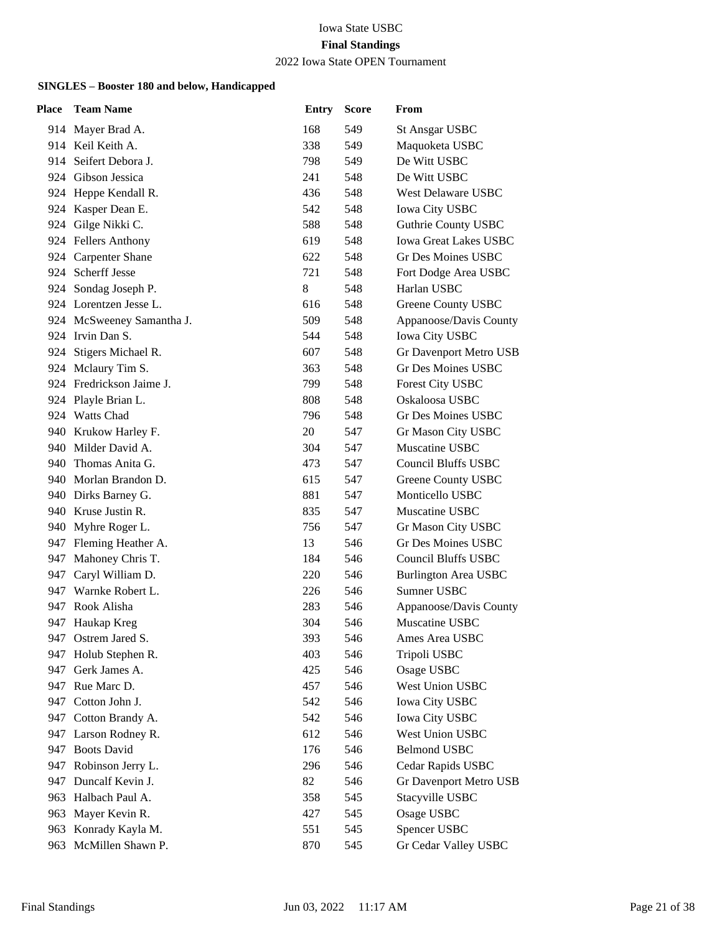#### 2022 Iowa State OPEN Tournament

| <b>Place</b> | <b>Team Name</b>          | <b>Entry</b> | <b>Score</b> | From                         |
|--------------|---------------------------|--------------|--------------|------------------------------|
|              | 914 Mayer Brad A.         | 168          | 549          | <b>St Ansgar USBC</b>        |
|              | 914 Keil Keith A.         | 338          | 549          | Maquoketa USBC               |
| 914          | Seifert Debora J.         | 798          | 549          | De Witt USBC                 |
|              | 924 Gibson Jessica        | 241          | 548          | De Witt USBC                 |
|              | 924 Heppe Kendall R.      | 436          | 548          | West Delaware USBC           |
|              | 924 Kasper Dean E.        | 542          | 548          | <b>Iowa City USBC</b>        |
|              | 924 Gilge Nikki C.        | 588          | 548          | <b>Guthrie County USBC</b>   |
|              | 924 Fellers Anthony       | 619          | 548          | <b>Iowa Great Lakes USBC</b> |
|              | 924 Carpenter Shane       | 622          | 548          | Gr Des Moines USBC           |
|              | 924 Scherff Jesse         | 721          | 548          | Fort Dodge Area USBC         |
|              | 924 Sondag Joseph P.      | 8            | 548          | Harlan USBC                  |
|              | 924 Lorentzen Jesse L.    | 616          | 548          | Greene County USBC           |
|              | 924 McSweeney Samantha J. | 509          | 548          | Appanoose/Davis County       |
|              | 924 Irvin Dan S.          | 544          | 548          | <b>Iowa City USBC</b>        |
|              | 924 Stigers Michael R.    | 607          | 548          | Gr Davenport Metro USB       |
|              | 924 Mclaury Tim S.        | 363          | 548          | Gr Des Moines USBC           |
|              | 924 Fredrickson Jaime J.  | 799          | 548          | Forest City USBC             |
|              | 924 Playle Brian L.       | 808          | 548          | Oskaloosa USBC               |
|              | 924 Watts Chad            | 796          | 548          | Gr Des Moines USBC           |
|              | 940 Krukow Harley F.      | 20           | 547          | Gr Mason City USBC           |
|              | 940 Milder David A.       | 304          | 547          | Muscatine USBC               |
|              | 940 Thomas Anita G.       | 473          | 547          | <b>Council Bluffs USBC</b>   |
|              | 940 Morlan Brandon D.     | 615          | 547          | Greene County USBC           |
|              | 940 Dirks Barney G.       | 881          | 547          | Monticello USBC              |
|              | 940 Kruse Justin R.       | 835          | 547          | Muscatine USBC               |
|              | 940 Myhre Roger L.        | 756          | 547          | Gr Mason City USBC           |
|              | 947 Fleming Heather A.    | 13           | 546          | <b>Gr Des Moines USBC</b>    |
|              | 947 Mahoney Chris T.      | 184          | 546          | <b>Council Bluffs USBC</b>   |
|              | 947 Caryl William D.      | 220          | 546          | <b>Burlington Area USBC</b>  |
|              | 947 Warnke Robert L.      | 226          | 546          | Sumner USBC                  |
|              | 947 Rook Alisha           | 283          | 546          | Appanoose/Davis County       |
|              | 947 Haukap Kreg           | 304          | 546          | Muscatine USBC               |
|              | 947 Ostrem Jared S.       | 393          | 546          | Ames Area USBC               |
| 947          | Holub Stephen R.          | 403          | 546          | Tripoli USBC                 |
| 947          | Gerk James A.             | 425          | 546          | Osage USBC                   |
| 947          | Rue Marc D.               | 457          | 546          | West Union USBC              |
| 947          | Cotton John J.            | 542          | 546          | Iowa City USBC               |
|              | 947 Cotton Brandy A.      | 542          | 546          | <b>Iowa City USBC</b>        |
| 947.         | Larson Rodney R.          | 612          | 546          | West Union USBC              |
| 947          | <b>Boots David</b>        | 176          | 546          | <b>Belmond USBC</b>          |
| 947          | Robinson Jerry L.         | 296          | 546          | Cedar Rapids USBC            |
| 947          | Duncalf Kevin J.          | 82           | 546          | Gr Davenport Metro USB       |
| 963          | Halbach Paul A.           | 358          | 545          | Stacyville USBC              |
| 963          | Mayer Kevin R.            | 427          | 545          | Osage USBC                   |
| 963          | Konrady Kayla M.          | 551          | 545          | Spencer USBC                 |
| 963          | McMillen Shawn P.         | 870          | 545          | Gr Cedar Valley USBC         |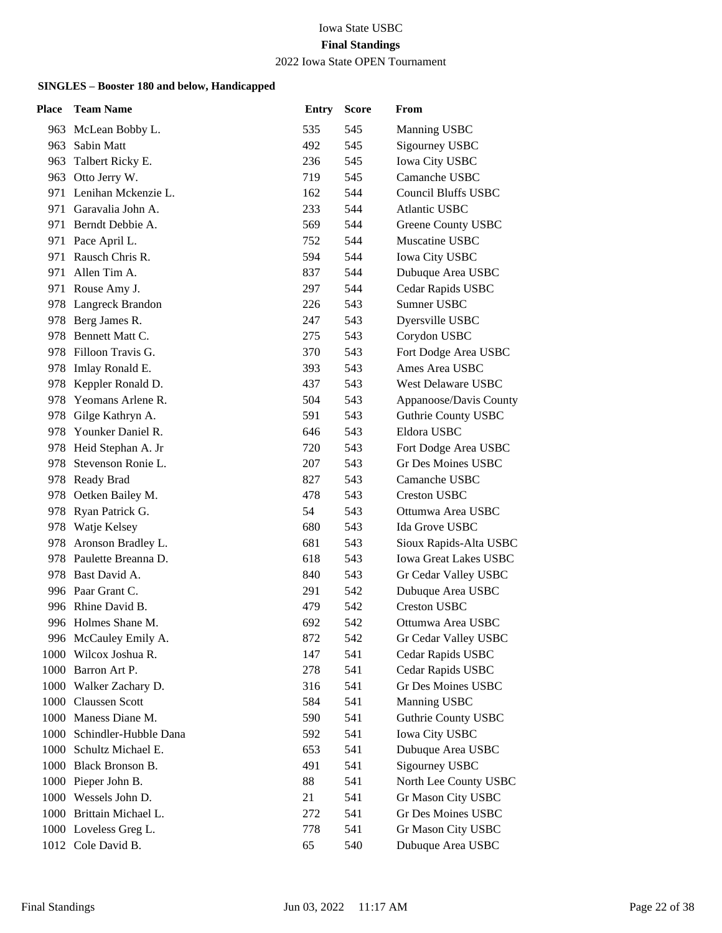## 2022 Iowa State OPEN Tournament

| Place | <b>Team Name</b>         | <b>Entry</b> | <b>Score</b> | From                         |
|-------|--------------------------|--------------|--------------|------------------------------|
|       | 963 McLean Bobby L.      | 535          | 545          | Manning USBC                 |
| 963.  | Sabin Matt               | 492          | 545          | Sigourney USBC               |
| 963   | Talbert Ricky E.         | 236          | 545          | <b>Iowa City USBC</b>        |
|       | 963 Otto Jerry W.        | 719          | 545          | Camanche USBC                |
|       | 971 Lenihan Mckenzie L.  | 162          | 544          | <b>Council Bluffs USBC</b>   |
| 971   | Garavalia John A.        | 233          | 544          | <b>Atlantic USBC</b>         |
|       | 971 Berndt Debbie A.     | 569          | 544          | Greene County USBC           |
|       | 971 Pace April L.        | 752          | 544          | Muscatine USBC               |
|       | 971 Rausch Chris R.      | 594          | 544          | Iowa City USBC               |
| 971   | Allen Tim A.             | 837          | 544          | Dubuque Area USBC            |
|       | 971 Rouse Amy J.         | 297          | 544          | Cedar Rapids USBC            |
|       | 978 Langreck Brandon     | 226          | 543          | Sumner USBC                  |
|       | 978 Berg James R.        | 247          | 543          | Dyersville USBC              |
| 978.  | Bennett Matt C.          | 275          | 543          | Corydon USBC                 |
|       | 978 Filloon Travis G.    | 370          | 543          | Fort Dodge Area USBC         |
|       | 978 Imlay Ronald E.      | 393          | 543          | Ames Area USBC               |
|       | 978 Keppler Ronald D.    | 437          | 543          | West Delaware USBC           |
|       | 978 Yeomans Arlene R.    | 504          | 543          | Appanoose/Davis County       |
|       | 978 Gilge Kathryn A.     | 591          | 543          | <b>Guthrie County USBC</b>   |
|       | 978 Younker Daniel R.    | 646          | 543          | Eldora USBC                  |
|       | 978 Heid Stephan A. Jr   | 720          | 543          | Fort Dodge Area USBC         |
| 978.  | Stevenson Ronie L.       | 207          | 543          | Gr Des Moines USBC           |
|       | 978 Ready Brad           | 827          | 543          | Camanche USBC                |
|       | 978 Oetken Bailey M.     | 478          | 543          | <b>Creston USBC</b>          |
|       | 978 Ryan Patrick G.      | 54           | 543          | Ottumwa Area USBC            |
|       | 978 Watje Kelsey         | 680          | 543          | Ida Grove USBC               |
|       | 978 Aronson Bradley L.   | 681          | 543          | Sioux Rapids-Alta USBC       |
|       | 978 Paulette Breanna D.  | 618          | 543          | <b>Iowa Great Lakes USBC</b> |
|       | 978 Bast David A.        | 840          | 543          | Gr Cedar Valley USBC         |
|       | 996 Paar Grant C.        | 291          | 542          | Dubuque Area USBC            |
|       | 996 Rhine David B.       | 479          | 542          | <b>Creston USBC</b>          |
|       | 996 Holmes Shane M.      | 692          | 542          | Ottumwa Area USBC            |
|       | 996 McCauley Emily A.    | 872          | 542          | Gr Cedar Valley USBC         |
|       | 1000 Wilcox Joshua R.    | 147          | 541          | Cedar Rapids USBC            |
|       | 1000 Barron Art P.       | 278          | 541          | Cedar Rapids USBC            |
|       | 1000 Walker Zachary D.   | 316          | 541          | Gr Des Moines USBC           |
|       | 1000 Claussen Scott      | 584          | 541          | Manning USBC                 |
|       | 1000 Maness Diane M.     | 590          | 541          | <b>Guthrie County USBC</b>   |
| 1000  | Schindler-Hubble Dana    | 592          | 541          | <b>Iowa City USBC</b>        |
|       | 1000 Schultz Michael E.  | 653          | 541          | Dubuque Area USBC            |
|       | 1000 Black Bronson B.    | 491          | 541          | Sigourney USBC               |
|       | 1000 Pieper John B.      | 88           | 541          | North Lee County USBC        |
|       | 1000 Wessels John D.     | 21           | 541          | Gr Mason City USBC           |
|       | 1000 Brittain Michael L. | 272          | 541          | Gr Des Moines USBC           |
|       | 1000 Loveless Greg L.    | 778          | 541          | Gr Mason City USBC           |
|       | 1012 Cole David B.       | 65           | 540          | Dubuque Area USBC            |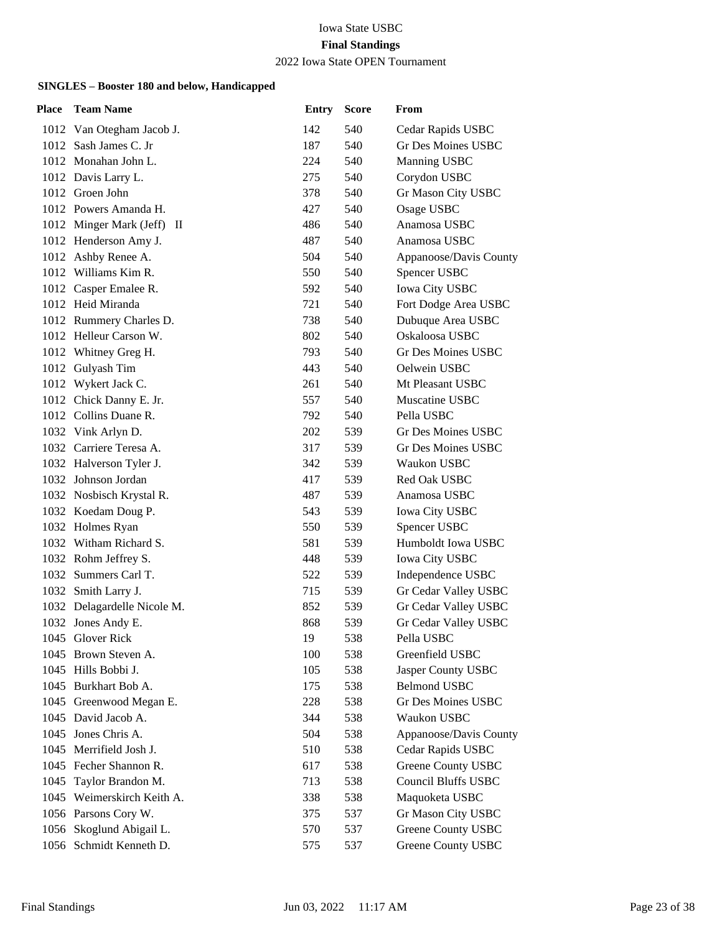#### 2022 Iowa State OPEN Tournament

| Place | <b>Team Name</b>             | <b>Entry</b> | <b>Score</b> | From                       |
|-------|------------------------------|--------------|--------------|----------------------------|
|       | 1012 Van Otegham Jacob J.    | 142          | 540          | Cedar Rapids USBC          |
|       | 1012 Sash James C. Jr        | 187          | 540          | Gr Des Moines USBC         |
|       | 1012 Monahan John L.         | 224          | 540          | Manning USBC               |
|       | 1012 Davis Larry L.          | 275          | 540          | Corydon USBC               |
|       | 1012 Groen John              | 378          | 540          | Gr Mason City USBC         |
|       | 1012 Powers Amanda H.        | 427          | 540          | Osage USBC                 |
|       | 1012 Minger Mark (Jeff)<br>Ш | 486          | 540          | Anamosa USBC               |
|       | 1012 Henderson Amy J.        | 487          | 540          | Anamosa USBC               |
|       | 1012 Ashby Renee A.          | 504          | 540          | Appanoose/Davis County     |
|       | 1012 Williams Kim R.         | 550          | 540          | Spencer USBC               |
|       | 1012 Casper Emalee R.        | 592          | 540          | Iowa City USBC             |
|       | 1012 Heid Miranda            | 721          | 540          | Fort Dodge Area USBC       |
|       | 1012 Rummery Charles D.      | 738          | 540          | Dubuque Area USBC          |
|       | 1012 Helleur Carson W.       | 802          | 540          | Oskaloosa USBC             |
|       | 1012 Whitney Greg H.         | 793          | 540          | Gr Des Moines USBC         |
|       | 1012 Gulyash Tim             | 443          | 540          | Oelwein USBC               |
|       | 1012 Wykert Jack C.          | 261          | 540          | Mt Pleasant USBC           |
|       | 1012 Chick Danny E. Jr.      | 557          | 540          | Muscatine USBC             |
|       | 1012 Collins Duane R.        | 792          | 540          | Pella USBC                 |
|       | 1032 Vink Arlyn D.           | 202          | 539          | Gr Des Moines USBC         |
|       | 1032 Carriere Teresa A.      | 317          | 539          | Gr Des Moines USBC         |
|       | 1032 Halverson Tyler J.      | 342          | 539          | Waukon USBC                |
|       | 1032 Johnson Jordan          | 417          | 539          | Red Oak USBC               |
|       | 1032 Nosbisch Krystal R.     | 487          | 539          | Anamosa USBC               |
|       | 1032 Koedam Doug P.          | 543          | 539          | Iowa City USBC             |
|       | 1032 Holmes Ryan             | 550          | 539          | Spencer USBC               |
|       | 1032 Witham Richard S.       | 581          | 539          | Humboldt Iowa USBC         |
|       | 1032 Rohm Jeffrey S.         | 448          | 539          | <b>Iowa City USBC</b>      |
|       | 1032 Summers Carl T.         | 522          | 539          | Independence USBC          |
|       | 1032 Smith Larry J.          | 715          | 539          | Gr Cedar Valley USBC       |
|       | 1032 Delagardelle Nicole M.  | 852          | 539          | Gr Cedar Valley USBC       |
|       | 1032 Jones Andy E.           | 868          | 539          | Gr Cedar Valley USBC       |
|       | 1045 Glover Rick             | 19           | 538          | Pella USBC                 |
|       | 1045 Brown Steven A.         | 100          | 538          | Greenfield USBC            |
|       | 1045 Hills Bobbi J.          | 105          | 538          | Jasper County USBC         |
|       | 1045 Burkhart Bob A.         | 175          | 538          | <b>Belmond USBC</b>        |
|       | 1045 Greenwood Megan E.      | 228          | 538          | Gr Des Moines USBC         |
|       | 1045 David Jacob A.          | 344          | 538          | Waukon USBC                |
| 1045  | Jones Chris A.               | 504          | 538          | Appanoose/Davis County     |
|       | 1045 Merrifield Josh J.      | 510          | 538          | Cedar Rapids USBC          |
|       | 1045 Fecher Shannon R.       | 617          | 538          | Greene County USBC         |
|       | 1045 Taylor Brandon M.       | 713          | 538          | <b>Council Bluffs USBC</b> |
|       | 1045 Weimerskirch Keith A.   | 338          | 538          | Maquoketa USBC             |
|       | 1056 Parsons Cory W.         | 375          | 537          | Gr Mason City USBC         |
|       | 1056 Skoglund Abigail L.     | 570          | 537          | Greene County USBC         |
|       | 1056 Schmidt Kenneth D.      | 575          | 537          | Greene County USBC         |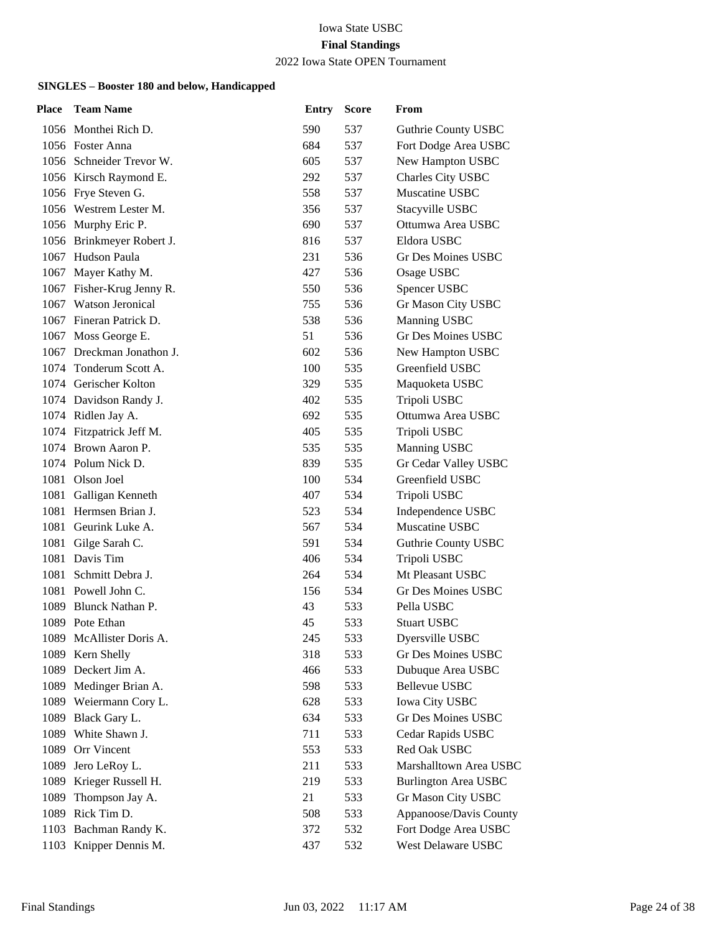#### 2022 Iowa State OPEN Tournament

| Place | <b>Team Name</b>          | <b>Entry</b> | <b>Score</b> | From                        |
|-------|---------------------------|--------------|--------------|-----------------------------|
|       | 1056 Monthei Rich D.      | 590          | 537          | Guthrie County USBC         |
|       | 1056 Foster Anna          | 684          | 537          | Fort Dodge Area USBC        |
|       | 1056 Schneider Trevor W.  | 605          | 537          | New Hampton USBC            |
|       | 1056 Kirsch Raymond E.    | 292          | 537          | Charles City USBC           |
|       | 1056 Frye Steven G.       | 558          | 537          | Muscatine USBC              |
|       | 1056 Westrem Lester M.    | 356          | 537          | Stacyville USBC             |
|       | 1056 Murphy Eric P.       | 690          | 537          | Ottumwa Area USBC           |
|       | 1056 Brinkmeyer Robert J. | 816          | 537          | Eldora USBC                 |
|       | 1067 Hudson Paula         | 231          | 536          | Gr Des Moines USBC          |
|       | 1067 Mayer Kathy M.       | 427          | 536          | Osage USBC                  |
|       | 1067 Fisher-Krug Jenny R. | 550          | 536          | Spencer USBC                |
|       | 1067 Watson Jeronical     | 755          | 536          | Gr Mason City USBC          |
|       | 1067 Fineran Patrick D.   | 538          | 536          | Manning USBC                |
|       | 1067 Moss George E.       | 51           | 536          | Gr Des Moines USBC          |
|       | 1067 Dreckman Jonathon J. | 602          | 536          | New Hampton USBC            |
|       | 1074 Tonderum Scott A.    | 100          | 535          | Greenfield USBC             |
|       | 1074 Gerischer Kolton     | 329          | 535          | Maquoketa USBC              |
|       | 1074 Davidson Randy J.    | 402          | 535          | Tripoli USBC                |
|       | 1074 Ridlen Jay A.        | 692          | 535          | Ottumwa Area USBC           |
|       | 1074 Fitzpatrick Jeff M.  | 405          | 535          | Tripoli USBC                |
|       | 1074 Brown Aaron P.       | 535          | 535          | Manning USBC                |
|       | 1074 Polum Nick D.        | 839          | 535          | Gr Cedar Valley USBC        |
|       | 1081 Olson Joel           | 100          | 534          | Greenfield USBC             |
|       | 1081 Galligan Kenneth     | 407          | 534          | Tripoli USBC                |
|       | 1081 Hermsen Brian J.     | 523          | 534          | Independence USBC           |
|       | 1081 Geurink Luke A.      | 567          | 534          | Muscatine USBC              |
| 1081  | Gilge Sarah C.            | 591          | 534          | Guthrie County USBC         |
|       | 1081 Davis Tim            | 406          | 534          | Tripoli USBC                |
|       | 1081 Schmitt Debra J.     | 264          | 534          | Mt Pleasant USBC            |
|       | 1081 Powell John C.       | 156          | 534          | Gr Des Moines USBC          |
| 1089  | Blunck Nathan P.          | 43           | 533          | Pella USBC                  |
|       | 1089 Pote Ethan           | 45           | 533          | <b>Stuart USBC</b>          |
|       | 1089 McAllister Doris A.  | 245          | 533          | Dyersville USBC             |
| 1089  | Kern Shelly               | 318          | 533          | Gr Des Moines USBC          |
| 1089  | Deckert Jim A.            | 466          | 533          | Dubuque Area USBC           |
|       | 1089 Medinger Brian A.    | 598          | 533          | Bellevue USBC               |
|       | 1089 Weiermann Cory L.    | 628          | 533          | <b>Iowa City USBC</b>       |
| 1089  | Black Gary L.             | 634          | 533          | Gr Des Moines USBC          |
| 1089  | White Shawn J.            | 711          | 533          | Cedar Rapids USBC           |
| 1089  | Orr Vincent               | 553          | 533          | Red Oak USBC                |
| 1089  | Jero LeRoy L.             | 211          | 533          | Marshalltown Area USBC      |
| 1089  | Krieger Russell H.        | 219          | 533          | <b>Burlington Area USBC</b> |
| 1089  | Thompson Jay A.           | 21           | 533          | Gr Mason City USBC          |
|       | 1089 Rick Tim D.          | 508          | 533          | Appanoose/Davis County      |
|       | 1103 Bachman Randy K.     | 372          | 532          | Fort Dodge Area USBC        |
|       | 1103 Knipper Dennis M.    | 437          | 532          | West Delaware USBC          |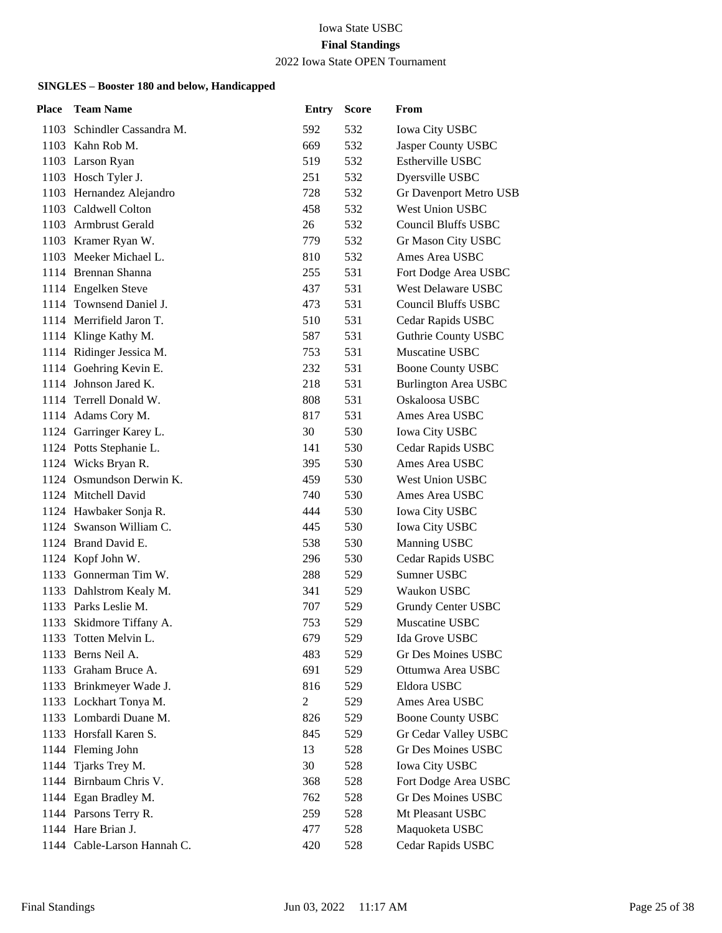#### 2022 Iowa State OPEN Tournament

| Place | <b>Team Name</b>            | <b>Entry</b> | <b>Score</b> | From                        |
|-------|-----------------------------|--------------|--------------|-----------------------------|
|       | 1103 Schindler Cassandra M. | 592          | 532          | <b>Iowa City USBC</b>       |
|       | 1103 Kahn Rob M.            | 669          | 532          | Jasper County USBC          |
|       | 1103 Larson Ryan            | 519          | 532          | Estherville USBC            |
|       | 1103 Hosch Tyler J.         | 251          | 532          | Dyersville USBC             |
|       | 1103 Hernandez Alejandro    | 728          | 532          | Gr Davenport Metro USB      |
|       | 1103 Caldwell Colton        | 458          | 532          | West Union USBC             |
|       | 1103 Armbrust Gerald        | 26           | 532          | <b>Council Bluffs USBC</b>  |
|       | 1103 Kramer Ryan W.         | 779          | 532          | Gr Mason City USBC          |
|       | 1103 Meeker Michael L.      | 810          | 532          | Ames Area USBC              |
|       | 1114 Brennan Shanna         | 255          | 531          | Fort Dodge Area USBC        |
|       | 1114 Engelken Steve         | 437          | 531          | West Delaware USBC          |
|       | 1114 Townsend Daniel J.     | 473          | 531          | <b>Council Bluffs USBC</b>  |
|       | 1114 Merrifield Jaron T.    | 510          | 531          | Cedar Rapids USBC           |
|       | 1114 Klinge Kathy M.        | 587          | 531          | <b>Guthrie County USBC</b>  |
|       | 1114 Ridinger Jessica M.    | 753          | 531          | Muscatine USBC              |
|       | 1114 Goehring Kevin E.      | 232          | 531          | <b>Boone County USBC</b>    |
|       | 1114 Johnson Jared K.       | 218          | 531          | <b>Burlington Area USBC</b> |
|       | 1114 Terrell Donald W.      | 808          | 531          | Oskaloosa USBC              |
|       | 1114 Adams Cory M.          | 817          | 531          | Ames Area USBC              |
|       | 1124 Garringer Karey L.     | 30           | 530          | <b>Iowa City USBC</b>       |
|       | 1124 Potts Stephanie L.     | 141          | 530          | Cedar Rapids USBC           |
|       | 1124 Wicks Bryan R.         | 395          | 530          | Ames Area USBC              |
|       | 1124 Osmundson Derwin K.    | 459          | 530          | West Union USBC             |
|       | 1124 Mitchell David         | 740          | 530          | Ames Area USBC              |
|       | 1124 Hawbaker Sonja R.      | 444          | 530          | Iowa City USBC              |
|       | 1124 Swanson William C.     | 445          | 530          | Iowa City USBC              |
|       | 1124 Brand David E.         | 538          | 530          | Manning USBC                |
|       | 1124 Kopf John W.           | 296          | 530          | Cedar Rapids USBC           |
|       | 1133 Gonnerman Tim W.       | 288          | 529          | Sumner USBC                 |
|       | 1133 Dahlstrom Kealy M.     | 341          | 529          | Waukon USBC                 |
|       | 1133 Parks Leslie M.        | 707          | 529          | Grundy Center USBC          |
|       | 1133 Skidmore Tiffany A.    | 753          | 529          | Muscatine USBC              |
|       | 1133 Totten Melvin L.       | 679          | 529          | Ida Grove USBC              |
| 1133  | Berns Neil A.               | 483          | 529          | <b>Gr Des Moines USBC</b>   |
| 1133  | Graham Bruce A.             | 691          | 529          | Ottumwa Area USBC           |
|       | 1133 Brinkmeyer Wade J.     | 816          | 529          | Eldora USBC                 |
|       | 1133 Lockhart Tonya M.      | $\mathbf{2}$ | 529          | Ames Area USBC              |
|       | 1133 Lombardi Duane M.      | 826          | 529          | <b>Boone County USBC</b>    |
|       | 1133 Horsfall Karen S.      | 845          | 529          | Gr Cedar Valley USBC        |
|       | 1144 Fleming John           | 13           | 528          | Gr Des Moines USBC          |
|       | 1144 Tjarks Trey M.         | 30           | 528          | <b>Iowa City USBC</b>       |
|       | 1144 Birnbaum Chris V.      | 368          | 528          | Fort Dodge Area USBC        |
|       | 1144 Egan Bradley M.        | 762          | 528          | Gr Des Moines USBC          |
|       | 1144 Parsons Terry R.       | 259          | 528          | Mt Pleasant USBC            |
|       | 1144 Hare Brian J.          | 477          | 528          | Maquoketa USBC              |
|       | 1144 Cable-Larson Hannah C. | 420          | 528          | Cedar Rapids USBC           |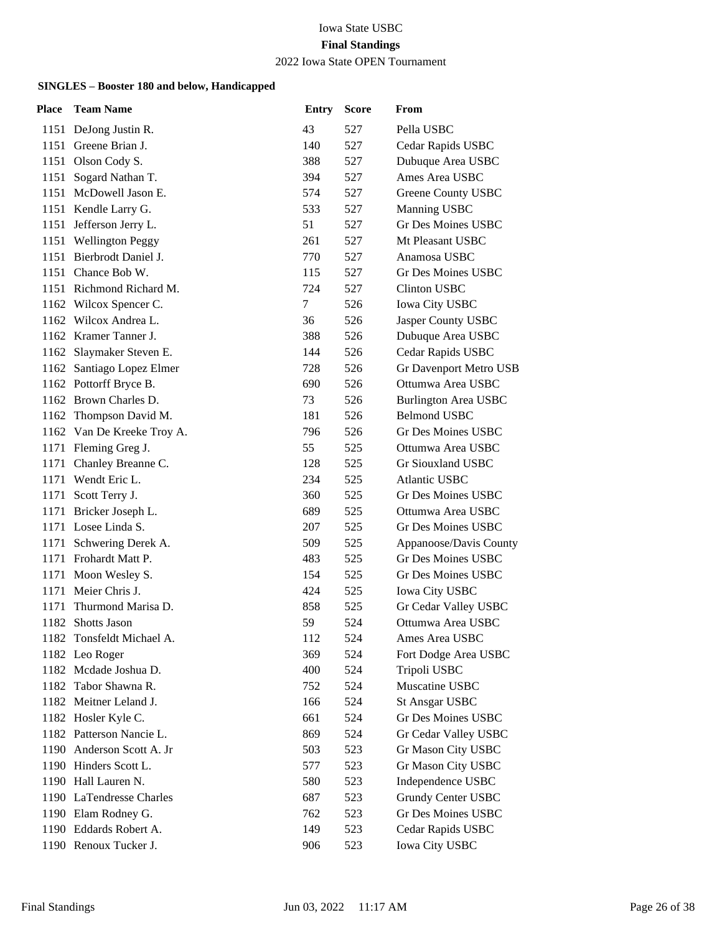#### 2022 Iowa State OPEN Tournament

| <b>Place</b> | <b>Team Name</b>           | <b>Entry</b> | <b>Score</b> | From                        |
|--------------|----------------------------|--------------|--------------|-----------------------------|
|              | 1151 DeJong Justin R.      | 43           | 527          | Pella USBC                  |
|              | 1151 Greene Brian J.       | 140          | 527          | Cedar Rapids USBC           |
|              | 1151 Olson Cody S.         | 388          | 527          | Dubuque Area USBC           |
|              | 1151 Sogard Nathan T.      | 394          | 527          | Ames Area USBC              |
|              | 1151 McDowell Jason E.     | 574          | 527          | Greene County USBC          |
|              | 1151 Kendle Larry G.       | 533          | 527          | Manning USBC                |
|              | 1151 Jefferson Jerry L.    | 51           | 527          | <b>Gr Des Moines USBC</b>   |
|              | 1151 Wellington Peggy      | 261          | 527          | Mt Pleasant USBC            |
|              | 1151 Bierbrodt Daniel J.   | 770          | 527          | Anamosa USBC                |
|              | 1151 Chance Bob W.         | 115          | 527          | <b>Gr Des Moines USBC</b>   |
|              | 1151 Richmond Richard M.   | 724          | 527          | <b>Clinton USBC</b>         |
|              | 1162 Wilcox Spencer C.     | 7            | 526          | <b>Iowa City USBC</b>       |
|              | 1162 Wilcox Andrea L.      | 36           | 526          | Jasper County USBC          |
|              | 1162 Kramer Tanner J.      | 388          | 526          | Dubuque Area USBC           |
|              | 1162 Slaymaker Steven E.   | 144          | 526          | Cedar Rapids USBC           |
|              | 1162 Santiago Lopez Elmer  | 728          | 526          | Gr Davenport Metro USB      |
|              | 1162 Pottorff Bryce B.     | 690          | 526          | Ottumwa Area USBC           |
|              | 1162 Brown Charles D.      | 73           | 526          | <b>Burlington Area USBC</b> |
|              | 1162 Thompson David M.     | 181          | 526          | <b>Belmond USBC</b>         |
|              | 1162 Van De Kreeke Troy A. | 796          | 526          | Gr Des Moines USBC          |
|              | 1171 Fleming Greg J.       | 55           | 525          | Ottumwa Area USBC           |
|              | 1171 Chanley Breanne C.    | 128          | 525          | Gr Siouxland USBC           |
|              | 1171 Wendt Eric L.         | 234          | 525          | <b>Atlantic USBC</b>        |
|              | 1171 Scott Terry J.        | 360          | 525          | Gr Des Moines USBC          |
|              | 1171 Bricker Joseph L.     | 689          | 525          | Ottumwa Area USBC           |
|              | 1171 Losee Linda S.        | 207          | 525          | Gr Des Moines USBC          |
| 1171         | Schwering Derek A.         | 509          | 525          | Appanoose/Davis County      |
|              | 1171 Frohardt Matt P.      | 483          | 525          | <b>Gr Des Moines USBC</b>   |
|              | 1171 Moon Wesley S.        | 154          | 525          | <b>Gr Des Moines USBC</b>   |
| 1171         | Meier Chris J.             | 424          | 525          | Iowa City USBC              |
| 1171         | Thurmond Marisa D.         | 858          | 525          | Gr Cedar Valley USBC        |
|              | 1182 Shotts Jason          | 59           | 524          | Ottumwa Area USBC           |
|              | 1182 Tonsfeldt Michael A.  | 112          | 524          | Ames Area USBC              |
|              | 1182 Leo Roger             | 369          | 524          | Fort Dodge Area USBC        |
|              | 1182 Mcdade Joshua D.      | 400          | 524          | Tripoli USBC                |
|              | 1182 Tabor Shawna R.       | 752          | 524          | Muscatine USBC              |
|              | 1182 Meitner Leland J.     | 166          | 524          | <b>St Ansgar USBC</b>       |
|              | 1182 Hosler Kyle C.        | 661          | 524          | Gr Des Moines USBC          |
|              | 1182 Patterson Nancie L.   | 869          | 524          | Gr Cedar Valley USBC        |
|              | 1190 Anderson Scott A. Jr  | 503          | 523          | Gr Mason City USBC          |
|              | 1190 Hinders Scott L.      | 577          | 523          | Gr Mason City USBC          |
|              | 1190 Hall Lauren N.        | 580          | 523          | Independence USBC           |
|              | 1190 LaTendresse Charles   | 687          | 523          | Grundy Center USBC          |
|              | 1190 Elam Rodney G.        | 762          | 523          | <b>Gr Des Moines USBC</b>   |
|              | 1190 Eddards Robert A.     | 149          | 523          | Cedar Rapids USBC           |
|              | 1190 Renoux Tucker J.      | 906          | 523          | Iowa City USBC              |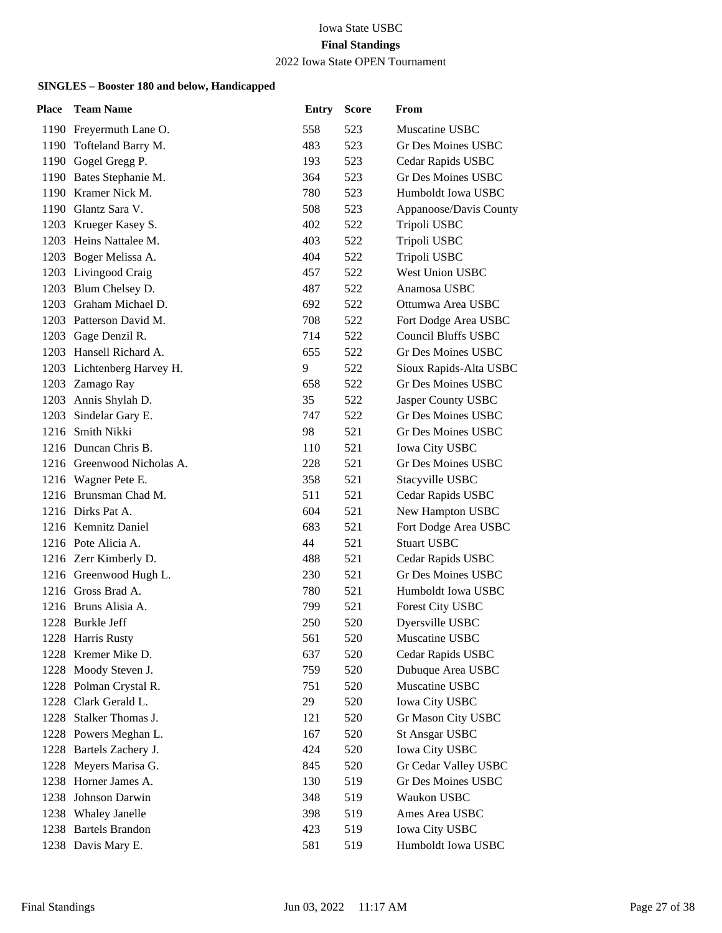#### 2022 Iowa State OPEN Tournament

| Place | <b>Team Name</b>           | <b>Entry</b> | <b>Score</b> | From                       |
|-------|----------------------------|--------------|--------------|----------------------------|
|       | 1190 Freyermuth Lane O.    | 558          | 523          | Muscatine USBC             |
|       | 1190 Tofteland Barry M.    | 483          | 523          | <b>Gr Des Moines USBC</b>  |
|       | 1190 Gogel Gregg P.        | 193          | 523          | Cedar Rapids USBC          |
|       | 1190 Bates Stephanie M.    | 364          | 523          | <b>Gr Des Moines USBC</b>  |
|       | 1190 Kramer Nick M.        | 780          | 523          | Humboldt Iowa USBC         |
|       | 1190 Glantz Sara V.        | 508          | 523          | Appanoose/Davis County     |
|       | 1203 Krueger Kasey S.      | 402          | 522          | Tripoli USBC               |
|       | 1203 Heins Nattalee M.     | 403          | 522          | Tripoli USBC               |
|       | 1203 Boger Melissa A.      | 404          | 522          | Tripoli USBC               |
|       | 1203 Livingood Craig       | 457          | 522          | West Union USBC            |
|       | 1203 Blum Chelsey D.       | 487          | 522          | Anamosa USBC               |
|       | 1203 Graham Michael D.     | 692          | 522          | Ottumwa Area USBC          |
|       | 1203 Patterson David M.    | 708          | 522          | Fort Dodge Area USBC       |
|       | 1203 Gage Denzil R.        | 714          | 522          | <b>Council Bluffs USBC</b> |
|       | 1203 Hansell Richard A.    | 655          | 522          | Gr Des Moines USBC         |
|       | 1203 Lichtenberg Harvey H. | 9            | 522          | Sioux Rapids-Alta USBC     |
|       | 1203 Zamago Ray            | 658          | 522          | Gr Des Moines USBC         |
|       | 1203 Annis Shylah D.       | 35           | 522          | Jasper County USBC         |
| 1203  | Sindelar Gary E.           | 747          | 522          | <b>Gr Des Moines USBC</b>  |
|       | 1216 Smith Nikki           | 98           | 521          | Gr Des Moines USBC         |
|       | 1216 Duncan Chris B.       | 110          | 521          | Iowa City USBC             |
|       | 1216 Greenwood Nicholas A. | 228          | 521          | Gr Des Moines USBC         |
|       | 1216 Wagner Pete E.        | 358          | 521          | Stacyville USBC            |
|       | 1216 Brunsman Chad M.      | 511          | 521          | Cedar Rapids USBC          |
|       | 1216 Dirks Pat A.          | 604          | 521          | New Hampton USBC           |
|       | 1216 Kemnitz Daniel        | 683          | 521          | Fort Dodge Area USBC       |
|       | 1216 Pote Alicia A.        | 44           | 521          | <b>Stuart USBC</b>         |
|       | 1216 Zerr Kimberly D.      | 488          | 521          | Cedar Rapids USBC          |
|       | 1216 Greenwood Hugh L.     | 230          | 521          | Gr Des Moines USBC         |
|       | 1216 Gross Brad A.         | 780          | 521          | Humboldt Iowa USBC         |
|       | 1216 Bruns Alisia A.       | 799          | 521          | Forest City USBC           |
|       | 1228 Burkle Jeff           | 250          | 520          | Dyersville USBC            |
|       | 1228 Harris Rusty          | 561          | 520          | Muscatine USBC             |
|       | 1228 Kremer Mike D.        | 637          | 520          | Cedar Rapids USBC          |
| 1228  | Moody Steven J.            | 759          | 520          | Dubuque Area USBC          |
|       | 1228 Polman Crystal R.     | 751          | 520          | Muscatine USBC             |
|       | 1228 Clark Gerald L.       | 29           | 520          | Iowa City USBC             |
| 1228  | Stalker Thomas J.          | 121          | 520          | Gr Mason City USBC         |
|       | 1228 Powers Meghan L.      | 167          | 520          | <b>St Ansgar USBC</b>      |
|       | 1228 Bartels Zachery J.    | 424          | 520          | <b>Iowa City USBC</b>      |
| 1228  | Meyers Marisa G.           | 845          | 520          | Gr Cedar Valley USBC       |
| 1238  | Horner James A.            | 130          | 519          | <b>Gr Des Moines USBC</b>  |
| 1238  | Johnson Darwin             | 348          | 519          | Waukon USBC                |
| 1238  | <b>Whaley Janelle</b>      | 398          | 519          | Ames Area USBC             |
|       | 1238 Bartels Brandon       | 423          | 519          | Iowa City USBC             |
|       | 1238 Davis Mary E.         | 581          | 519          | Humboldt Iowa USBC         |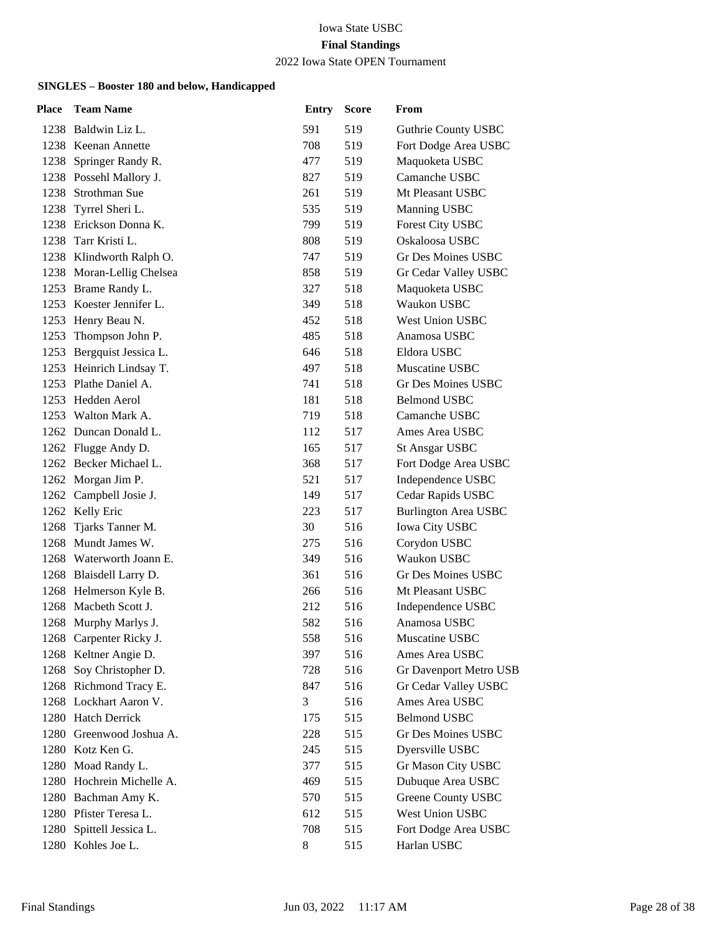#### 2022 Iowa State OPEN Tournament

| Place | <b>Team Name</b>          | <b>Entry</b> | <b>Score</b> | From                        |
|-------|---------------------------|--------------|--------------|-----------------------------|
|       | 1238 Baldwin Liz L.       | 591          | 519          | Guthrie County USBC         |
|       | 1238 Keenan Annette       | 708          | 519          | Fort Dodge Area USBC        |
| 1238  | Springer Randy R.         | 477          | 519          | Maquoketa USBC              |
|       | 1238 Possehl Mallory J.   | 827          | 519          | Camanche USBC               |
|       | 1238 Strothman Sue        | 261          | 519          | Mt Pleasant USBC            |
|       | 1238 Tyrrel Sheri L.      | 535          | 519          | Manning USBC                |
|       | 1238 Erickson Donna K.    | 799          | 519          | Forest City USBC            |
|       | 1238 Tarr Kristi L.       | 808          | 519          | Oskaloosa USBC              |
|       | 1238 Klindworth Ralph O.  | 747          | 519          | Gr Des Moines USBC          |
|       | 1238 Moran-Lellig Chelsea | 858          | 519          | Gr Cedar Valley USBC        |
| 1253  | Brame Randy L.            | 327          | 518          | Maquoketa USBC              |
|       | 1253 Koester Jennifer L.  | 349          | 518          | Waukon USBC                 |
|       | 1253 Henry Beau N.        | 452          | 518          | <b>West Union USBC</b>      |
| 1253  | Thompson John P.          | 485          | 518          | Anamosa USBC                |
| 1253  | Bergquist Jessica L.      | 646          | 518          | Eldora USBC                 |
|       | 1253 Heinrich Lindsay T.  | 497          | 518          | Muscatine USBC              |
|       | 1253 Plathe Daniel A.     | 741          | 518          | Gr Des Moines USBC          |
| 1253  | Hedden Aerol              | 181          | 518          | <b>Belmond USBC</b>         |
| 1253  | Walton Mark A.            | 719          | 518          | Camanche USBC               |
|       | 1262 Duncan Donald L.     | 112          | 517          | Ames Area USBC              |
|       | 1262 Flugge Andy D.       | 165          | 517          | <b>St Ansgar USBC</b>       |
|       | 1262 Becker Michael L.    | 368          | 517          | Fort Dodge Area USBC        |
|       | 1262 Morgan Jim P.        | 521          | 517          | Independence USBC           |
|       | 1262 Campbell Josie J.    | 149          | 517          | Cedar Rapids USBC           |
|       | 1262 Kelly Eric           | 223          | 517          | <b>Burlington Area USBC</b> |
|       | 1268 Tjarks Tanner M.     | 30           | 516          | Iowa City USBC              |
| 1268  | Mundt James W.            | 275          | 516          | Corydon USBC                |
|       | 1268 Waterworth Joann E.  | 349          | 516          | Waukon USBC                 |
|       | 1268 Blaisdell Larry D.   | 361          | 516          | Gr Des Moines USBC          |
|       | 1268 Helmerson Kyle B.    | 266          | 516          | Mt Pleasant USBC            |
| 1268  | Macbeth Scott J.          | 212          | 516          | Independence USBC           |
|       | 1268 Murphy Marlys J.     | 582          | 516          | Anamosa USBC                |
|       | 1268 Carpenter Ricky J.   | 558          | 516          | Muscatine USBC              |
|       | 1268 Keltner Angie D.     | 397          | 516          | Ames Area USBC              |
| 1268  | Soy Christopher D.        | 728          | 516          | Gr Davenport Metro USB      |
|       | 1268 Richmond Tracy E.    | 847          | 516          | Gr Cedar Valley USBC        |
|       | 1268 Lockhart Aaron V.    | 3            | 516          | Ames Area USBC              |
|       | 1280 Hatch Derrick        | 175          | 515          | <b>Belmond USBC</b>         |
|       | 1280 Greenwood Joshua A.  | 228          | 515          | <b>Gr Des Moines USBC</b>   |
|       | 1280 Kotz Ken G.          | 245          | 515          | Dyersville USBC             |
|       | 1280 Moad Randy L.        | 377          | 515          | Gr Mason City USBC          |
|       | 1280 Hochrein Michelle A. | 469          | 515          | Dubuque Area USBC           |
|       | 1280 Bachman Amy K.       | 570          | 515          | <b>Greene County USBC</b>   |
|       | 1280 Pfister Teresa L.    | 612          | 515          | West Union USBC             |
|       | 1280 Spittell Jessica L.  | 708          | 515          | Fort Dodge Area USBC        |
|       | 1280 Kohles Joe L.        | $\,8$        | 515          | Harlan USBC                 |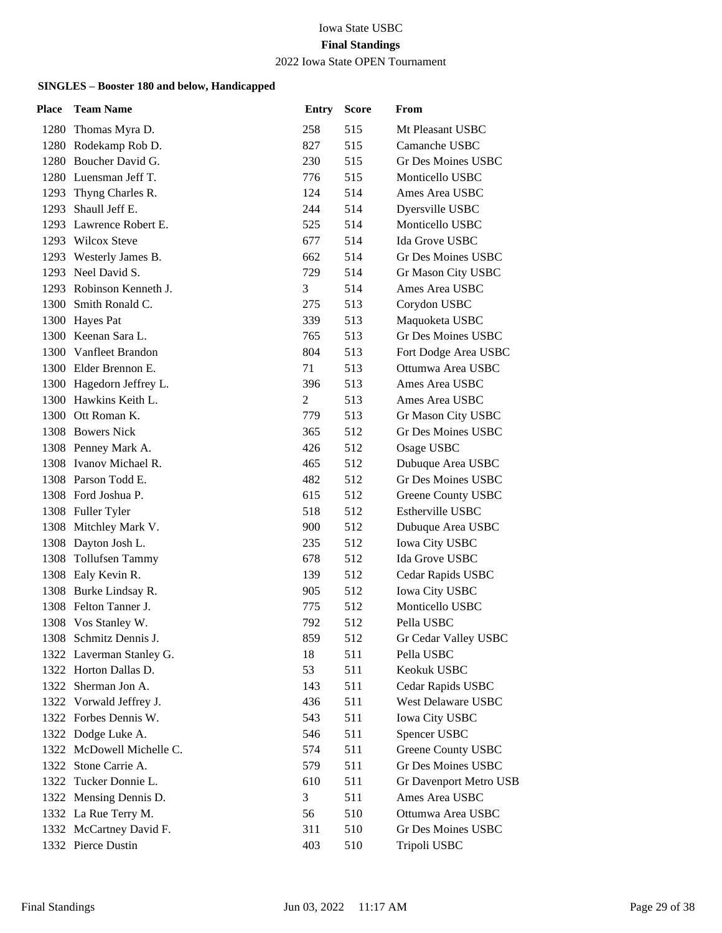#### 2022 Iowa State OPEN Tournament

| Place | <b>Team Name</b>          | <b>Entry</b>   | <b>Score</b> | From                          |
|-------|---------------------------|----------------|--------------|-------------------------------|
|       | 1280 Thomas Myra D.       | 258            | 515          | Mt Pleasant USBC              |
|       | 1280 Rodekamp Rob D.      | 827            | 515          | Camanche USBC                 |
|       | 1280 Boucher David G.     | 230            | 515          | Gr Des Moines USBC            |
|       | 1280 Luensman Jeff T.     | 776            | 515          | Monticello USBC               |
|       | 1293 Thyng Charles R.     | 124            | 514          | Ames Area USBC                |
|       | 1293 Shaull Jeff E.       | 244            | 514          | Dyersville USBC               |
|       | 1293 Lawrence Robert E.   | 525            | 514          | Monticello USBC               |
|       | 1293 Wilcox Steve         | 677            | 514          | Ida Grove USBC                |
|       | 1293 Westerly James B.    | 662            | 514          | Gr Des Moines USBC            |
|       | 1293 Neel David S.        | 729            | 514          | Gr Mason City USBC            |
|       | 1293 Robinson Kenneth J.  | 3              | 514          | Ames Area USBC                |
|       | 1300 Smith Ronald C.      | 275            | 513          | Corydon USBC                  |
|       | 1300 Hayes Pat            | 339            | 513          | Maquoketa USBC                |
|       | 1300 Keenan Sara L.       | 765            | 513          | <b>Gr Des Moines USBC</b>     |
|       | 1300 Vanfleet Brandon     | 804            | 513          | Fort Dodge Area USBC          |
|       | 1300 Elder Brennon E.     | 71             | 513          | Ottumwa Area USBC             |
|       | 1300 Hagedorn Jeffrey L.  | 396            | 513          | Ames Area USBC                |
|       | 1300 Hawkins Keith L.     | $\mathfrak{2}$ | 513          | Ames Area USBC                |
|       | 1300 Ott Roman K.         | 779            | 513          | Gr Mason City USBC            |
|       | 1308 Bowers Nick          | 365            | 512          | <b>Gr Des Moines USBC</b>     |
|       | 1308 Penney Mark A.       | 426            | 512          | Osage USBC                    |
|       | 1308 Ivanov Michael R.    | 465            | 512          | Dubuque Area USBC             |
|       | 1308 Parson Todd E.       | 482            | 512          | Gr Des Moines USBC            |
|       | 1308 Ford Joshua P.       | 615            | 512          | Greene County USBC            |
|       | 1308 Fuller Tyler         | 518            | 512          | <b>Estherville USBC</b>       |
|       | 1308 Mitchley Mark V.     | 900            | 512          | Dubuque Area USBC             |
|       | 1308 Dayton Josh L.       | 235            | 512          | <b>Iowa City USBC</b>         |
|       | 1308 Tollufsen Tammy      | 678            | 512          | Ida Grove USBC                |
|       | 1308 Ealy Kevin R.        | 139            | 512          | Cedar Rapids USBC             |
|       | 1308 Burke Lindsay R.     | 905            | 512          | <b>Iowa City USBC</b>         |
|       | 1308 Felton Tanner J.     | 775            | 512          | Monticello USBC               |
|       | 1308 Vos Stanley W.       | 792            | 512          | Pella USBC                    |
|       | 1308 Schmitz Dennis J.    | 859            | 512          | Gr Cedar Valley USBC          |
|       | 1322 Laverman Stanley G.  | 18             | 511          | Pella USBC                    |
|       | 1322 Horton Dallas D.     | 53             | 511          | Keokuk USBC                   |
|       | 1322 Sherman Jon A.       | 143            | 511          | Cedar Rapids USBC             |
|       | 1322 Vorwald Jeffrey J.   | 436            | 511          | <b>West Delaware USBC</b>     |
|       | 1322 Forbes Dennis W.     | 543            | 511          | Iowa City USBC                |
|       | 1322 Dodge Luke A.        | 546            | 511          | Spencer USBC                  |
|       | 1322 McDowell Michelle C. | 574            | 511          | Greene County USBC            |
|       | 1322 Stone Carrie A.      | 579            | 511          | Gr Des Moines USBC            |
|       | 1322 Tucker Donnie L.     | 610            | 511          | <b>Gr Davenport Metro USB</b> |
|       | 1322 Mensing Dennis D.    | 3              | 511          | Ames Area USBC                |
|       | 1332 La Rue Terry M.      | 56             | 510          | Ottumwa Area USBC             |
|       | 1332 McCartney David F.   | 311            | 510          | Gr Des Moines USBC            |
|       | 1332 Pierce Dustin        | 403            | 510          | Tripoli USBC                  |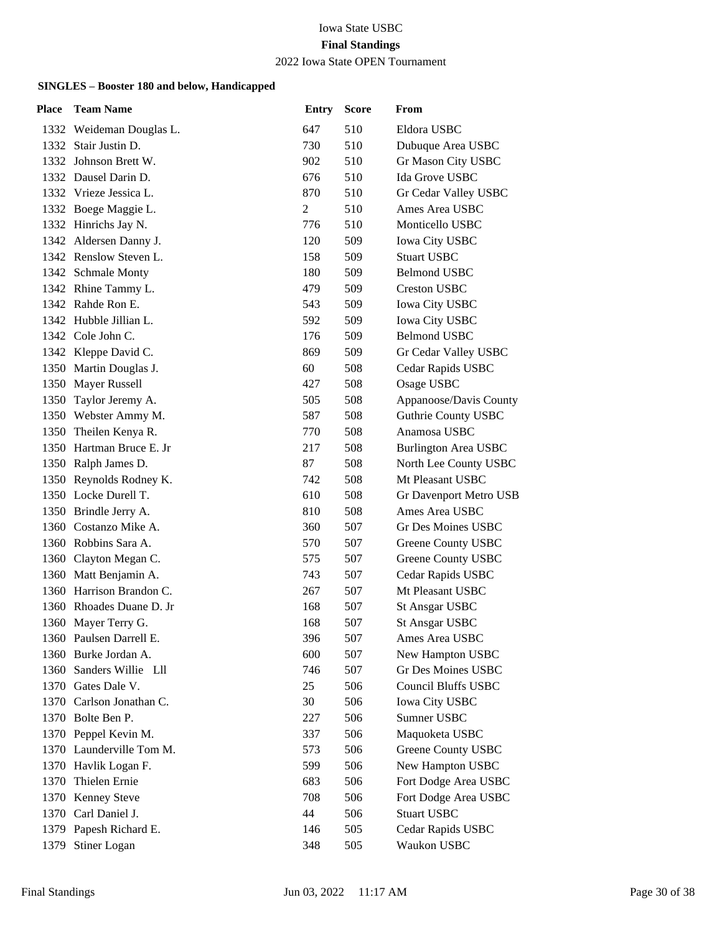#### 2022 Iowa State OPEN Tournament

| Place | <b>Team Name</b>         | <b>Entry</b>   | <b>Score</b> | From                        |
|-------|--------------------------|----------------|--------------|-----------------------------|
|       | 1332 Weideman Douglas L. | 647            | 510          | Eldora USBC                 |
|       | 1332 Stair Justin D.     | 730            | 510          | Dubuque Area USBC           |
|       | 1332 Johnson Brett W.    | 902            | 510          | Gr Mason City USBC          |
|       | 1332 Dausel Darin D.     | 676            | 510          | Ida Grove USBC              |
|       | 1332 Vrieze Jessica L.   | 870            | 510          | Gr Cedar Valley USBC        |
|       | 1332 Boege Maggie L.     | $\overline{c}$ | 510          | Ames Area USBC              |
|       | 1332 Hinrichs Jay N.     | 776            | 510          | Monticello USBC             |
|       | 1342 Aldersen Danny J.   | 120            | 509          | <b>Iowa City USBC</b>       |
|       | 1342 Renslow Steven L.   | 158            | 509          | <b>Stuart USBC</b>          |
|       | 1342 Schmale Monty       | 180            | 509          | <b>Belmond USBC</b>         |
|       | 1342 Rhine Tammy L.      | 479            | 509          | <b>Creston USBC</b>         |
|       | 1342 Rahde Ron E.        | 543            | 509          | <b>Iowa City USBC</b>       |
|       | 1342 Hubble Jillian L.   | 592            | 509          | <b>Iowa City USBC</b>       |
|       | 1342 Cole John C.        | 176            | 509          | <b>Belmond USBC</b>         |
|       | 1342 Kleppe David C.     | 869            | 509          | Gr Cedar Valley USBC        |
|       | 1350 Martin Douglas J.   | 60             | 508          | Cedar Rapids USBC           |
|       | 1350 Mayer Russell       | 427            | 508          | Osage USBC                  |
|       | 1350 Taylor Jeremy A.    | 505            | 508          | Appanoose/Davis County      |
|       | 1350 Webster Ammy M.     | 587            | 508          | <b>Guthrie County USBC</b>  |
|       | 1350 Theilen Kenya R.    | 770            | 508          | Anamosa USBC                |
|       | 1350 Hartman Bruce E. Jr | 217            | 508          | <b>Burlington Area USBC</b> |
|       | 1350 Ralph James D.      | 87             | 508          | North Lee County USBC       |
|       | 1350 Reynolds Rodney K.  | 742            | 508          | Mt Pleasant USBC            |
|       | 1350 Locke Durell T.     | 610            | 508          | Gr Davenport Metro USB      |
|       | 1350 Brindle Jerry A.    | 810            | 508          | Ames Area USBC              |
|       | 1360 Costanzo Mike A.    | 360            | 507          | <b>Gr Des Moines USBC</b>   |
|       | 1360 Robbins Sara A.     | 570            | 507          | Greene County USBC          |
|       | 1360 Clayton Megan C.    | 575            | 507          | <b>Greene County USBC</b>   |
|       | 1360 Matt Benjamin A.    | 743            | 507          | Cedar Rapids USBC           |
|       | 1360 Harrison Brandon C. | 267            | 507          | Mt Pleasant USBC            |
|       | 1360 Rhoades Duane D. Jr | 168            | 507          | <b>St Ansgar USBC</b>       |
| 1360  | Mayer Terry G.           | 168            | 507          | <b>St Ansgar USBC</b>       |
|       | 1360 Paulsen Darrell E.  | 396            | 507          | Ames Area USBC              |
|       | 1360 Burke Jordan A.     | 600            | 507          | New Hampton USBC            |
| 1360  | Sanders Willie Lll       | 746            | 507          | Gr Des Moines USBC          |
|       | 1370 Gates Dale V.       | 25             | 506          | <b>Council Bluffs USBC</b>  |
|       | 1370 Carlson Jonathan C. | 30             | 506          | <b>Iowa City USBC</b>       |
|       | 1370 Bolte Ben P.        | 227            | 506          | Sumner USBC                 |
|       | 1370 Peppel Kevin M.     | 337            | 506          | Maquoketa USBC              |
|       | 1370 Launderville Tom M. | 573            | 506          | Greene County USBC          |
|       | 1370 Havlik Logan F.     | 599            | 506          | New Hampton USBC            |
| 1370  | Thielen Ernie            | 683            | 506          | Fort Dodge Area USBC        |
| 1370  | <b>Kenney Steve</b>      | 708            | 506          | Fort Dodge Area USBC        |
|       | 1370 Carl Daniel J.      | 44             | 506          | <b>Stuart USBC</b>          |
|       | 1379 Papesh Richard E.   | 146            | 505          | Cedar Rapids USBC           |
|       | 1379 Stiner Logan        | 348            | 505          | Waukon USBC                 |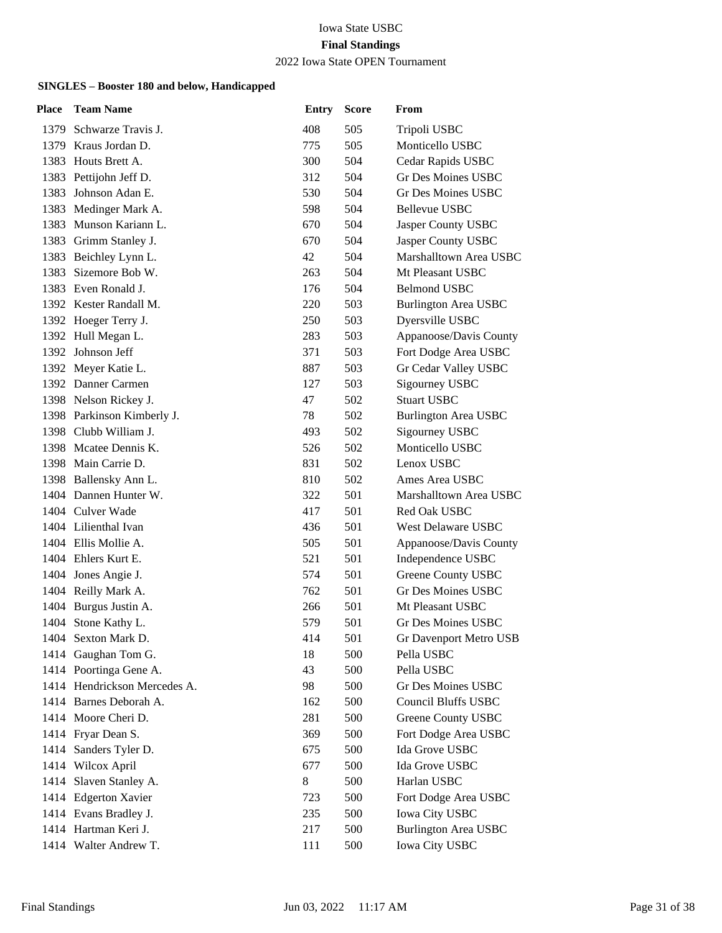### 2022 Iowa State OPEN Tournament

| Place | <b>Team Name</b>             | <b>Entry</b> | <b>Score</b> | From                        |
|-------|------------------------------|--------------|--------------|-----------------------------|
|       | 1379 Schwarze Travis J.      | 408          | 505          | Tripoli USBC                |
|       | 1379 Kraus Jordan D.         | 775          | 505          | Monticello USBC             |
| 1383  | Houts Brett A.               | 300          | 504          | Cedar Rapids USBC           |
|       | 1383 Pettijohn Jeff D.       | 312          | 504          | <b>Gr Des Moines USBC</b>   |
| 1383  | Johnson Adan E.              | 530          | 504          | Gr Des Moines USBC          |
|       | 1383 Medinger Mark A.        | 598          | 504          | Bellevue USBC               |
| 1383  | Munson Kariann L.            | 670          | 504          | Jasper County USBC          |
|       | 1383 Grimm Stanley J.        | 670          | 504          | Jasper County USBC          |
|       | 1383 Beichley Lynn L.        | 42           | 504          | Marshalltown Area USBC      |
| 1383  | Sizemore Bob W.              | 263          | 504          | Mt Pleasant USBC            |
|       | 1383 Even Ronald J.          | 176          | 504          | <b>Belmond USBC</b>         |
|       | 1392 Kester Randall M.       | 220          | 503          | <b>Burlington Area USBC</b> |
|       | 1392 Hoeger Terry J.         | 250          | 503          | Dyersville USBC             |
|       | 1392 Hull Megan L.           | 283          | 503          | Appanoose/Davis County      |
|       | 1392 Johnson Jeff            | 371          | 503          | Fort Dodge Area USBC        |
|       | 1392 Meyer Katie L.          | 887          | 503          | Gr Cedar Valley USBC        |
|       | 1392 Danner Carmen           | 127          | 503          | <b>Sigourney USBC</b>       |
|       | 1398 Nelson Rickey J.        | 47           | 502          | <b>Stuart USBC</b>          |
|       | 1398 Parkinson Kimberly J.   | 78           | 502          | <b>Burlington Area USBC</b> |
|       | 1398 Clubb William J.        | 493          | 502          | <b>Sigourney USBC</b>       |
|       | 1398 Mcatee Dennis K.        | 526          | 502          | Monticello USBC             |
|       | 1398 Main Carrie D.          | 831          | 502          | Lenox USBC                  |
|       | 1398 Ballensky Ann L.        | 810          | 502          | Ames Area USBC              |
|       | 1404 Dannen Hunter W.        | 322          | 501          | Marshalltown Area USBC      |
|       | 1404 Culver Wade             | 417          | 501          | Red Oak USBC                |
|       | 1404 Lilienthal Ivan         | 436          | 501          | West Delaware USBC          |
|       | 1404 Ellis Mollie A.         | 505          | 501          | Appanoose/Davis County      |
|       | 1404 Ehlers Kurt E.          | 521          | 501          | Independence USBC           |
|       | 1404 Jones Angie J.          | 574          | 501          | Greene County USBC          |
|       | 1404 Reilly Mark A.          | 762          | 501          | Gr Des Moines USBC          |
|       | 1404 Burgus Justin A.        | 266          | 501          | Mt Pleasant USBC            |
|       | 1404 Stone Kathy L.          | 579          | 501          | Gr Des Moines USBC          |
|       | 1404 Sexton Mark D.          | 414          | 501          | Gr Davenport Metro USB      |
|       | 1414 Gaughan Tom G.          | 18           | 500          | Pella USBC                  |
|       | 1414 Poortinga Gene A.       | 43           | 500          | Pella USBC                  |
|       | 1414 Hendrickson Mercedes A. | 98           | 500          | Gr Des Moines USBC          |
|       | 1414 Barnes Deborah A.       | 162          | 500          | Council Bluffs USBC         |
|       | 1414 Moore Cheri D.          | 281          | 500          | Greene County USBC          |
|       | 1414 Fryar Dean S.           | 369          | 500          | Fort Dodge Area USBC        |
|       | 1414 Sanders Tyler D.        | 675          | 500          | Ida Grove USBC              |
|       | 1414 Wilcox April            | 677          | 500          | Ida Grove USBC              |
| 1414  | Slaven Stanley A.            | 8            | 500          | Harlan USBC                 |
|       | 1414 Edgerton Xavier         | 723          | 500          | Fort Dodge Area USBC        |
|       | 1414 Evans Bradley J.        | 235          | 500          | Iowa City USBC              |
|       | 1414 Hartman Keri J.         | 217          | 500          | Burlington Area USBC        |
|       | 1414 Walter Andrew T.        | 111          | 500          | Iowa City USBC              |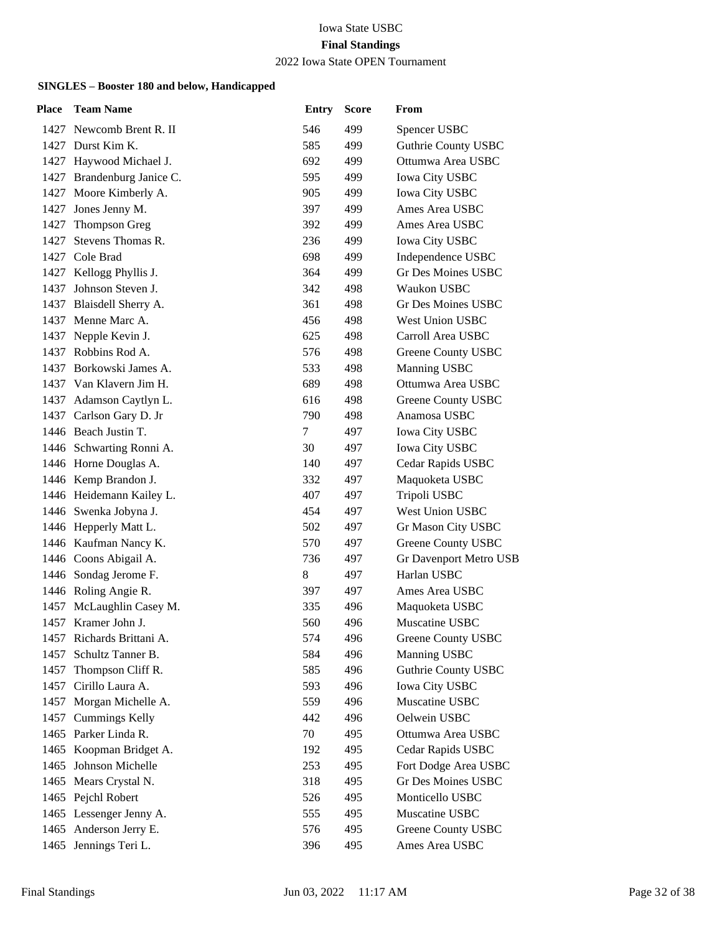#### 2022 Iowa State OPEN Tournament

| Place | <b>Team Name</b>           | <b>Entry</b> | <b>Score</b> | From                          |
|-------|----------------------------|--------------|--------------|-------------------------------|
|       | 1427 Newcomb Brent R. II   | 546          | 499          | Spencer USBC                  |
|       | 1427 Durst Kim K.          | 585          | 499          | <b>Guthrie County USBC</b>    |
|       | 1427 Haywood Michael J.    | 692          | 499          | Ottumwa Area USBC             |
|       | 1427 Brandenburg Janice C. | 595          | 499          | Iowa City USBC                |
|       | 1427 Moore Kimberly A.     | 905          | 499          | <b>Iowa City USBC</b>         |
| 1427  | Jones Jenny M.             | 397          | 499          | Ames Area USBC                |
| 1427  | Thompson Greg              | 392          | 499          | Ames Area USBC                |
| 1427  | Stevens Thomas R.          | 236          | 499          | <b>Iowa City USBC</b>         |
|       | 1427 Cole Brad             | 698          | 499          | Independence USBC             |
| 1427  | Kellogg Phyllis J.         | 364          | 499          | Gr Des Moines USBC            |
| 1437  | Johnson Steven J.          | 342          | 498          | Waukon USBC                   |
|       | 1437 Blaisdell Sherry A.   | 361          | 498          | Gr Des Moines USBC            |
|       | 1437 Menne Marc A.         | 456          | 498          | <b>West Union USBC</b>        |
| 1437  | Nepple Kevin J.            | 625          | 498          | Carroll Area USBC             |
| 1437  | Robbins Rod A.             | 576          | 498          | <b>Greene County USBC</b>     |
|       | 1437 Borkowski James A.    | 533          | 498          | Manning USBC                  |
|       | 1437 Van Klavern Jim H.    | 689          | 498          | Ottumwa Area USBC             |
|       | 1437 Adamson Caytlyn L.    | 616          | 498          | <b>Greene County USBC</b>     |
|       | 1437 Carlson Gary D. Jr    | 790          | 498          | Anamosa USBC                  |
|       | 1446 Beach Justin T.       | 7            | 497          | <b>Iowa City USBC</b>         |
|       | 1446 Schwarting Ronni A.   | 30           | 497          | Iowa City USBC                |
|       | 1446 Horne Douglas A.      | 140          | 497          | Cedar Rapids USBC             |
|       | 1446 Kemp Brandon J.       | 332          | 497          | Maquoketa USBC                |
|       | 1446 Heidemann Kailey L.   | 407          | 497          | Tripoli USBC                  |
|       | 1446 Swenka Jobyna J.      | 454          | 497          | West Union USBC               |
|       | 1446 Hepperly Matt L.      | 502          | 497          | Gr Mason City USBC            |
|       | 1446 Kaufman Nancy K.      | 570          | 497          | <b>Greene County USBC</b>     |
|       | 1446 Coons Abigail A.      | 736          | 497          | <b>Gr Davenport Metro USB</b> |
|       | 1446 Sondag Jerome F.      | 8            | 497          | Harlan USBC                   |
|       | 1446 Roling Angie R.       | 397          | 497          | Ames Area USBC                |
| 1457  | McLaughlin Casey M.        | 335          | 496          | Maquoketa USBC                |
|       | 1457 Kramer John J.        | 560          | 496          | Muscatine USBC                |
|       | 1457 Richards Brittani A.  | 574          | 496          | <b>Greene County USBC</b>     |
| 1457  | Schultz Tanner B.          | 584          | 496          | Manning USBC                  |
| 1457  | Thompson Cliff R.          | 585          | 496          | <b>Guthrie County USBC</b>    |
|       | 1457 Cirillo Laura A.      | 593          | 496          | <b>Iowa City USBC</b>         |
|       | 1457 Morgan Michelle A.    | 559          | 496          | Muscatine USBC                |
|       | 1457 Cummings Kelly        | 442          | 496          | Oelwein USBC                  |
|       | 1465 Parker Linda R.       | 70           | 495          | Ottumwa Area USBC             |
|       | 1465 Koopman Bridget A.    | 192          | 495          | Cedar Rapids USBC             |
| 1465  | Johnson Michelle           | 253          | 495          | Fort Dodge Area USBC          |
|       | 1465 Mears Crystal N.      | 318          | 495          | <b>Gr Des Moines USBC</b>     |
|       | 1465 Pejchl Robert         | 526          | 495          | Monticello USBC               |
|       | 1465 Lessenger Jenny A.    | 555          | 495          | Muscatine USBC                |
|       | 1465 Anderson Jerry E.     | 576          | 495          | <b>Greene County USBC</b>     |
|       | 1465 Jennings Teri L.      | 396          | 495          | Ames Area USBC                |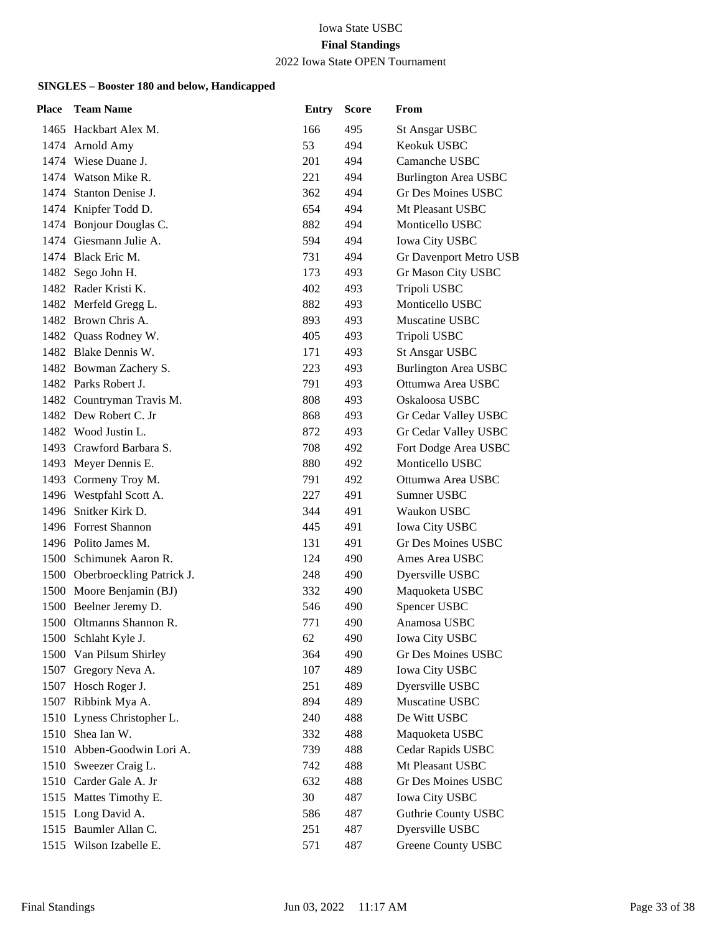### 2022 Iowa State OPEN Tournament

| Place | <b>Team Name</b>               | <b>Entry</b> | <b>Score</b> | From                        |
|-------|--------------------------------|--------------|--------------|-----------------------------|
|       | 1465 Hackbart Alex M.          | 166          | 495          | <b>St Ansgar USBC</b>       |
|       | 1474 Arnold Amy                | 53           | 494          | Keokuk USBC                 |
|       | 1474 Wiese Duane J.            | 201          | 494          | Camanche USBC               |
|       | 1474 Watson Mike R.            | 221          | 494          | <b>Burlington Area USBC</b> |
|       | 1474 Stanton Denise J.         | 362          | 494          | Gr Des Moines USBC          |
|       | 1474 Knipfer Todd D.           | 654          | 494          | Mt Pleasant USBC            |
|       | 1474 Bonjour Douglas C.        | 882          | 494          | Monticello USBC             |
|       | 1474 Giesmann Julie A.         | 594          | 494          | <b>Iowa City USBC</b>       |
|       | 1474 Black Eric M.             | 731          | 494          | Gr Davenport Metro USB      |
|       | 1482 Sego John H.              | 173          | 493          | Gr Mason City USBC          |
|       | 1482 Rader Kristi K.           | 402          | 493          | Tripoli USBC                |
|       | 1482 Merfeld Gregg L.          | 882          | 493          | Monticello USBC             |
|       | 1482 Brown Chris A.            | 893          | 493          | Muscatine USBC              |
|       | 1482 Quass Rodney W.           | 405          | 493          | Tripoli USBC                |
|       | 1482 Blake Dennis W.           | 171          | 493          | <b>St Ansgar USBC</b>       |
|       | 1482 Bowman Zachery S.         | 223          | 493          | <b>Burlington Area USBC</b> |
|       | 1482 Parks Robert J.           | 791          | 493          | Ottumwa Area USBC           |
|       | 1482 Countryman Travis M.      | 808          | 493          | Oskaloosa USBC              |
|       | 1482 Dew Robert C. Jr          | 868          | 493          | Gr Cedar Valley USBC        |
|       | 1482 Wood Justin L.            | 872          | 493          | Gr Cedar Valley USBC        |
|       | 1493 Crawford Barbara S.       | 708          | 492          | Fort Dodge Area USBC        |
|       | 1493 Meyer Dennis E.           | 880          | 492          | Monticello USBC             |
|       | 1493 Cormeny Troy M.           | 791          | 492          | Ottumwa Area USBC           |
|       | 1496 Westpfahl Scott A.        | 227          | 491          | Sumner USBC                 |
|       | 1496 Snitker Kirk D.           | 344          | 491          | Waukon USBC                 |
|       | 1496 Forrest Shannon           | 445          | 491          | Iowa City USBC              |
|       | 1496 Polito James M.           | 131          | 491          | <b>Gr Des Moines USBC</b>   |
|       | 1500 Schimunek Aaron R.        | 124          | 490          | Ames Area USBC              |
|       | 1500 Oberbroeckling Patrick J. | 248          | 490          | Dyersville USBC             |
|       | 1500 Moore Benjamin (BJ)       | 332          | 490          | Maquoketa USBC              |
|       | 1500 Beelner Jeremy D.         | 546          | 490          | Spencer USBC                |
|       | 1500 Oltmanns Shannon R.       | 771          | 490          | Anamosa USBC                |
|       | 1500 Schlaht Kyle J.           | 62           | 490          | <b>Iowa City USBC</b>       |
|       | 1500 Van Pilsum Shirley        | 364          | 490          | Gr Des Moines USBC          |
| 1507  | Gregory Neva A.                | 107          | 489          | <b>Iowa City USBC</b>       |
|       | 1507 Hosch Roger J.            | 251          | 489          | Dyersville USBC             |
|       | 1507 Ribbink Mya A.            | 894          | 489          | Muscatine USBC              |
|       | 1510 Lyness Christopher L.     | 240          | 488          | De Witt USBC                |
| 1510  | Shea Ian W.                    | 332          | 488          | Maquoketa USBC              |
|       | 1510 Abben-Goodwin Lori A.     | 739          | 488          | Cedar Rapids USBC           |
|       | 1510 Sweezer Craig L.          | 742          | 488          | Mt Pleasant USBC            |
|       | 1510 Carder Gale A. Jr         | 632          | 488          | <b>Gr Des Moines USBC</b>   |
|       | 1515 Mattes Timothy E.         | 30           | 487          | <b>Iowa City USBC</b>       |
|       | 1515 Long David A.             | 586          | 487          | <b>Guthrie County USBC</b>  |
|       | 1515 Baumler Allan C.          | 251          | 487          | Dyersville USBC             |
|       | 1515 Wilson Izabelle E.        | 571          | 487          | <b>Greene County USBC</b>   |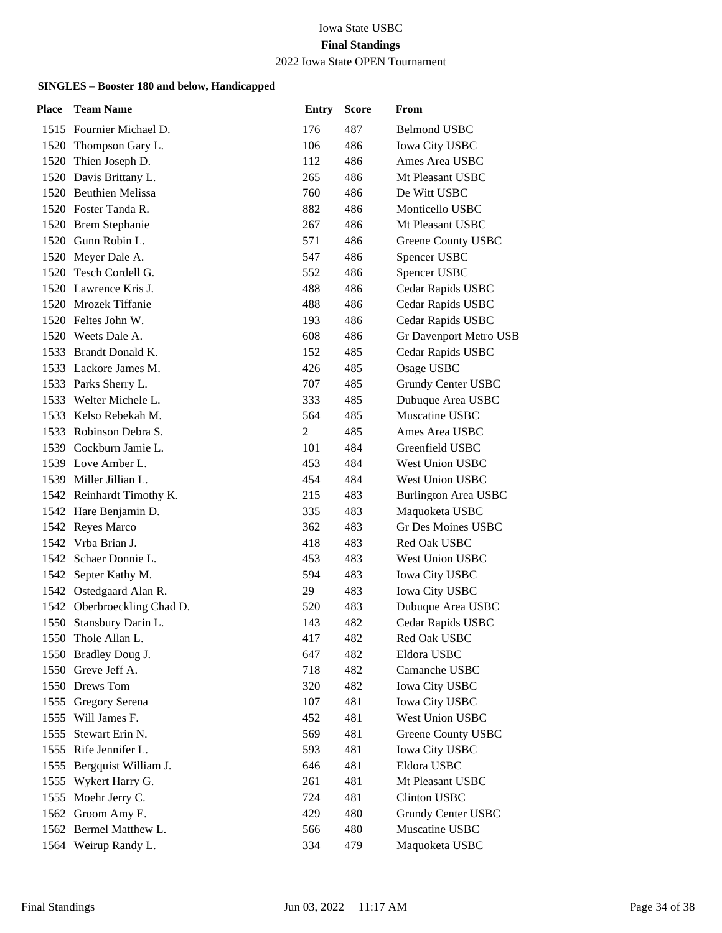#### 2022 Iowa State OPEN Tournament

| <b>Place</b> | <b>Team Name</b>            | <b>Entry</b>   | <b>Score</b> | From                        |
|--------------|-----------------------------|----------------|--------------|-----------------------------|
|              | 1515 Fournier Michael D.    | 176            | 487          | <b>Belmond USBC</b>         |
|              | 1520 Thompson Gary L.       | 106            | 486          | <b>Iowa City USBC</b>       |
| 1520         | Thien Joseph D.             | 112            | 486          | Ames Area USBC              |
|              | 1520 Davis Brittany L.      | 265            | 486          | Mt Pleasant USBC            |
|              | 1520 Beuthien Melissa       | 760            | 486          | De Witt USBC                |
|              | 1520 Foster Tanda R.        | 882            | 486          | Monticello USBC             |
|              | 1520 Brem Stephanie         | 267            | 486          | Mt Pleasant USBC            |
|              | 1520 Gunn Robin L.          | 571            | 486          | Greene County USBC          |
|              | 1520 Meyer Dale A.          | 547            | 486          | Spencer USBC                |
|              | 1520 Tesch Cordell G.       | 552            | 486          | Spencer USBC                |
|              | 1520 Lawrence Kris J.       | 488            | 486          | Cedar Rapids USBC           |
|              | 1520 Mrozek Tiffanie        | 488            | 486          | Cedar Rapids USBC           |
|              | 1520 Feltes John W.         | 193            | 486          | Cedar Rapids USBC           |
|              | 1520 Weets Dale A.          | 608            | 486          | Gr Davenport Metro USB      |
|              | 1533 Brandt Donald K.       | 152            | 485          | Cedar Rapids USBC           |
|              | 1533 Lackore James M.       | 426            | 485          | Osage USBC                  |
|              | 1533 Parks Sherry L.        | 707            | 485          | Grundy Center USBC          |
|              | 1533 Welter Michele L.      | 333            | 485          | Dubuque Area USBC           |
|              | 1533 Kelso Rebekah M.       | 564            | 485          | Muscatine USBC              |
|              | 1533 Robinson Debra S.      | $\overline{2}$ | 485          | Ames Area USBC              |
|              | 1539 Cockburn Jamie L.      | 101            | 484          | Greenfield USBC             |
|              | 1539 Love Amber L.          | 453            | 484          | West Union USBC             |
|              | 1539 Miller Jillian L.      | 454            | 484          | West Union USBC             |
|              | 1542 Reinhardt Timothy K.   | 215            | 483          | <b>Burlington Area USBC</b> |
|              | 1542 Hare Benjamin D.       | 335            | 483          | Maquoketa USBC              |
|              | 1542 Reyes Marco            | 362            | 483          | <b>Gr Des Moines USBC</b>   |
|              | 1542 Vrba Brian J.          | 418            | 483          | Red Oak USBC                |
|              | 1542 Schaer Donnie L.       | 453            | 483          | West Union USBC             |
|              | 1542 Septer Kathy M.        | 594            | 483          | <b>Iowa City USBC</b>       |
|              | 1542 Ostedgaard Alan R.     | 29             | 483          | <b>Iowa City USBC</b>       |
|              | 1542 Oberbroeckling Chad D. | 520            | 483          | Dubuque Area USBC           |
|              | 1550 Stansbury Darin L.     | 143            | 482          | Cedar Rapids USBC           |
|              | 1550 Thole Allan L.         | 417            | 482          | Red Oak USBC                |
|              | 1550 Bradley Doug J.        | 647            | 482          | Eldora USBC                 |
|              | 1550 Greve Jeff A.          | 718            | 482          | Camanche USBC               |
|              | 1550 Drews Tom              | 320            | 482          | <b>Iowa City USBC</b>       |
|              | 1555 Gregory Serena         | 107            | 481          | <b>Iowa City USBC</b>       |
|              | 1555 Will James F.          | 452            | 481          | West Union USBC             |
| 1555         | Stewart Erin N.             | 569            | 481          | <b>Greene County USBC</b>   |
|              | 1555 Rife Jennifer L.       | 593            | 481          | <b>Iowa City USBC</b>       |
|              | 1555 Bergquist William J.   | 646            | 481          | Eldora USBC                 |
|              | 1555 Wykert Harry G.        | 261            | 481          | Mt Pleasant USBC            |
|              | 1555 Moehr Jerry C.         | 724            | 481          | <b>Clinton USBC</b>         |
|              | 1562 Groom Amy E.           | 429            | 480          | Grundy Center USBC          |
|              | 1562 Bermel Matthew L.      | 566            | 480          | Muscatine USBC              |
|              | 1564 Weirup Randy L.        | 334            | 479          | Maquoketa USBC              |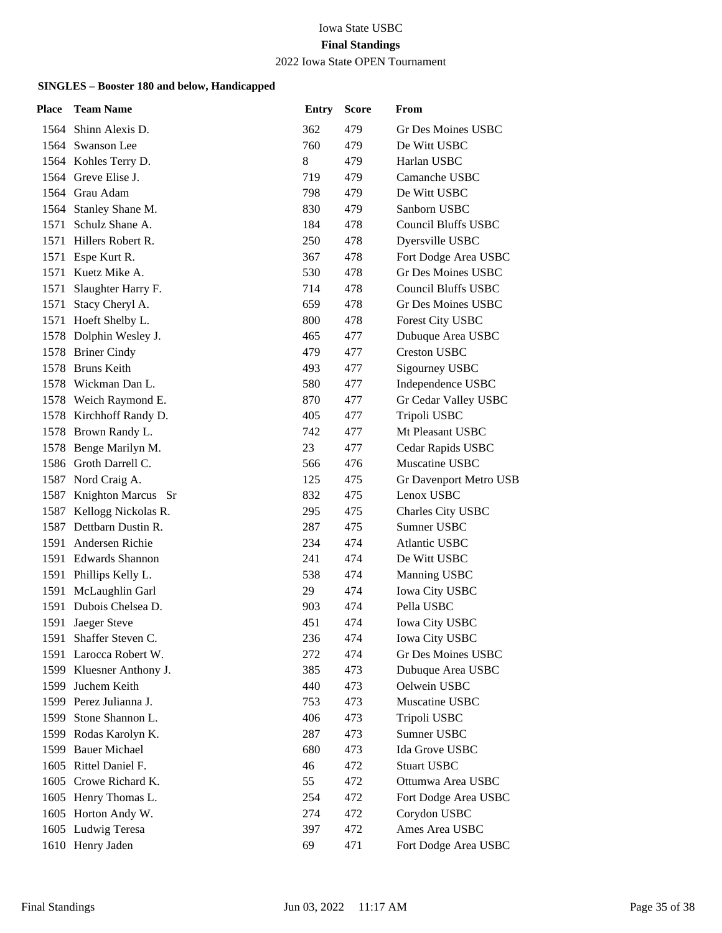### 2022 Iowa State OPEN Tournament

| Place | <b>Team Name</b>         | <b>Entry</b> | <b>Score</b> | From                       |
|-------|--------------------------|--------------|--------------|----------------------------|
|       | 1564 Shinn Alexis D.     | 362          | 479          | Gr Des Moines USBC         |
|       | 1564 Swanson Lee         | 760          | 479          | De Witt USBC               |
|       | 1564 Kohles Terry D.     | 8            | 479          | Harlan USBC                |
|       | 1564 Greve Elise J.      | 719          | 479          | Camanche USBC              |
|       | 1564 Grau Adam           | 798          | 479          | De Witt USBC               |
|       | 1564 Stanley Shane M.    | 830          | 479          | Sanborn USBC               |
| 1571  | Schulz Shane A.          | 184          | 478          | <b>Council Bluffs USBC</b> |
|       | 1571 Hillers Robert R.   | 250          | 478          | Dyersville USBC            |
|       | 1571 Espe Kurt R.        | 367          | 478          | Fort Dodge Area USBC       |
| 1571  | Kuetz Mike A.            | 530          | 478          | Gr Des Moines USBC         |
| 1571  | Slaughter Harry F.       | 714          | 478          | <b>Council Bluffs USBC</b> |
| 1571  | Stacy Cheryl A.          | 659          | 478          | <b>Gr Des Moines USBC</b>  |
|       | 1571 Hoeft Shelby L.     | 800          | 478          | <b>Forest City USBC</b>    |
|       | 1578 Dolphin Wesley J.   | 465          | 477          | Dubuque Area USBC          |
|       | 1578 Briner Cindy        | 479          | 477          | <b>Creston USBC</b>        |
|       | 1578 Bruns Keith         | 493          | 477          | Sigourney USBC             |
|       | 1578 Wickman Dan L.      | 580          | 477          | Independence USBC          |
|       | 1578 Weich Raymond E.    | 870          | 477          | Gr Cedar Valley USBC       |
|       | 1578 Kirchhoff Randy D.  | 405          | 477          | Tripoli USBC               |
|       | 1578 Brown Randy L.      | 742          | 477          | Mt Pleasant USBC           |
|       | 1578 Benge Marilyn M.    | 23           | 477          | Cedar Rapids USBC          |
|       | 1586 Groth Darrell C.    | 566          | 476          | Muscatine USBC             |
|       | 1587 Nord Craig A.       | 125          | 475          | Gr Davenport Metro USB     |
|       | 1587 Knighton Marcus Sr  | 832          | 475          | Lenox USBC                 |
|       | 1587 Kellogg Nickolas R. | 295          | 475          | Charles City USBC          |
|       | 1587 Dettbarn Dustin R.  | 287          | 475          | Sumner USBC                |
| 1591  | Andersen Richie          | 234          | 474          | <b>Atlantic USBC</b>       |
|       | 1591 Edwards Shannon     | 241          | 474          | De Witt USBC               |
|       | 1591 Phillips Kelly L.   | 538          | 474          | Manning USBC               |
| 1591  | McLaughlin Garl          | 29           | 474          | <b>Iowa City USBC</b>      |
| 1591  | Dubois Chelsea D.        | 903          | 474          | Pella USBC                 |
| 1591  | Jaeger Steve             | 451          | 474          | <b>Iowa City USBC</b>      |
|       | 1591 Shaffer Steven C.   | 236          | 474          | Iowa City USBC             |
| 1591  | Larocca Robert W.        | 272          | 474          | Gr Des Moines USBC         |
| 1599  | Kluesner Anthony J.      | 385          | 473          | Dubuque Area USBC          |
| 1599  | Juchem Keith             | 440          | 473          | Oelwein USBC               |
|       | 1599 Perez Julianna J.   | 753          | 473          | Muscatine USBC             |
| 1599  | Stone Shannon L.         | 406          | 473          | Tripoli USBC               |
| 1599  | Rodas Karolyn K.         | 287          | 473          | Sumner USBC                |
| 1599  | <b>Bauer Michael</b>     | 680          | 473          | Ida Grove USBC             |
|       | 1605 Rittel Daniel F.    | 46           | 472          | <b>Stuart USBC</b>         |
|       | 1605 Crowe Richard K.    | 55           | 472          | Ottumwa Area USBC          |
|       | 1605 Henry Thomas L.     | 254          | 472          | Fort Dodge Area USBC       |
|       | 1605 Horton Andy W.      | 274          | 472          | Corydon USBC               |
|       | 1605 Ludwig Teresa       | 397          | 472          | Ames Area USBC             |
|       | 1610 Henry Jaden         | 69           | 471          | Fort Dodge Area USBC       |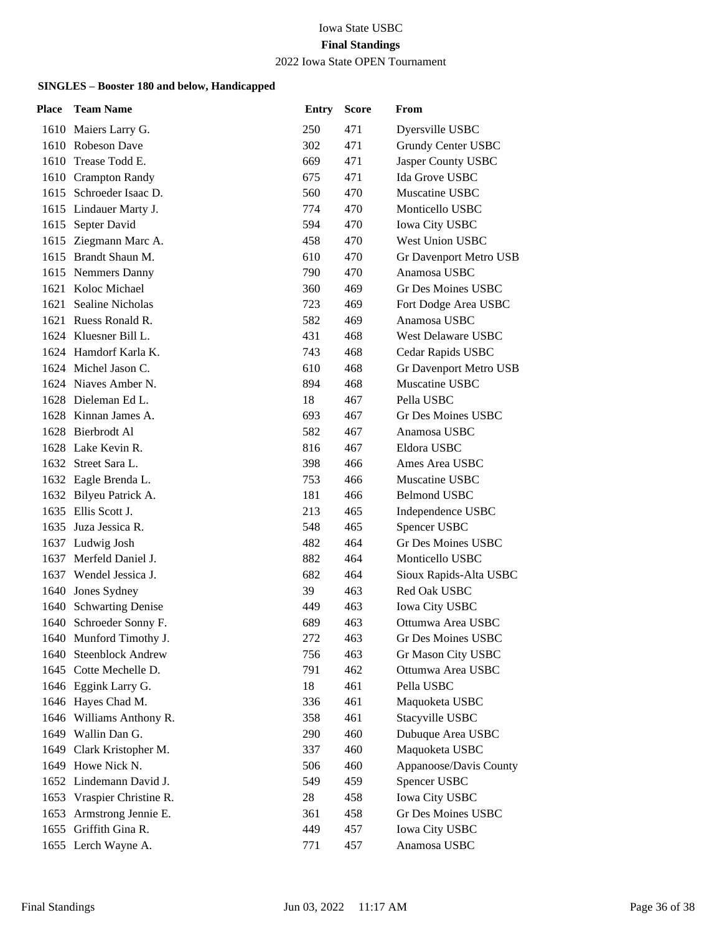### 2022 Iowa State OPEN Tournament

| Place | <b>Team Name</b>           | <b>Entry</b> | <b>Score</b> | From                   |
|-------|----------------------------|--------------|--------------|------------------------|
|       | 1610 Maiers Larry G.       | 250          | 471          | Dyersville USBC        |
|       | 1610 Robeson Dave          | 302          | 471          | Grundy Center USBC     |
|       | 1610 Trease Todd E.        | 669          | 471          | Jasper County USBC     |
|       | 1610 Crampton Randy        | 675          | 471          | Ida Grove USBC         |
|       | 1615 Schroeder Isaac D.    | 560          | 470          | Muscatine USBC         |
|       | 1615 Lindauer Marty J.     | 774          | 470          | Monticello USBC        |
| 1615  | Septer David               | 594          | 470          | <b>Iowa City USBC</b>  |
|       | 1615 Ziegmann Marc A.      | 458          | 470          | West Union USBC        |
|       | 1615 Brandt Shaun M.       | 610          | 470          | Gr Davenport Metro USB |
|       | 1615 Nemmers Danny         | 790          | 470          | Anamosa USBC           |
| 1621  | Koloc Michael              | 360          | 469          | Gr Des Moines USBC     |
| 1621  | Sealine Nicholas           | 723          | 469          | Fort Dodge Area USBC   |
|       | 1621 Ruess Ronald R.       | 582          | 469          | Anamosa USBC           |
|       | 1624 Kluesner Bill L.      | 431          | 468          | West Delaware USBC     |
|       | 1624 Hamdorf Karla K.      | 743          | 468          | Cedar Rapids USBC      |
|       | 1624 Michel Jason C.       | 610          | 468          | Gr Davenport Metro USB |
|       | 1624 Niaves Amber N.       | 894          | 468          | Muscatine USBC         |
|       | 1628 Dieleman Ed L.        | 18           | 467          | Pella USBC             |
|       | 1628 Kinnan James A.       | 693          | 467          | Gr Des Moines USBC     |
|       | 1628 Bierbrodt Al          | 582          | 467          | Anamosa USBC           |
|       | 1628 Lake Kevin R.         | 816          | 467          | Eldora USBC            |
|       | 1632 Street Sara L.        | 398          | 466          | Ames Area USBC         |
|       | 1632 Eagle Brenda L.       | 753          | 466          | Muscatine USBC         |
|       | 1632 Bilyeu Patrick A.     | 181          | 466          | <b>Belmond USBC</b>    |
|       | 1635 Ellis Scott J.        | 213          | 465          | Independence USBC      |
|       | 1635 Juza Jessica R.       | 548          | 465          | Spencer USBC           |
|       | 1637 Ludwig Josh           | 482          | 464          | Gr Des Moines USBC     |
|       | 1637 Merfeld Daniel J.     | 882          | 464          | Monticello USBC        |
|       | 1637 Wendel Jessica J.     | 682          | 464          | Sioux Rapids-Alta USBC |
| 1640  | Jones Sydney               | 39           | 463          | Red Oak USBC           |
| 1640  | <b>Schwarting Denise</b>   | 449          | 463          | Iowa City USBC         |
| 1640  | Schroeder Sonny F.         | 689          | 463          | Ottumwa Area USBC      |
|       | 1640 Munford Timothy J.    | 272          | 463          | Gr Des Moines USBC     |
|       | 1640 Steenblock Andrew     | 756          | 463          | Gr Mason City USBC     |
|       | 1645 Cotte Mechelle D.     | 791          | 462          | Ottumwa Area USBC      |
|       | 1646 Eggink Larry G.       | 18           | 461          | Pella USBC             |
|       | 1646 Hayes Chad M.         | 336          | 461          | Maquoketa USBC         |
|       | 1646 Williams Anthony R.   | 358          | 461          | Stacyville USBC        |
|       | 1649 Wallin Dan G.         | 290          | 460          | Dubuque Area USBC      |
| 1649  | Clark Kristopher M.        | 337          | 460          | Maquoketa USBC         |
|       | 1649 Howe Nick N.          | 506          | 460          | Appanoose/Davis County |
|       | 1652 Lindemann David J.    | 549          | 459          | Spencer USBC           |
|       | 1653 Vraspier Christine R. | 28           | 458          | Iowa City USBC         |
|       | 1653 Armstrong Jennie E.   | 361          | 458          | Gr Des Moines USBC     |
|       | 1655 Griffith Gina R.      | 449          | 457          | Iowa City USBC         |
|       | 1655 Lerch Wayne A.        | 771          | 457          | Anamosa USBC           |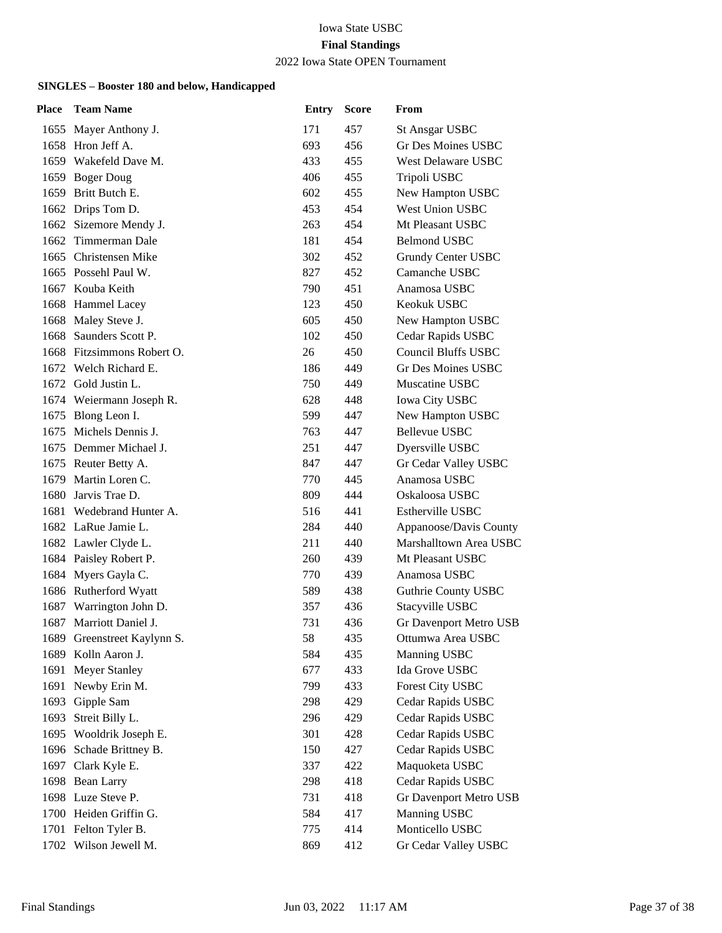#### 2022 Iowa State OPEN Tournament

| Place | <b>Team Name</b>            | <b>Entry</b> | <b>Score</b> | From                       |
|-------|-----------------------------|--------------|--------------|----------------------------|
|       | 1655 Mayer Anthony J.       | 171          | 457          | <b>St Ansgar USBC</b>      |
|       | 1658 Hron Jeff A.           | 693          | 456          | Gr Des Moines USBC         |
|       | 1659 Wakefeld Dave M.       | 433          | 455          | <b>West Delaware USBC</b>  |
|       | 1659 Boger Doug             | 406          | 455          | Tripoli USBC               |
|       | 1659 Britt Butch E.         | 602          | 455          | New Hampton USBC           |
|       | 1662 Drips Tom D.           | 453          | 454          | West Union USBC            |
|       | 1662 Sizemore Mendy J.      | 263          | 454          | Mt Pleasant USBC           |
|       | 1662 Timmerman Dale         | 181          | 454          | <b>Belmond USBC</b>        |
|       | 1665 Christensen Mike       | 302          | 452          | Grundy Center USBC         |
|       | 1665 Possehl Paul W.        | 827          | 452          | Camanche USBC              |
|       | 1667 Kouba Keith            | 790          | 451          | Anamosa USBC               |
|       | 1668 Hammel Lacey           | 123          | 450          | Keokuk USBC                |
|       | 1668 Maley Steve J.         | 605          | 450          | New Hampton USBC           |
| 1668  | Saunders Scott P.           | 102          | 450          | Cedar Rapids USBC          |
|       | 1668 Fitzsimmons Robert O.  | 26           | 450          | <b>Council Bluffs USBC</b> |
|       | 1672 Welch Richard E.       | 186          | 449          | Gr Des Moines USBC         |
|       | 1672 Gold Justin L.         | 750          | 449          | Muscatine USBC             |
|       | 1674 Weiermann Joseph R.    | 628          | 448          | Iowa City USBC             |
| 1675  | Blong Leon I.               | 599          | 447          | New Hampton USBC           |
|       | 1675 Michels Dennis J.      | 763          | 447          | <b>Bellevue USBC</b>       |
|       | 1675 Demmer Michael J.      | 251          | 447          | Dyersville USBC            |
|       | 1675 Reuter Betty A.        | 847          | 447          | Gr Cedar Valley USBC       |
| 1679  | Martin Loren C.             | 770          | 445          | Anamosa USBC               |
|       | 1680 Jarvis Trae D.         | 809          | 444          | Oskaloosa USBC             |
|       | 1681 Wedebrand Hunter A.    | 516          | 441          | <b>Estherville USBC</b>    |
|       | 1682 LaRue Jamie L.         | 284          | 440          | Appanoose/Davis County     |
|       | 1682 Lawler Clyde L.        | 211          | 440          | Marshalltown Area USBC     |
|       | 1684 Paisley Robert P.      | 260          | 439          | Mt Pleasant USBC           |
|       | 1684 Myers Gayla C.         | 770          | 439          | Anamosa USBC               |
|       | 1686 Rutherford Wyatt       | 589          | 438          | <b>Guthrie County USBC</b> |
| 1687  | Warrington John D.          | 357          | 436          | Stacyville USBC            |
| 1687  | Marriott Daniel J.          | 731          | 436          | Gr Davenport Metro USB     |
|       | 1689 Greenstreet Kaylynn S. | 58           | 435          | Ottumwa Area USBC          |
| 1689  | Kolln Aaron J.              | 584          | 435          | Manning USBC               |
| 1691  | <b>Meyer Stanley</b>        | 677          | 433          | Ida Grove USBC             |
| 1691  | Newby Erin M.               | 799          | 433          | <b>Forest City USBC</b>    |
| 1693  | Gipple Sam                  | 298          | 429          | Cedar Rapids USBC          |
| 1693  | Streit Billy L.             | 296          | 429          | Cedar Rapids USBC          |
| 1695  | Wooldrik Joseph E.          | 301          | 428          | Cedar Rapids USBC          |
|       | 1696 Schade Brittney B.     | 150          | 427          | Cedar Rapids USBC          |
|       | 1697 Clark Kyle E.          | 337          | 422          | Maquoketa USBC             |
|       | 1698 Bean Larry             | 298          | 418          | Cedar Rapids USBC          |
|       | 1698 Luze Steve P.          | 731          | 418          | Gr Davenport Metro USB     |
|       | 1700 Heiden Griffin G.      | 584          | 417          | Manning USBC               |
|       | 1701 Felton Tyler B.        | 775          | 414          | Monticello USBC            |
|       | 1702 Wilson Jewell M.       | 869          | 412          | Gr Cedar Valley USBC       |
|       |                             |              |              |                            |